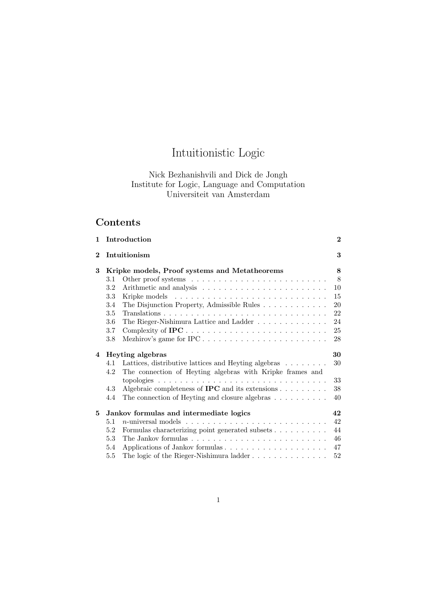# Intuitionistic Logic

## Nick Bezhanishvili and Dick de Jongh Institute for Logic, Language and Computation Universiteit van Amsterdam

## Contents

| $\mathbf{1}$ |                                         | Introduction                                                                      | $\bf{2}$ |
|--------------|-----------------------------------------|-----------------------------------------------------------------------------------|----------|
| $\bf{2}$     | Intuitionism                            |                                                                                   | 3        |
| 3            |                                         | Kripke models, Proof systems and Metatheorems                                     | 8        |
|              | 3.1                                     | Other proof systems $\dots \dots \dots \dots \dots \dots \dots \dots \dots$       | 8        |
|              | 3.2                                     |                                                                                   | 10       |
|              | 3.3                                     |                                                                                   | 15       |
|              | 3.4                                     | The Disjunction Property, Admissible Rules                                        | 20       |
|              | 3.5                                     |                                                                                   | 22       |
|              | 3.6                                     | The Rieger-Nishimura Lattice and Ladder                                           | 24       |
|              | 3.7                                     |                                                                                   | 25       |
|              | 3.8                                     | Mezhirov's game for $IPC \ldots \ldots \ldots \ldots \ldots \ldots \ldots \ldots$ | 28       |
| 4            | Heyting algebras                        |                                                                                   | 30       |
|              | 4.1                                     | Lattices, distributive lattices and Heyting algebras                              | 30       |
|              | 4.2                                     | The connection of Heyting algebras with Kripke frames and                         |          |
|              |                                         |                                                                                   | 33       |
|              | 4.3                                     | Algebraic completeness of <b>IPC</b> and its extensions $\ldots \ldots \ldots$    | 38       |
|              | 4.4                                     | The connection of Heyting and closure algebras $\dots \dots \dots$                | 40       |
| 5            | Jankov formulas and intermediate logics |                                                                                   | 42       |
|              | 5.1                                     |                                                                                   | 42       |
|              | 5.2                                     |                                                                                   |          |
|              |                                         |                                                                                   | 44       |
|              | 5.3                                     |                                                                                   | 46       |
|              | 5.4                                     |                                                                                   | 47       |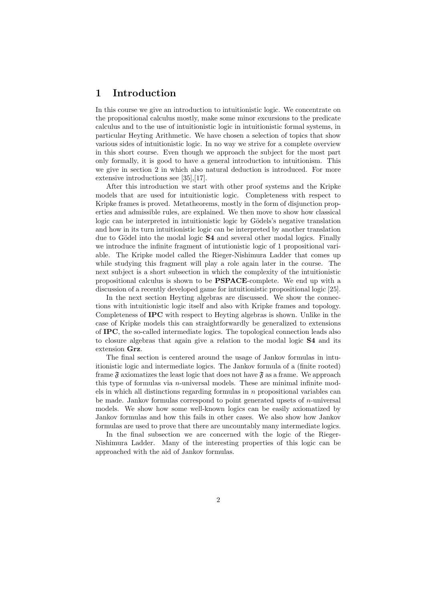## 1 Introduction

In this course we give an introduction to intuitionistic logic. We concentrate on the propositional calculus mostly, make some minor excursions to the predicate calculus and to the use of intuitionistic logic in intuitionistic formal systems, in particular Heyting Arithmetic. We have chosen a selection of topics that show various sides of intuitionistic logic. In no way we strive for a complete overview in this short course. Even though we approach the subject for the most part only formally, it is good to have a general introduction to intuitionism. This we give in section 2 in which also natural deduction is introduced. For more extensive introductions see [35],[17].

After this introduction we start with other proof systems and the Kripke models that are used for intuitionistic logic. Completeness with respect to Kripke frames is proved. Metatheorems, mostly in the form of disjunction properties and admissible rules, are explained. We then move to show how classical logic can be interpreted in intuitionistic logic by Gödels's negative translation and how in its turn intuitionistic logic can be interpreted by another translation due to Gödel into the modal logic S4 and several other modal logics. Finally we introduce the infinite fragment of intutionistic logic of 1 propositional variable. The Kripke model called the Rieger-Nishimura Ladder that comes up while studying this fragment will play a role again later in the course. The next subject is a short subsection in which the complexity of the intuitionistic propositional calculus is shown to be PSPACE-complete. We end up with a discussion of a recently developed game for intuitionistic propositional logic [25].

In the next section Heyting algebras are discussed. We show the connections with intuitionistic logic itself and also with Kripke frames and topology. Completeness of IPC with respect to Heyting algebras is shown. Unlike in the case of Kripke models this can straightforwardly be generalized to extensions of IPC, the so-called intermediate logics. The topological connection leads also to closure algebras that again give a relation to the modal logic S4 and its extension Grz.

The final section is centered around the usage of Jankov formulas in intuitionistic logic and intermediate logics. The Jankov formula of a (finite rooted) frame  $\mathfrak F$  axiomatizes the least logic that does not have  $\mathfrak F$  as a frame. We approach this type of formulas via n-universal models. These are minimal infinite models in which all distinctions regarding formulas in  $n$  propositional variables can be made. Jankov formulas correspond to point generated upsets of  $n$ -universal models. We show how some well-known logics can be easily axiomatized by Jankov formulas and how this fails in other cases. We also show how Jankov formulas are used to prove that there are uncountably many intermediate logics.

In the final subsection we are concerned with the logic of the Rieger-Nishimura Ladder. Many of the interesting properties of this logic can be approached with the aid of Jankov formulas.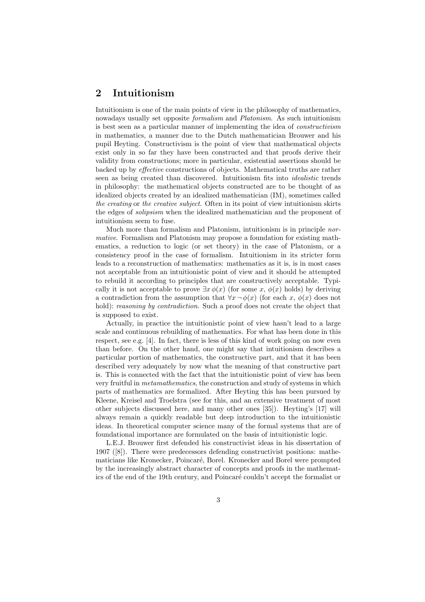## 2 Intuitionism

Intuitionism is one of the main points of view in the philosophy of mathematics, nowadays usually set opposite formalism and Platonism. As such intuitionism is best seen as a particular manner of implementing the idea of constructivism in mathematics, a manner due to the Dutch mathematician Brouwer and his pupil Heyting. Constructivism is the point of view that mathematical objects exist only in so far they have been constructed and that proofs derive their validity from constructions; more in particular, existential assertions should be backed up by effective constructions of objects. Mathematical truths are rather seen as being created than discovered. Intuitionism fits into idealistic trends in philosophy: the mathematical objects constructed are to be thought of as idealized objects created by an idealized mathematician (IM), sometimes called the creating or the creative subject. Often in its point of view intuitionism skirts the edges of solipsism when the idealized mathematician and the proponent of intuitionism seem to fuse.

Much more than formalism and Platonism, intuitionism is in principle normative. Formalism and Platonism may propose a foundation for existing mathematics, a reduction to logic (or set theory) in the case of Platonism, or a consistency proof in the case of formalism. Intuitionism in its stricter form leads to a reconstruction of mathematics: mathematics as it is, is in most cases not acceptable from an intuitionistic point of view and it should be attempted to rebuild it according to principles that are constructively acceptable. Typically it is not acceptable to prove  $\exists x \phi(x)$  (for some x,  $\phi(x)$  holds) by deriving a contradiction from the assumption that  $\forall x \neg \phi(x)$  (for each x,  $\phi(x)$  does not hold): *reasoning by contradiction*. Such a proof does not create the object that is supposed to exist.

Actually, in practice the intuitionistic point of view hasn't lead to a large scale and continuous rebuilding of mathematics. For what has been done in this respect, see e.g. [4]. In fact, there is less of this kind of work going on now even than before. On the other hand, one might say that intuitionism describes a particular portion of mathematics, the constructive part, and that it has been described very adequately by now what the meaning of that constructive part is. This is connected with the fact that the intuitionistic point of view has been very fruitful in metamathematics, the construction and study of systems in which parts of mathematics are formalized. After Heyting this has been pursued by Kleene, Kreisel and Troelstra (see for this, and an extensive treatment of most other subjects discussed here, and many other ones [35]). Heyting's [17] will always remain a quickly readable but deep introduction to the intuitionistic ideas. In theoretical computer science many of the formal systems that are of foundational importance are formulated on the basis of intuitionistic logic.

L.E.J. Brouwer first defended his constructivist ideas in his dissertation of 1907 ([8]). There were predecessors defending constructivist positions: mathematicians like Kronecker, Poincaré, Borel. Kronecker and Borel were prompted by the increasingly abstract character of concepts and proofs in the mathematics of the end of the 19th century, and Poincaré couldn't accept the formalist or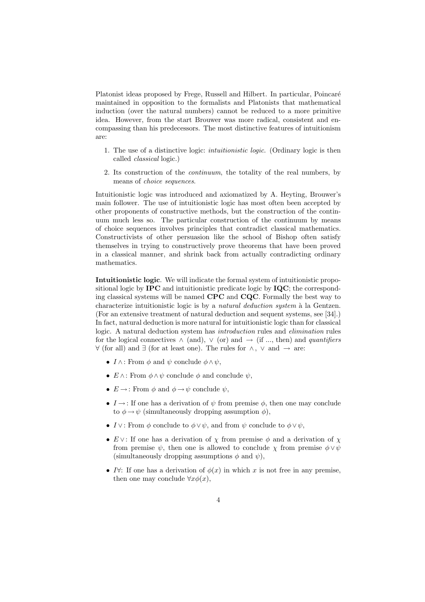Platonist ideas proposed by Frege, Russell and Hilbert. In particular, Poincaré maintained in opposition to the formalists and Platonists that mathematical induction (over the natural numbers) cannot be reduced to a more primitive idea. However, from the start Brouwer was more radical, consistent and encompassing than his predecessors. The most distinctive features of intuitionism are:

- 1. The use of a distinctive logic: intuitionistic logic. (Ordinary logic is then called classical logic.)
- 2. Its construction of the continuum, the totality of the real numbers, by means of choice sequences.

Intuitionistic logic was introduced and axiomatized by A. Heyting, Brouwer's main follower. The use of intuitionistic logic has most often been accepted by other proponents of constructive methods, but the construction of the continuum much less so. The particular construction of the continuum by means of choice sequences involves principles that contradict classical mathematics. Constructivists of other persuasion like the school of Bishop often satisfy themselves in trying to constructively prove theorems that have been proved in a classical manner, and shrink back from actually contradicting ordinary mathematics.

Intuitionistic logic. We will indicate the formal system of intuitionistic propositional logic by IPC and intuitionistic predicate logic by IQC; the corresponding classical systems will be named CPC and CQC. Formally the best way to characterize intuitionistic logic is by a natural deduction system  $\grave{a}$  la Gentzen. (For an extensive treatment of natural deduction and sequent systems, see [34].) In fact, natural deduction is more natural for intuitionistic logic than for classical logic. A natural deduction system has introduction rules and elimination rules for the logical connectives  $\land$  (and),  $\lor$  (or) and  $\rightarrow$  (if ..., then) and *quantifiers*  $\forall$  (for all) and ∃ (for at least one). The rules for  $\land$ ,  $\lor$  and  $\rightarrow$  are:

- $I \wedge$ : From  $\phi$  and  $\psi$  conclude  $\phi \wedge \psi$ ,
- $E \wedge$ : From  $\phi \wedge \psi$  conclude  $\phi$  and conclude  $\psi$ .
- $E \rightarrow$ : From  $\phi$  and  $\phi \rightarrow \psi$  conclude  $\psi$ ,
- $I \rightarrow$ : If one has a derivation of  $\psi$  from premise  $\phi$ , then one may conclude to  $\phi \rightarrow \psi$  (simultaneously dropping assumption  $\phi$ ).
- I ∨: From  $\phi$  conclude to  $\phi \vee \psi$ , and from  $\psi$  conclude to  $\phi \vee \psi$ ,
- E  $\vee$ : If one has a derivation of  $\chi$  from premise  $\phi$  and a derivation of  $\chi$ from premise  $\psi$ , then one is allowed to conclude  $\chi$  from premise  $\phi \vee \psi$ (simultaneously dropping assumptions  $\phi$  and  $\psi$ ),
- I∀: If one has a derivation of  $\phi(x)$  in which x is not free in any premise, then one may conclude  $\forall x \phi(x)$ ,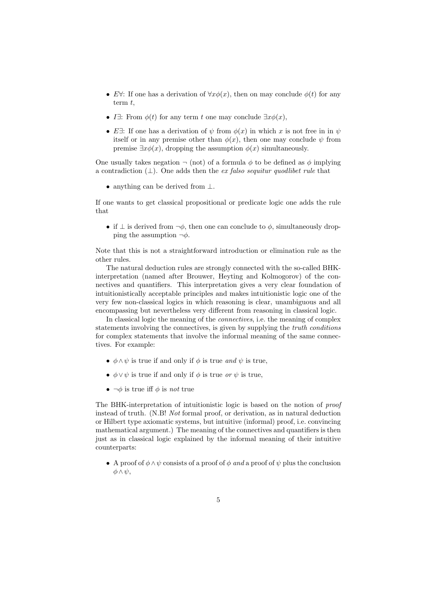- E $\forall$ : If one has a derivation of  $\forall x \phi(x)$ , then on may conclude  $\phi(t)$  for any term  $t$ ,
- I $\exists$ : From  $\phi(t)$  for any term t one may conclude  $\exists x \phi(x)$ .
- E∃: If one has a derivation of  $\psi$  from  $\phi(x)$  in which x is not free in in  $\psi$ itself or in any premise other than  $\phi(x)$ , then one may conclude  $\psi$  from premise  $\exists x \phi(x)$ , dropping the assumption  $\phi(x)$  simultaneously.

One usually takes negation  $\neg$  (not) of a formula  $\phi$  to be defined as  $\phi$  implying a contradiction  $(⊥)$ . One adds then the *ex falso sequitur quodlibet rule* that

• anything can be derived from ⊥.

If one wants to get classical propositional or predicate logic one adds the rule that

• if  $\perp$  is derived from  $\neg \phi$ , then one can conclude to  $\phi$ , simultaneously dropping the assumption  $\neg \phi$ .

Note that this is not a straightforward introduction or elimination rule as the other rules.

The natural deduction rules are strongly connected with the so-called BHKinterpretation (named after Brouwer, Heyting and Kolmogorov) of the connectives and quantifiers. This interpretation gives a very clear foundation of intuitionistically acceptable principles and makes intuitionistic logic one of the very few non-classical logics in which reasoning is clear, unambiguous and all encompassing but nevertheless very different from reasoning in classical logic.

In classical logic the meaning of the connectives, i.e. the meaning of complex statements involving the connectives, is given by supplying the truth conditions for complex statements that involve the informal meaning of the same connectives. For example:

- $\phi \land \psi$  is true if and only if  $\phi$  is true and  $\psi$  is true,
- $\phi \vee \psi$  is true if and only if  $\phi$  is true or  $\psi$  is true,
- $\neg \phi$  is true iff  $\phi$  is not true

The BHK-interpretation of intuitionistic logic is based on the notion of proof instead of truth. (N.B! Not formal proof, or derivation, as in natural deduction or Hilbert type axiomatic systems, but intuitive (informal) proof, i.e. convincing mathematical argument.) The meaning of the connectives and quantifiers is then just as in classical logic explained by the informal meaning of their intuitive counterparts:

• A proof of  $\phi \wedge \psi$  consists of a proof of  $\phi$  and a proof of  $\psi$  plus the conclusion  $φ ∧ ψ$ ,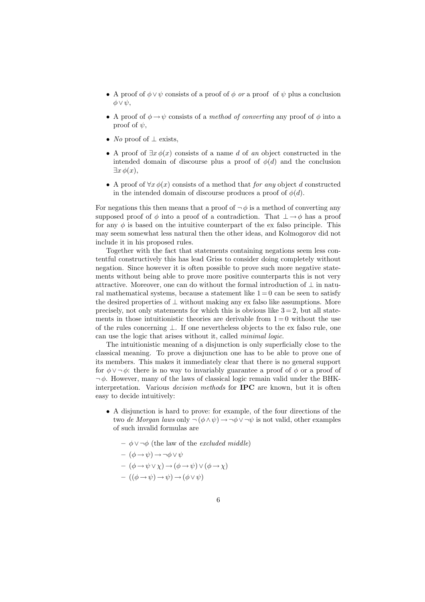- A proof of  $\phi \vee \psi$  consists of a proof of  $\phi$  or a proof of  $\psi$  plus a conclusion  $\phi \vee \psi$ ,
- A proof of  $\phi \rightarrow \psi$  consists of a method of converting any proof of  $\phi$  into a proof of  $\psi$ ,
- No proof of  $\perp$  exists,
- A proof of  $\exists x \phi(x)$  consists of a name d of an object constructed in the intended domain of discourse plus a proof of  $\phi(d)$  and the conclusion  $\exists x \phi(x),$
- A proof of  $\forall x \phi(x)$  consists of a method that *for any* object d constructed in the intended domain of discourse produces a proof of  $\phi(d)$ .

For negations this then means that a proof of  $\neg \phi$  is a method of converting any supposed proof of  $\phi$  into a proof of a contradiction. That  $\bot \rightarrow \phi$  has a proof for any  $\phi$  is based on the intuitive counterpart of the ex falso principle. This may seem somewhat less natural then the other ideas, and Kolmogorov did not include it in his proposed rules.

Together with the fact that statements containing negations seem less contentful constructively this has lead Griss to consider doing completely without negation. Since however it is often possible to prove such more negative statements without being able to prove more positive counterparts this is not very attractive. Moreover, one can do without the formal introduction of  $\perp$  in natural mathematical systems, because a statement like  $1 = 0$  can be seen to satisfy the desired properties of  $\perp$  without making any ex falso like assumptions. More precisely, not only statements for which this is obvious like  $3 = 2$ , but all statements in those intuitionistic theories are derivable from  $1 = 0$  without the use of the rules concerning ⊥. If one nevertheless objects to the ex falso rule, one can use the logic that arises without it, called minimal logic.

The intuitionistic meaning of a disjunction is only superficially close to the classical meaning. To prove a disjunction one has to be able to prove one of its members. This makes it immediately clear that there is no general support for  $\phi \vee \neg \phi$ : there is no way to invariably guarantee a proof of  $\phi$  or a proof of  $\neg \phi$ . However, many of the laws of classical logic remain valid under the BHKinterpretation. Various decision methods for IPC are known, but it is often easy to decide intuitively:

- A disjunction is hard to prove: for example, of the four directions of the two de Morgan laws only  $\neg$  ( $\phi \land \psi$ )  $\rightarrow \neg \phi \lor \neg \psi$  is not valid, other examples of such invalid formulas are
	- $-$  φ ∨ ¬ $φ$  (the law of the *excluded middle*)  $(\phi \rightarrow \psi) \rightarrow \neg \phi \vee \psi$  $(\phi \rightarrow \psi \vee \chi) \rightarrow (\phi \rightarrow \psi) \vee (\phi \rightarrow \chi)$  $- ((\phi \rightarrow \psi) \rightarrow \psi) \rightarrow (\phi \vee \psi)$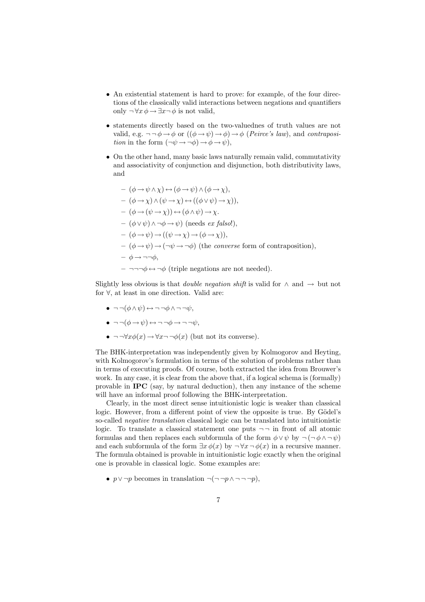- An existential statement is hard to prove: for example, of the four directions of the classically valid interactions between negations and quantifiers only  $\neg \forall x \phi \rightarrow \exists x \neg \phi$  is not valid,
- statements directly based on the two-valuednes of truth values are not valid, e.g.  $\neg\neg \phi \rightarrow \phi$  or  $((\phi \rightarrow \psi) \rightarrow \phi) \rightarrow \phi$  (*Peirce's law*), and *contraposi*tion in the form  $(\neg \psi \rightarrow \neg \phi) \rightarrow \phi \rightarrow \psi$ ),
- On the other hand, many basic laws naturally remain valid, commutativity and associativity of conjunction and disjunction, both distributivity laws, and

$$
-(\phi \rightarrow \psi \land \chi) \leftrightarrow (\phi \rightarrow \psi) \land (\phi \rightarrow \chi),
$$
  
\n
$$
-(\phi \rightarrow \chi) \land (\psi \rightarrow \chi) \leftrightarrow ((\phi \lor \psi) \rightarrow \chi)),
$$
  
\n
$$
-(\phi \rightarrow (\psi \rightarrow \chi)) \leftrightarrow (\phi \land \psi) \rightarrow \chi.
$$
  
\n
$$
-(\phi \lor \psi) \land \neg \phi \rightarrow \psi) \text{ (needs } ex \text{ falsol}),
$$
  
\n
$$
-(\phi \rightarrow \psi) \rightarrow ((\psi \rightarrow \chi) \rightarrow (\phi \rightarrow \chi)),
$$
  
\n
$$
-(\phi \rightarrow \psi) \rightarrow (\neg \psi \rightarrow \neg \phi) \text{ (the converse form of contraposition),}
$$
  
\n
$$
-\phi \rightarrow \neg \neg \phi,
$$
  
\n
$$
-\neg \neg \neg \phi \leftrightarrow \neg \phi \text{ (triple negations are not needed)}.
$$

Slightly less obvious is that *double negation shift* is valid for  $\land$  and  $\rightarrow$  but not for ∀, at least in one direction. Valid are:

- $\bullet \neg \neg (\phi \land \psi) \leftrightarrow \neg \neg \phi \land \neg \neg \psi,$
- $\bullet \ \neg \neg (\phi \rightarrow \psi) \leftrightarrow \neg \neg \phi \rightarrow \neg \neg \psi,$
- $\neg \neg \forall x \phi(x) \rightarrow \forall x \neg \neg \phi(x)$  (but not its converse).

The BHK-interpretation was independently given by Kolmogorov and Heyting, with Kolmogorov's formulation in terms of the solution of problems rather than in terms of executing proofs. Of course, both extracted the idea from Brouwer's work. In any case, it is clear from the above that, if a logical schema is (formally) provable in IPC (say, by natural deduction), then any instance of the scheme will have an informal proof following the BHK-interpretation.

Clearly, in the most direct sense intuitionistic logic is weaker than classical logic. However, from a different point of view the opposite is true. By Gödel's so-called negative translation classical logic can be translated into intuitionistic logic. To translate a classical statement one puts  $\neg$  in front of all atomic formulas and then replaces each subformula of the form  $\phi \vee \psi$  by  $\neg (\neg \phi \wedge \neg \psi)$ and each subformula of the form  $\exists x \phi(x)$  by  $\neg \forall x \neg \phi(x)$  in a recursive manner. The formula obtained is provable in intuitionistic logic exactly when the original one is provable in classical logic. Some examples are:

•  $p \lor \neg p$  becomes in translation  $\neg(\neg \neg p \land \neg \neg \neg p)$ ,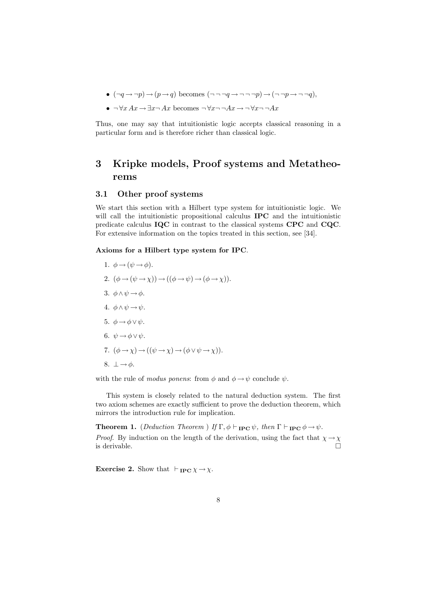- $(\neg q \rightarrow \neg p) \rightarrow (p \rightarrow q)$  becomes  $(\neg \neg \neg q \rightarrow \neg \neg \neg p) \rightarrow (\neg \neg p \rightarrow \neg \neg q)$ ,
- $\neg \forall x \, Ax \rightarrow \exists x \neg Ax$  becomes  $\neg \forall x \neg \neg Ax \rightarrow \forall x \neg \neg Ax$

Thus, one may say that intuitionistic logic accepts classical reasoning in a particular form and is therefore richer than classical logic.

## 3 Kripke models, Proof systems and Metatheorems

#### 3.1 Other proof systems

We start this section with a Hilbert type system for intuitionistic logic. We will call the intuitionistic propositional calculus **IPC** and the intuitionistic predicate calculus IQC in contrast to the classical systems CPC and CQC. For extensive information on the topics treated in this section, see [34].

Axioms for a Hilbert type system for IPC.

1.  $\phi \rightarrow (\psi \rightarrow \phi)$ . 2.  $(\phi \rightarrow (\psi \rightarrow \chi)) \rightarrow ((\phi \rightarrow \psi) \rightarrow (\phi \rightarrow \chi))$ . 3.  $\phi \land \psi \rightarrow \phi$ . 4.  $\phi \wedge \psi \rightarrow \psi$ . 5.  $\phi \rightarrow \phi \vee \psi$ . 6.  $\psi \rightarrow \phi \vee \psi$ . 7.  $(\phi \rightarrow \chi) \rightarrow ((\psi \rightarrow \chi) \rightarrow (\phi \lor \psi \rightarrow \chi)).$ 8.  $\perp \rightarrow \phi$ .

with the rule of modus ponens: from  $\phi$  and  $\phi \rightarrow \psi$  conclude  $\psi$ .

This system is closely related to the natural deduction system. The first two axiom schemes are exactly sufficient to prove the deduction theorem, which mirrors the introduction rule for implication.

**Theorem 1.** (Deduction Theorem ) If  $\Gamma$ ,  $\phi \vdash_{\text{IPC}} \psi$ , then  $\Gamma \vdash_{\text{IPC}} \phi \rightarrow \psi$ . *Proof.* By induction on the length of the derivation, using the fact that  $\chi \rightarrow \chi$ is derivable.  $\Box$ 

**Exercise 2.** Show that  $\vdash_{\text{IPC}} \chi \rightarrow \chi$ .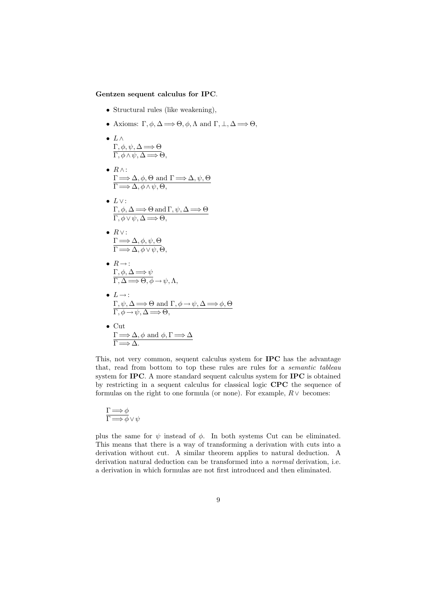#### Gentzen sequent calculus for IPC.

- Structural rules (like weakening),
- Axioms:  $\Gamma, \phi, \Delta \Longrightarrow \Theta, \phi, \Lambda \text{ and } \Gamma, \bot, \Delta \Longrightarrow \Theta,$
- $L \wedge$  $\Gamma, \phi, \psi, \Delta \Longrightarrow \Theta$  $\Gamma, \phi \wedge \psi, \Delta \Longrightarrow \Theta,$
- $R \wedge$ :  $\Gamma \Longrightarrow \Delta, \phi, \Theta \text{ and } \Gamma \Longrightarrow \Delta, \psi, \Theta$  $\Gamma \Longrightarrow \Delta, \phi \wedge \psi, \Theta,$
- $\bullet$   $L \vee$ :  $\Gamma, \phi, \Delta \Longrightarrow \Theta \text{ and } \Gamma, \psi, \Delta \Longrightarrow \Theta$  $\Gamma, \phi \vee \psi, \Delta \Longrightarrow \Theta,$
- $R \vee$ :  $\Gamma \Longrightarrow \Delta, \phi, \psi, \Theta$  $\Gamma \Longrightarrow \Delta, \phi \lor \psi, \Theta,$
- $R \rightarrow \cdot$  $\Gamma, \phi, \Delta \Longrightarrow \psi$  $\Gamma, \Delta \Longrightarrow \Theta, \phi \rightarrow \psi, \Lambda,$
- $L \rightarrow$ :  $\Gamma, \psi, \Delta \Longrightarrow \Theta \text{ and } \Gamma, \phi \rightarrow \psi, \Delta \Longrightarrow \phi, \Theta$  $\Gamma, \phi \rightarrow \psi, \Delta \Longrightarrow \Theta,$
- Cut  $\Gamma \Longrightarrow \Delta, \phi \text{ and } \phi, \Gamma \Longrightarrow \Delta$  $\Gamma \Longrightarrow \Delta$ .

This, not very common, sequent calculus system for IPC has the advantage that, read from bottom to top these rules are rules for a semantic tableau system for IPC. A more standard sequent calculus system for IPC is obtained by restricting in a sequent calculus for classical logic CPC the sequence of formulas on the right to one formula (or none). For example,  $R \vee$  becomes:

$$
\frac{\Gamma \Longrightarrow \phi}{\Gamma \Longrightarrow \phi \lor \psi}
$$

plus the same for  $\psi$  instead of  $\phi$ . In both systems Cut can be eliminated. This means that there is a way of transforming a derivation with cuts into a derivation without cut. A similar theorem applies to natural deduction. A derivation natural deduction can be transformed into a normal derivation, i.e. a derivation in which formulas are not first introduced and then eliminated.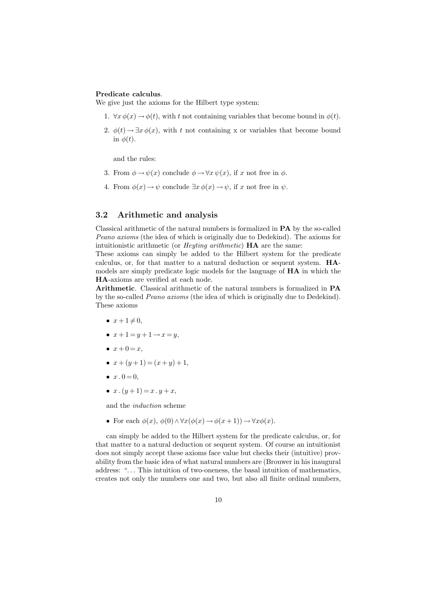#### Predicate calculus.

We give just the axioms for the Hilbert type system:

- 1.  $\forall x \phi(x) \rightarrow \phi(t)$ , with t not containing variables that become bound in  $\phi(t)$ .
- 2.  $\phi(t) \rightarrow \exists x \, \phi(x)$ , with t not containing x or variables that become bound in  $\phi(t)$ .

and the rules:

- 3. From  $\phi \rightarrow \psi(x)$  conclude  $\phi \rightarrow \forall x \psi(x)$ , if x not free in  $\phi$ .
- 4. From  $\phi(x) \to \psi$  conclude  $\exists x \, \phi(x) \to \psi$ , if x not free in  $\psi$ .

### 3.2 Arithmetic and analysis

Classical arithmetic of the natural numbers is formalized in PA by the so-called Peano axioms (the idea of which is originally due to Dedekind). The axioms for intuitionistic arithmetic (or Heyting arithmetic) HA are the same:

These axioms can simply be added to the Hilbert system for the predicate calculus, or, for that matter to a natural deduction or sequent system. HAmodels are simply predicate logic models for the language of HA in which the HA-axioms are verified at each node.

Arithmetic. Classical arithmetic of the natural numbers is formalized in PA by the so-called Peano axioms (the idea of which is originally due to Dedekind). These axioms

- $x + 1 \neq 0$ ,
- $x+1=y+1 \rightarrow x=y$ ,
- $x + 0 = x$ ,
- $x + (y + 1) = (x + y) + 1$ ,
- $x \, . \, 0 = 0$ ,
- $x \cdot (y+1) = x \cdot y + x$ ,

and the induction scheme

• For each  $\phi(x)$ ,  $\phi(0) \wedge \forall x(\phi(x) \rightarrow \phi(x+1)) \rightarrow \forall x \phi(x)$ .

can simply be added to the Hilbert system for the predicate calculus, or, for that matter to a natural deduction or sequent system. Of course an intuitionist does not simply accept these axioms face value but checks their (intuitive) provability from the basic idea of what natural numbers are (Brouwer in his inaugural address: "... This intuition of two-oneness, the basal intuition of mathematics, creates not only the numbers one and two, but also all finite ordinal numbers,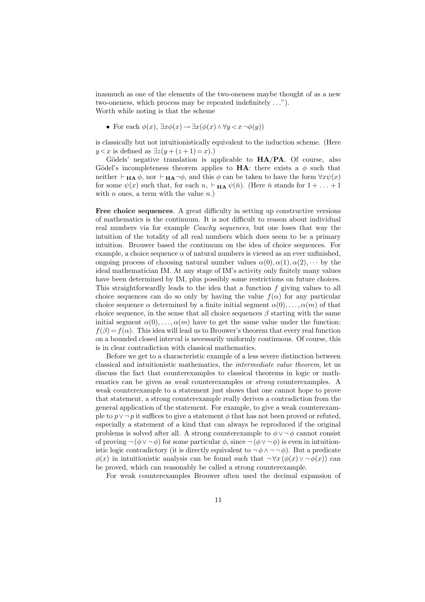inasmuch as one of the elements of the two-oneness maybe thought of as a new two-oneness, which process may be repeated indefinitely . . ."). Worth while noting is that the scheme

• For each  $\phi(x)$ ,  $\exists x \phi(x) \rightarrow \exists x (\phi(x) \land \forall y \leq x \land \phi(y))$ 

is classically but not intuitionistically equivalent to the induction scheme. (Here  $y < x$  is defined as  $\exists z(y + (z + 1) = x).$ 

Gödels' negative translation is applicable to  $HA/PA$ . Of course, also Gödel's incompleteness theorem applies to **HA**: there exists a  $\phi$  such that neither  $\vdash_{\mathbf{HA}} \phi$ , nor  $\vdash_{\mathbf{HA}} \neg \phi$ , and this  $\phi$  can be taken to have the form  $\forall x \psi(x)$ for some  $\psi(x)$  such that, for each  $n, \vdash_{\mathbf{HA}} \psi(\bar{n})$ . (Here  $\bar{n}$  stands for  $1 + \ldots + 1$ with n ones, a term with the value  $n$ .

Free choice sequences. A great difficulty in setting up constructive versions of mathematics is the continuum. It is not difficult to reason about individual real numbers via for example Cauchy sequences, but one loses that way the intuition of the totality of all real numbers which does seem to be a primary intuition. Brouwer based the continuum on the idea of choice sequences. For example, a choice sequence  $\alpha$  of natural numbers is viewed as an ever unfinished, ongoing process of choosing natural number values  $\alpha(0), \alpha(1), \alpha(2), \cdots$  by the ideal mathematician IM. At any stage of IM's activity only finitely many values have been determined by IM, plus possibly some restrictions on future choices. This straightforwardly leads to the idea that a function  $f$  giving values to all choice sequences can do so only by having the value  $f(\alpha)$  for any particular choice sequence  $\alpha$  determined by a finite initial segment  $\alpha(0), \ldots, \alpha(m)$  of that choice sequence, in the sense that all choice sequences  $\beta$  starting with the same initial segment  $\alpha(0), \ldots, \alpha(m)$  have to get the same value under the function:  $f(\beta) = f(\alpha)$ . This idea will lead us to Brouwer's theorem that every real function on a bounded closed interval is necessarily uniformly continuous. Of course, this is in clear contradiction with classical mathematics.

Before we get to a characteristic example of a less severe distinction between classical and intuitionistic mathematics, the intermediate value theorem, let us discuss the fact that counterexamples to classical theorems in logic or mathematics can be given as weak counterexamples or strong counterexamples. A weak counterexample to a statement just shows that one cannot hope to prove that statement, a strong counterexample really derives a contradiction from the general application of the statement. For example, to give a weak counterexample to  $p \vee \neg p$  it suffices to give a statement  $\phi$  that has not been proved or refuted, especially a statement of a kind that can always be reproduced if the original problems is solved after all. A strong counterexample to  $\phi \vee \neg \phi$  cannot consist of proving  $\neg (\phi \lor \neg \phi)$  for some particular  $\phi$ , since  $\neg (\phi \lor \neg \phi)$  is even in intuitionistic logic contradictory (it is directly equivalent to  $\neg \phi \land \neg \neg \phi$ ). But a predicate  $\phi(x)$  in intuitionistic analysis can be found such that  $\neg \forall x (\phi(x) \vee \neg \phi(x))$  can be proved, which can reasonably be called a strong counterexample.

For weak counterexamples Brouwer often used the decimal expansion of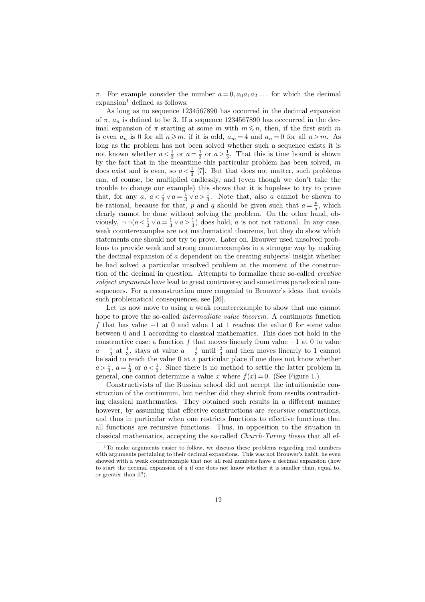π. For example consider the number  $a = 0, a_0 a_1 a_2 \dots$  for which the decimal  $expansion<sup>1</sup>$  defined as follows:

As long as no sequence 1234567890 has occurred in the decimal expansion of  $\pi$ ,  $a_n$  is defined to be 3. If a sequence 1234567890 has occcurred in the decimal expansion of  $\pi$  starting at some  $m$  with  $m \leq n$ , then, if the first such  $m$ is even  $a_n$  is 0 for all  $n \ge m$ , if it is odd,  $a_m = 4$  and  $a_n = 0$  for all  $n > m$ . As long as the problem has not been solved whether such a sequence exists it is not known whether  $a < \frac{1}{3}$  or  $a = \frac{1}{3}$  or  $a > \frac{1}{3}$ . That this is time bound is shown by the fact that in the meantime this particular problem has been solved,  $m$ does exist and is even, so  $a < \frac{1}{3}$  [7]. But that does not matter, such problems can, of course, be multiplied endlessly, and (even though we don't take the trouble to change our example) this shows that it is hopeless to try to prove that, for any  $a, a < \frac{1}{3} \vee a = \frac{1}{3} \vee a > \frac{1}{3}$ . Note that, also a cannot be shown to be rational, because for that, p and q should be given such that  $a = \frac{p}{q}$ , which clearly cannot be done without solving the problem. On the other hand, obviously,  $\negeg(a < \frac{1}{3} \lor a = \frac{1}{3} \lor a > \frac{1}{3})$  does hold, a is not not rational. In any case, weak counterexamples are not mathematical theorems, but they do show which statements one should not try to prove. Later on, Brouwer used unsolved problems to provide weak and strong counterexamples in a stronger way by making the decimal expansion of a dependent on the creating subjects' insight whether he had solved a particular unsolved problem at the moment of the construction of the decimal in question. Attempts to formalize these so-called creative subject arguments have lead to great controversy and sometimes paradoxical consequences. For a reconstruction more congenial to Brouwer's ideas that avoids such problematical consequences, see [26].

Let us now move to using a weak counterexample to show that one cannot hope to prove the so-called intermediate value theorem. A continuous function f that has value −1 at 0 and value 1 at 1 reaches the value 0 for some value between 0 and 1 according to classical mathematics. This does not hold in the constructive case: a function f that moves linearly from value  $-1$  at 0 to value  $a - \frac{1}{3}$  at  $\frac{1}{3}$ , stays at value  $a - \frac{1}{3}$  until  $\frac{2}{3}$  and then moves linearly to 1 cannot be said to reach the value 0 at a particular place if one does not know whether  $a > \frac{1}{3}$ ,  $a = \frac{1}{3}$  or  $a < \frac{1}{3}$ . Since there is no method to settle the latter problem in general, one cannot determine a value x where  $f(x) = 0$ . (See Figure 1.)

Constructivists of the Russian school did not accept the intuitionistic construction of the continuum, but neither did they shrink from results contradicting classical mathematics. They obtained such results in a different manner however, by assuming that effective constructions are *recursive* constructions, and thus in particular when one restricts functions to effective functions that all functions are recursive functions. Thus, in opposition to the situation in classical mathematics, accepting the so-called Church-Turing thesis that all ef-

<sup>1</sup>To make arguments easier to follow, we discuss these problems regarding real numbers with arguments pertaining to their decimal expansions. This was not Brouwer's habit, he even showed with a weak counteraxmple that not all real numbers have a decimal expansion (how to start the decimal expansion of  $\alpha$  if one does not know whether it is smaller than, equal to, or greater than 0?).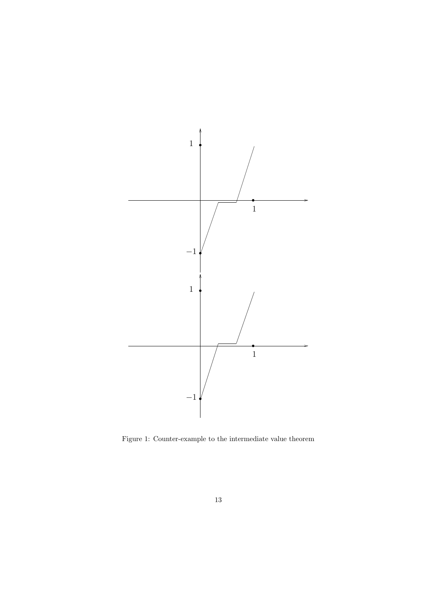

Figure 1: Counter-example to the intermediate value theorem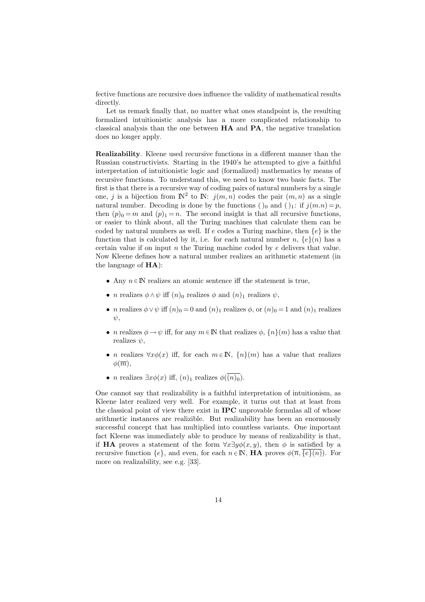fective functions are recursive does influence the validity of mathematical results directly.

Let us remark finally that, no matter what ones standpoint is, the resulting formalized intuitionistic analysis has a more complicated relationship to classical analysis than the one between HA and PA, the negative translation does no longer apply.

Realizability. Kleene used recursive functions in a different manner than the Russian constructivists. Starting in the 1940's he attempted to give a faithful interpretation of intuitionistic logic and (formalized) mathematics by means of recursive functions. To understand this, we need to know two basic facts. The first is that there is a recursive way of coding pairs of natural numbers by a single one, j is a bijection from  $\mathbb{N}^2$  to  $\mathbb{N}$ :  $j(m,n)$  codes the pair  $(m,n)$  as a single natural number. Decoding is done by the functions ()<sub>0</sub> and ()<sub>1</sub>: if  $j(m.n) = p$ , then  $(p)_0 = m$  and  $(p)_1 = n$ . The second insight is that all recursive functions, or easier to think about, all the Turing machines that calculate them can be coded by natural numbers as well. If e codes a Turing machine, then  $\{e\}$  is the function that is calculated by it, i.e. for each natural number n,  ${e}(n)$  has a certain value if on input  $n$  the Turing machine coded by  $e$  delivers that value. Now Kleene defines how a natural number realizes an arithmetic statement (in the language of HA):

- Any  $n \in \mathbb{N}$  realizes an atomic sentence iff the statement is true,
- *n* realizes  $\phi \wedge \psi$  iff  $(n)_0$  realizes  $\phi$  and  $(n)_1$  realizes  $\psi$ ,
- *n* realizes  $\phi \vee \psi$  iff  $(n)_{0} = 0$  and  $(n)_{1}$  realizes  $\phi$ , or  $(n)_{0} = 1$  and  $(n)_{1}$  realizes  $\psi$ .
- *n* realizes  $\phi \rightarrow \psi$  iff, for any  $m \in \mathbb{N}$  that realizes  $\phi$ ,  $\{n\}(m)$  has a value that realizes  $\psi$ ,
- *n* realizes  $\forall x \phi(x)$  iff, for each  $m \in \mathbb{N}$ ,  $\{n\}(m)$  has a value that realizes  $\phi(\overline{m}),$
- *n* realizes  $\exists x \phi(x)$  iff,  $(n)_1$  realizes  $\phi(\overline{(n)_0})$ .

One cannot say that realizability is a faithful interpretation of intuitionism, as Kleene later realized very well. For example, it turns out that at least from the classical point of view there exist in IPC unprovable formulas all of whose arithmetic instances are realizible. But realizability has been an enormously successful concept that has multiplied into countless variants. One important fact Kleene was immediately able to produce by means of realizability is that, if HA proves a statement of the form  $\forall x \exists y \phi(x, y)$ , then  $\phi$  is satisfied by a recursive function  $\{e\}$ , and even, for each  $n \in \mathbb{N}$ , **HA** proves  $\phi(\overline{n}, \{e\}(n))$ . For more on realizability, see e.g. [33].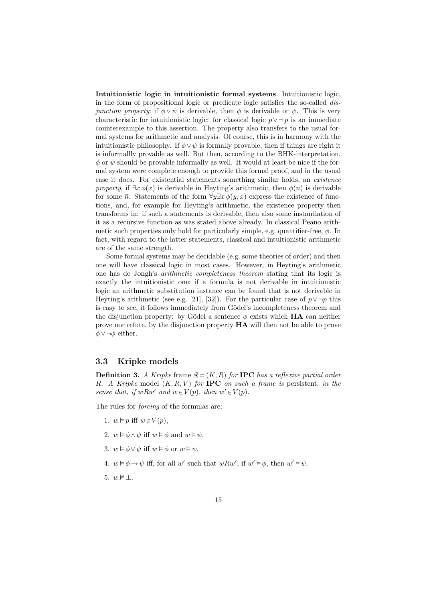Intuitionistic logic in intuitionistic formal systems. Intuitionistic logic, in the form of propositional logic or predicate logic satisfies the so-called disjunction property: if  $\phi \vee \psi$  is derivable, then  $\phi$  is derivable or  $\psi$ . This is very characteristic for intuitionistic logic: for classical logic  $p \vee \neg p$  is an immediate counterexample to this assertion. The property also transfers to the usual formal systems for arithmetic and analysis. Of course, this is in harmony with the intuitionistic philosophy. If  $\phi \vee \psi$  is formally provable, then if things are right it is informallly provable as well. But then, according to the BHK-interpretation,  $\phi$  or  $\psi$  should be provable informally as well. It would at least be nice if the formal system were complete enough to provide this formal proof, and in the usual case it does. For existential statements something similar holds, an existence property, if  $\exists x \phi(x)$  is derivable in Heyting's arithmetic, then  $\phi(\bar{n})$  is derivable for some  $\bar{n}$ . Statements of the form  $\forall y \exists x \phi(y, x)$  express the existence of functions, and, for example for Heyting's arithmetic, the existence property then transforms in: if such a statements is derivable, then also some instantiation of it as a recursive function as was stated above already. In classical Peano arithmetic such properties only hold for particularly simple, e.g. quantifier-free,  $\phi$ . In fact, with regard to the latter statements, classical and intuitionistic arithmetic are of the same strength.

Some formal systems may be decidable (e.g. some theories of order) and then one will have classical logic in most cases. However, in Heyting's arithmetic one has de Jongh's arithmetic completeness theorem stating that its logic is exactly the intuitionistic one: if a formula is not derivable in intuitionistic logic an arithmetic substitution instance can be found that is not derivable in Heyting's arithmetic (see e.g. [21], [32]). For the particular case of  $p \vee \neg p$  this is easy to see, it follows immediately from Gödel's incompleteness theorem and the disjunction property: by Gödel a sentence  $\phi$  exists which **HA** can neither prove nor refute, by the disjunction property HA will then not be able to prove  $\phi \vee \neg \phi$  either.

#### 3.3 Kripke models

**Definition 3.** A Kripke frame  $\mathfrak{K} = (K, R)$  for **IPC** has a reflexive partial order R. A Kripke model  $(K, R, V)$  for **IPC** on such a frame is persistent, in the sense that, if  $wRw'$  and  $w \in V(p)$ , then  $w' \in V(p)$ .

The rules for forcing of the formulas are:

- 1.  $w \models p$  iff  $w \in V(p)$ ,
- 2.  $w \models \phi \land \psi$  iff  $w \models \phi$  and  $w \models \psi$ ,
- 3.  $w \models \phi \lor \psi$  iff  $w \models \phi$  or  $w \models \psi$ ,
- 4.  $w \models \phi \rightarrow \psi$  iff, for all w' such that  $wRw'$ , if  $w' \models \phi$ , then  $w' \models \psi$ ,
- 5.  $w \not\models \bot$ .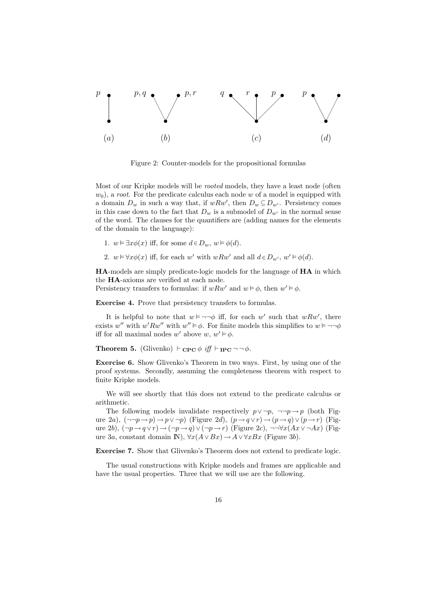

Figure 2: Counter-models for the propositional formulas

Most of our Kripke models will be rooted models, they have a least node (often  $w_0$ , a root. For the predicate calculus each node w of a model is equipped with a domain  $D_w$  in such a way that, if  $wRw'$ , then  $D_w \subseteq D_{w'}$ . Persistency comes in this case down to the fact that  $D_w$  is a submodel of  $D_{w'}$  in the normal sense of the word. The clauses for the quantifiers are (adding names for the elements of the domain to the language):

- 1.  $w \vDash \exists x \phi(x)$  iff, for some  $d \in D_w$ ,  $w \vDash \phi(d)$ .
- 2.  $w \models \forall x \phi(x)$  iff, for each w' with  $wRw'$  and all  $d \in D_{w'}$ ,  $w' \models \phi(d)$ .

HA-models are simply predicate-logic models for the language of HA in which the HA-axioms are verified at each node.

Persistency transfers to formulas: if  $wRw'$  and  $w \models \phi$ , then  $w' \models \phi$ .

Exercise 4. Prove that persistency transfers to formulas.

It is helpful to note that  $w \models \neg \neg \phi$  iff, for each w' such that  $wRw'$ , there exists w'' with  $w' R w''$  with  $w'' \models \phi$ . For finite models this simplifies to  $w \models \neg \neg \phi$ iff for all maximal nodes w' above  $w, w' \models \phi$ .

**Theorem 5.** (Glivenko)  $\vdash_{\text{CPC}} \phi \text{ iff } \vdash_{\text{IPC}} \neg \neg \phi$ .

Exercise 6. Show Glivenko's Theorem in two ways. First, by using one of the proof systems. Secondly, assuming the completeness theorem with respect to finite Kripke models.

We will see shortly that this does not extend to the predicate calculus or arithmetic.

The following models invalidate respectively  $p \vee \neg p$ ,  $\neg \neg p \rightarrow p$  (both Figure 2a),  $(\neg\neg p \rightarrow p) \rightarrow p \lor \neg p)$  (Figure 2d),  $(p \rightarrow q \lor r) \rightarrow (p \rightarrow q) \lor (p \rightarrow r)$  (Figure 2b),  $(\neg p \rightarrow q \lor r) \rightarrow (\neg p \rightarrow q) \lor (\neg p \rightarrow r)$  (Figure 2c),  $\neg\neg\forall x(Ax \lor \neg Ax)$  (Figure 3a, constant domain IN),  $\forall x(A \lor Bx) \rightarrow A \lor \forall xBx$  (Figure 3b).

Exercise 7. Show that Glivenko's Theorem does not extend to predicate logic.

The usual constructions with Kripke models and frames are applicable and have the usual properties. Three that we will use are the following.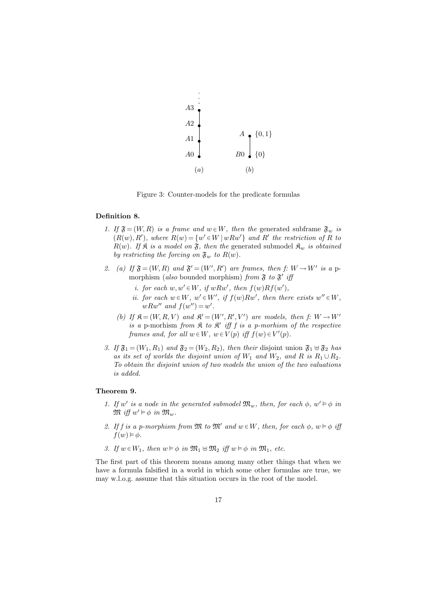

Figure 3: Counter-models for the predicate formulas

#### Definition 8.

- 1. If  $\mathfrak{F} = (W, R)$  is a frame and  $w \in W$ , then the generated subframe  $\mathfrak{F}_w$  is  $(R(w), R')$ , where  $R(w) = \{w' \in W \mid wRw'\}$  and  $R'$  the restriction of R to  $R(w)$ . If  $\mathfrak K$  is a model on  $\mathfrak F$ , then the generated submodel  $\mathfrak K_w$  is obtained by restricting the forcing on  $\mathfrak{F}_w$  to  $R(w)$ .
- 2. (a) If  $\mathfrak{F} = (W, R)$  and  $\mathfrak{F}' = (W', R')$  are frames, then f:  $W \to W'$  is a pmorphism (also bounded morphism) from  $\mathfrak F$  to  $\mathfrak F'$  iff
	- i. for each  $w, w' \in W$ , if  $wRw'$ , then  $f(w)Rf(w')$ ,
	- ii. for each  $w \in W$ ,  $w' \in W'$ , if  $f(w)Rw'$ , then there exists  $w'' \in W$ ,  $wRw''$  and  $f(w'') = w'$ .
	- (b) If  $\mathfrak{K} = (W, R, V)$  and  $\mathfrak{K}' = (W', R', V')$  are models, then  $f: W \to W'$ is a p-morhism from  $\mathfrak K$  to  $\mathfrak K'$  iff f is a p-morhism of the respective frames and, for all  $w \in W$ ,  $w \in V(p)$  iff  $f(w) \in V'(p)$ .
- 3. If  $\mathfrak{F}_1 = (W_1, R_1)$  and  $\mathfrak{F}_2 = (W_2, R_2)$ , then their disjoint union  $\mathfrak{F}_1 \oplus \mathfrak{F}_2$  has as its set of worlds the disjoint union of  $W_1$  and  $W_2$ , and R is  $R_1 \cup R_2$ . To obtain the disjoint union of two models the union of the two valuations is added.

#### Theorem 9.

- 1. If w' is a node in the generated submodel  $\mathfrak{M}_w$ , then, for each  $\phi$ ,  $w' \vDash \phi$  in  $\mathfrak{M}$  iff  $w' \vDash \phi$  in  $\mathfrak{M}_w$ .
- 2. If f is a p-morphism from  $\mathfrak{M}$  to  $\mathfrak{M}'$  and  $w \in W$ , then, for each  $\phi$ ,  $w \models \phi$  iff  $f(w) \vDash \phi$ .
- 3. If  $w \in W_1$ , then  $w \vDash \phi$  in  $\mathfrak{M}_1 \oplus \mathfrak{M}_2$  iff  $w \vDash \phi$  in  $\mathfrak{M}_1$ , etc.

The first part of this theorem means among many other things that when we have a formula falsified in a world in which some other formulas are true, we may w.l.o.g. assume that this situation occurs in the root of the model.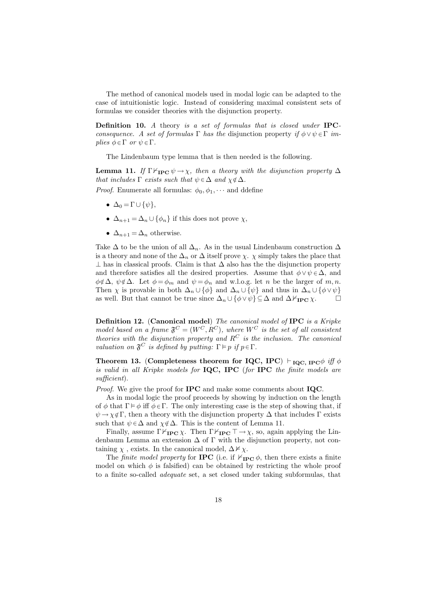The method of canonical models used in modal logic can be adapted to the case of intuitionistic logic. Instead of considering maximal consistent sets of formulas we consider theories with the disjunction property.

Definition 10. A theory is a set of formulas that is closed under IPCconsequence. A set of formulas Γ has the disjunction property if  $\phi \vee \psi \in \Gamma$  implies  $\phi \in \Gamma$  or  $\psi \in \Gamma$ .

The Lindenbaum type lemma that is then needed is the following.

**Lemma 11.** If  $\Gamma \nvdash_{\mathbf{IPC}} \psi \to \chi$ , then a theory with the disjunction property  $\Delta$ that includes  $\Gamma$  exists such that  $\psi \in \Delta$  and  $\chi \notin \Delta$ .

*Proof.* Enumerate all formulas:  $\phi_0, \phi_1, \cdots$  and ddefine

- $\Delta_0 = \Gamma \cup \{\psi\},\$
- $\Delta_{n+1} = \Delta_n \cup {\phi_n}$  if this does not prove  $\chi$ ,
- $\Delta_{n+1} = \Delta_n$  otherwise.

Take  $\Delta$  to be the union of all  $\Delta_n$ . As in the usual Lindenbaum construction  $\Delta$ is a theory and none of the  $\Delta_n$  or  $\Delta$  itself prove  $\chi$ .  $\chi$  simply takes the place that  $\perp$  has in classical proofs. Claim is that  $\Delta$  also has the the disjunction property and therefore satisfies all the desired properties. Assume that  $\phi \vee \psi \in \Delta$ , and  $\phi \notin \Delta$ ,  $\psi \notin \Delta$ . Let  $\phi = \phi_m$  and  $\psi = \phi_n$  and w.l.o.g. let n be the larger of m, n. Then  $\chi$  is provable in both  $\Delta_n \cup {\phi}$  and  $\Delta_n \cup {\psi}$  and thus in  $\Delta_n \cup {\phi \vee \psi}$ as well. But that cannot be true since  $\Delta_n \cup {\phi \vee \psi} \subseteq \Delta$  and  $\Delta \nvdash_{\text{IPC}} \chi$ .  $\Box$ 

Definition 12. (Canonical model) The canonical model of IPC is a Kripke model based on a frame  $\mathfrak{F}^C = (W^C, R^C)$ , where  $W^C$  is the set of all consistent theories with the disjunction property and  $R^C$  is the inclusion. The canonical valuation on  $\mathfrak{F}^C$  is defined by putting:  $\Gamma \models p$  if  $p \in \Gamma$ .

Theorem 13. (Completeness theorem for IQC, IPC)  $\vdash_{\text{IQC, IPC}} \phi$  iff  $\phi$ is valid in all Kripke models for IQC, IPC (for IPC the finite models are sufficient).

Proof. We give the proof for **IPC** and make some comments about **IQC**.

As in modal logic the proof proceeds by showing by induction on the length of φ that  $\Gamma \models \phi$  iff  $\phi \in \Gamma$ . The only interesting case is the step of showing that, if  $\psi \to \chi \notin \Gamma$ , then a theory with the disjunction property  $\Delta$  that includes  $\Gamma$  exists such that  $\psi \in \Delta$  and  $\chi \notin \Delta$ . This is the content of Lemma 11.

Finally, assume  $\Gamma \nvdash_{\mathbf{IPC}} \chi$ . Then  $\Gamma \nvdash_{\mathbf{IPC}} \Gamma \rightarrow \chi$ , so, again applying the Lindenbaum Lemma an extension  $\Delta$  of  $\Gamma$  with the disjunction property, not containing  $\chi$ , exists. In the canonical model,  $\Delta \not\models \chi$ .

The *finite model property* for **IPC** (i.e. if  $\nvdash_{\textbf{IPC}} \phi$ , then there exists a finite model on which  $\phi$  is falsified) can be obtained by restricting the whole proof to a finite so-called adequate set, a set closed under taking subformulas, that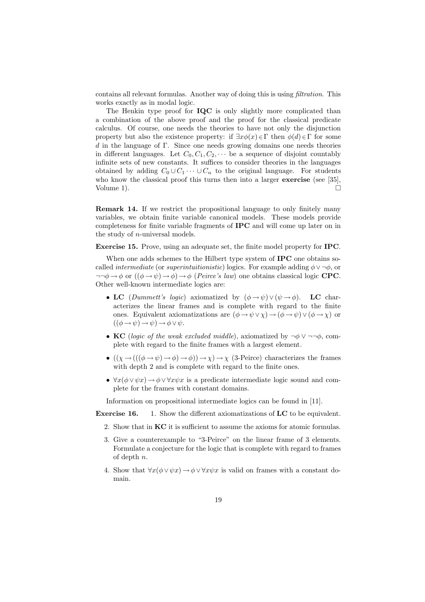contains all relevant formulas. Another way of doing this is using filtration. This works exactly as in modal logic.

The Henkin type proof for **IQC** is only slightly more complicated than a combination of the above proof and the proof for the classical predicate calculus. Of course, one needs the theories to have not only the disjunction property but also the existence property: if  $\exists x \phi(x) \in \Gamma$  then  $\phi(d) \in \Gamma$  for some d in the language of Γ. Since one needs growing domains one needs theories in different languages. Let  $C_0, C_1, C_2, \cdots$  be a sequence of disjoint countably infinite sets of new constants. It suffices to consider theories in the languages obtained by adding  $C_0 \cup C_1 \cdots \cup C_n$  to the original language. For students who know the classical proof this turns then into a larger **exercise** (see [35], Volume 1).  $\Box$ 

Remark 14. If we restrict the propositional language to only finitely many variables, we obtain finite variable canonical models. These models provide completeness for finite variable fragments of IPC and will come up later on in the study of n-universal models.

Exercise 15. Prove, using an adequate set, the finite model property for IPC.

When one adds schemes to the Hilbert type system of **IPC** one obtains socalled *intermediate* (or *superintuitionistic*) logics. For example adding  $\phi \vee \neg \phi$ , or  $\neg\neg \phi \rightarrow \phi$  or  $((\phi \rightarrow \psi) \rightarrow \phi) \rightarrow \phi$  (*Peirce's law*) one obtains classical logic **CPC**. Other well-known intermediate logics are:

- LC (Dummett's logic) axiomatized by  $(\phi \rightarrow \psi) \vee (\psi \rightarrow \phi)$ . LC characterizes the linear frames and is complete with regard to the finite ones. Equivalent axiomatizations are  $(\phi \to \psi \lor \chi) \to (\phi \to \psi) \lor (\phi \to \chi)$  or  $((\phi \rightarrow \psi) \rightarrow \psi) \rightarrow \phi \vee \psi$ .
- KC (logic of the weak excluded middle), axiomatized by  $\neg \phi \lor \neg \neg \phi$ , complete with regard to the finite frames with a largest element.
- $((\chi \to (((\phi \to \psi) \to \phi) \to \phi)) \to \chi) \to \chi$  (3-Peirce) characterizes the frames with depth 2 and is complete with regard to the finite ones.
- $\forall x(\phi \lor \psi x) \rightarrow \phi \lor \forall x \psi x$  is a predicate intermediate logic sound and complete for the frames with constant domains.

Information on propositional intermediate logics can be found in [11].

Exercise 16. 1. Show the different axiomatizations of LC to be equivalent.

- 2. Show that in KC it is sufficient to assume the axioms for atomic formulas.
- 3. Give a counterexample to "3-Peirce" on the linear frame of 3 elements. Formulate a conjecture for the logic that is complete with regard to frames of depth n.
- 4. Show that  $\forall x(\phi \lor \psi x) \rightarrow \phi \lor \forall x \psi x$  is valid on frames with a constant domain.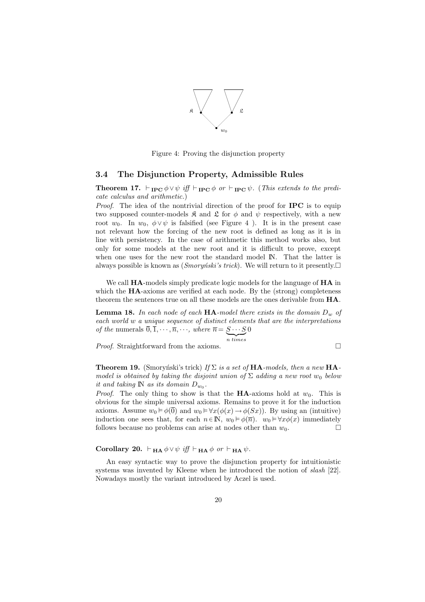

Figure 4: Proving the disjunction property

#### 3.4 The Disjunction Property, Admissible Rules

**Theorem 17.**  $\vdash_{\text{IPC}} \phi \lor \psi$  iff  $\vdash_{\text{IPC}} \phi$  or  $\vdash_{\text{IPC}} \psi$ . (This extends to the predicate calculus and arithmetic.)

Proof. The idea of the nontrivial direction of the proof for **IPC** is to equip two supposed counter-models  $\mathfrak K$  and  $\mathfrak L$  for  $\phi$  and  $\psi$  respectively, with a new root  $w_0$ . In  $w_0$ ,  $\phi \vee \psi$  is falsified (see Figure 4). It is in the present case not relevant how the forcing of the new root is defined as long as it is in line with persistency. In the case of arithmetic this method works also, but only for some models at the new root and it is difficult to prove, except when one uses for the new root the standard model IN. That the latter is always possible is known as (*Smoryński's trick*). We will return to it presently. $\Box$ 

We call **HA**-models simply predicate logic models for the language of **HA** in which the  $HA$ -axioms are verified at each node. By the (strong) completeness theorem the sentences true on all these models are the ones derivable from HA.

**Lemma 18.** In each node of each  $HA$ -model there exists in the domain  $D_w$  of each world w a unique sequence of distinct elements that are the interpretations of the numerals  $0, 1, \dots, \overline{n}, \dots$ , where  $\overline{n} = S \dots S$  $\overline{n}$  times  $\theta$ 

*Proof.* Straightforward from the axioms.  $\Box$ 

**Theorem 19.** (Smoryński's trick) If  $\Sigma$  is a set of HA-models, then a new HAmodel is obtained by taking the disjoint union of  $\Sigma$  adding a new root  $w_0$  below it and taking  $\mathbb N$  as its domain  $D_{w_0}$ .

*Proof.* The only thing to show is that the **HA**-axioms hold at  $w_0$ . This is obvious for the simple universal axioms. Remains to prove it for the induction axioms. Assume  $w_0 \models \phi(\overline{0})$  and  $w_0 \models \forall x(\phi(x) \rightarrow \phi(Sx))$ . By using an (intuitive) induction one sees that, for each  $n \in \mathbb{N}$ ,  $w_0 \vDash \phi(\overline{n})$ ,  $w_0 \vDash \forall x \phi(x)$  immediately follows because no problems can arise at nodes other than  $w_0$ .

Corollary 20.  $\vdash_{HA} \phi \vee \psi$  iff  $\vdash_{HA} \phi$  or  $\vdash_{HA} \psi$ .

An easy syntactic way to prove the disjunction property for intuitionistic systems was invented by Kleene when he introduced the notion of slash [22]. Nowadays mostly the variant introduced by Aczel is used.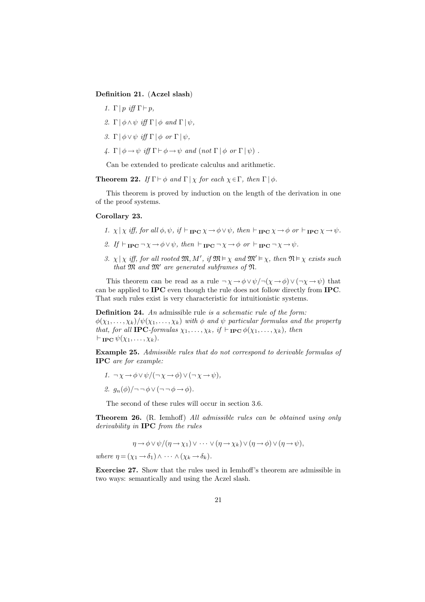Definition 21. (Aczel slash)

- 1.  $\Gamma | p$  iff  $\Gamma \vdash p$ .
- 2. Γ  $\phi \wedge \psi$  iff  $\Gamma \phi$  and  $\Gamma \psi$ ,
- 3. Γ $|\phi \vee \psi|$  iff  $\Gamma |\phi|$  or  $\Gamma |\psi|$ ,
- 4. Γ  $\phi \rightarrow \psi$  iff  $\Gamma \vdash \phi \rightarrow \psi$  and (not  $\Gamma \vdash \phi$  or  $\Gamma \vdash \psi$ ).

Can be extended to predicate calculus and arithmetic.

**Theorem 22.** If  $\Gamma \vdash \phi$  and  $\Gamma \vdash \chi$  for each  $\chi \in \Gamma$ , then  $\Gamma \vdash \phi$ .

This theorem is proved by induction on the length of the derivation in one of the proof systems.

#### Corollary 23.

- 1.  $\chi | \chi \text{ iff, for all } \phi, \psi, \text{ if } \vdash_{\text{IPC}} \chi \to \phi \lor \psi, \text{ then } \vdash_{\text{IPC}} \chi \to \phi \text{ or } \vdash_{\text{IPC}} \chi \to \psi.$
- 2. If  $\vdash_{\text{IPC}} \neg \chi \rightarrow \phi \vee \psi$ , then  $\vdash_{\text{IPC}} \neg \chi \rightarrow \phi$  or  $\vdash_{\text{IPC}} \neg \chi \rightarrow \psi$ .
- 3.  $\chi | \chi$  iff, for all rooted  $\mathfrak{M}, M'$ , if  $\mathfrak{M} \models \chi$  and  $\mathfrak{M}' \models \chi$ , then  $\mathfrak{N} \models \chi$  exists such that  $\mathfrak{M}$  and  $\mathfrak{M}'$  are generated subframes of  $\mathfrak{N}$ .

This theorem can be read as a rule  $\neg \chi \rightarrow \phi \lor \psi / \neg (\chi \rightarrow \phi) \lor (\neg \chi \rightarrow \psi)$  that can be applied to IPC even though the rule does not follow directly from IPC. That such rules exist is very characteristic for intuitionistic systems.

Definition 24. An admissible rule is a schematic rule of the form:  $\phi(\chi_1,\ldots,\chi_k)/\psi(\chi_1,\ldots,\chi_k)$  with  $\phi$  and  $\psi$  particular formulas and the property that, for all **IPC**-formulas  $\chi_1, \ldots, \chi_k$ , if  $\vdash_{\textbf{IPC}} \phi(\chi_1, \ldots, \chi_k)$ , then  $\vdash_{\textbf{IPC}} \psi(\chi_1, \ldots, \chi_k).$ 

Example 25. Admissible rules that do not correspond to derivable formulas of IPC are for example:

- 1.  $\neg \chi \rightarrow \phi \lor \psi / (\neg \chi \rightarrow \phi) \lor (\neg \chi \rightarrow \psi),$
- 2.  $q_n(\phi)/\neg\neg\phi \vee (\neg\neg\phi \rightarrow \phi)$ .

The second of these rules will occur in section 3.6.

Theorem 26. (R. Iemhoff) All admissible rules can be obtained using only derivability in IPC from the rules

$$
\eta \to \phi \lor \psi/(\eta \to \chi_1) \lor \cdots \lor (\eta \to \chi_k) \lor (\eta \to \phi) \lor (\eta \to \psi),
$$

where  $\eta = (\chi_1 \rightarrow \delta_1) \land \cdots \land (\chi_k \rightarrow \delta_k).$ 

Exercise 27. Show that the rules used in Iemhoff's theorem are admissible in two ways: semantically and using the Aczel slash.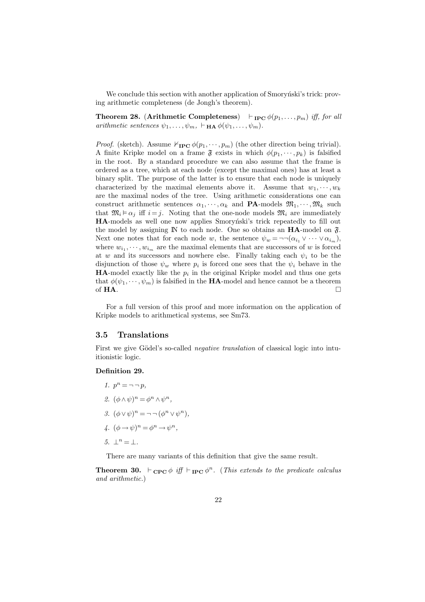We conclude this section with another application of Smorynski's trick: proving arithmetic completeness (de Jongh's theorem).

**Theorem 28.** (Arithmetic Completeness)  $\vdash_{\text{IPC}} \phi(p_1, \ldots, p_m)$  iff, for all arithmetic sentences  $\psi_1, \ldots, \psi_m, \vdash_{\mathbf{HA}} \phi(\psi_1, \ldots, \psi_m).$ 

*Proof.* (sketch). Assume  $\nvdash_{\mathbf{IPC}} \phi(p_1, \dots, p_m)$  (the other direction being trivial). A finite Kripke model on a frame  $\mathfrak F$  exists in which  $\phi(p_1, \dots, p_k)$  is falsified in the root. By a standard procedure we can also assume that the frame is ordered as a tree, which at each node (except the maximal ones) has at least a binary split. The purpose of the latter is to ensure that each node is uniquely characterized by the maximal elements above it. Assume that  $w_1, \dots, w_k$ are the maximal nodes of the tree. Using arithmetic considerations one can construct arithmetic sentences  $\alpha_1, \dots, \alpha_k$  and **PA**-models  $\mathfrak{M}_1, \dots, \mathfrak{M}_k$  such that  $\mathfrak{M}_i \models \alpha_j$  iff  $i = j$ . Noting that the one-node models  $\mathfrak{M}_i$  are immediately HA-models as well one now applies Smorynski's trick repeatedly to fill out the model by assigning  $\mathbb N$  to each node. One so obtains an **HA**-model on  $\mathfrak{F}$ . Next one notes that for each node w, the sentence  $\psi_w = \neg \neg (\alpha_{i_1} \vee \cdots \vee \alpha_{i_m}),$ where  $w_{i_1}, \dots, w_{i_m}$  are the maximal elements that are successors of w is forced at w and its successors and nowhere else. Finally taking each  $\psi_i$  to be the disjunction of those  $\psi_w$  where  $p_i$  is forced one sees that the  $\psi_i$  behave in the **HA**-model exactly like the  $p_i$  in the original Kripke model and thus one gets that  $\phi(\psi_1, \dots, \psi_m)$  is falsified in the **HA**-model and hence cannot be a theorem of HA.  $\Box$ 

For a full version of this proof and more information on the application of Kripke models to arithmetical systems, see Sm73.

#### 3.5 Translations

First we give Gödel's so-called *negative translation* of classical logic into intuitionistic logic.

#### Definition 29.

- 1.  $p^n = \neg \neg p$ ,
- 2.  $(\phi \wedge \psi)^n = \phi^n \wedge \psi^n$ ,
- 3.  $(\phi \vee \psi)^n = \neg \neg (\phi^n \vee \psi^n),$
- 4.  $(\phi \rightarrow \psi)^n = \phi^n \rightarrow \psi^n$ ,
- 5.  $\perp^n = \perp$ .

There are many variants of this definition that give the same result.

**Theorem 30.**  $\vdash_{\text{CPC}} \phi$  iff  $\vdash_{\text{IPC}} \phi^n$ . (This extends to the predicate calculus and arithmetic.)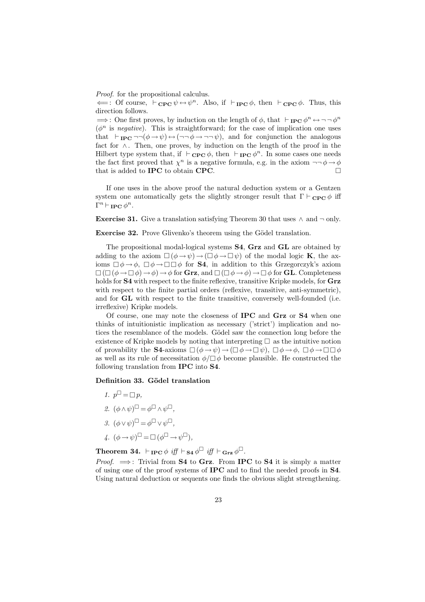Proof. for the propositional calculus.

 $\Leftarrow$ : Of course,  $\vdash_{\mathbf{CPC}} \psi \leftrightarrow \psi^n$ . Also, if  $\vdash_{\mathbf{IPC}} \phi$ , then  $\vdash_{\mathbf{CPC}} \phi$ . Thus, this direction follows.

 $\Rightarrow$ : One first proves, by induction on the length of  $\phi$ , that  $\vdash_{\textbf{IPC}} \phi^n \leftrightarrow \neg \neg \phi^n$  $(\phi^n)$  is negative). This is straightforward; for the case of implication one uses that  $\vdash_{\text{IPC}} \neg \neg (\phi \rightarrow \psi) \leftrightarrow (\neg \neg \phi \rightarrow \neg \neg \psi)$ , and for conjunction the analogous fact for ∧. Then, one proves, by induction on the length of the proof in the Hilbert type system that, if  $\vdash_{\mathbf{CPC}} \phi$ , then  $\vdash_{\mathbf{IPC}} \phi^n$ . In some cases one needs the fact first proved that  $\chi^n$  is a negative formula, e.g. in the axiom  $\neg\neg \phi \rightarrow \phi$ that is added to **IPC** to obtain **CPC**.

If one uses in the above proof the natural deduction system or a Gentzen system one automatically gets the slightly stronger result that  $\Gamma \vdash_{\mathbf{CPC}} \phi$  iff  $\Gamma^n \vdash_{\textbf{IPC}} \phi^n.$ 

Exercise 31. Give a translation satisfying Theorem 30 that uses  $\land$  and  $\neg$  only.

Exercise 32. Prove Glivenko's theorem using the Gödel translation.

The propositional modal-logical systems S4, Grz and GL are obtained by adding to the axiom  $\square(\phi \rightarrow \psi) \rightarrow (\square \phi \rightarrow \square \psi)$  of the modal logic **K**, the axioms  $\Box \phi \rightarrow \phi$ ,  $\Box \phi \rightarrow \Box \Box \phi$  for **S4**, in addition to this Grzegorczyk's axiom  $\square$  ( $\square$  ( $\phi \rightarrow \square \phi$ )  $\rightarrow \phi$ )  $\rightarrow \phi$  for **Grz**, and  $\square$  ( $\square \phi \rightarrow \phi$ )  $\rightarrow \square \phi$  for **GL**. Completeness holds for **S4** with respect to the finite reflexive, transitive Kripke models, for **Grz** with respect to the finite partial orders (reflexive, transitive, anti-symmetric), and for GL with respect to the finite transitive, conversely well-founded (i.e. irreflexive) Kripke models.

Of course, one may note the closeness of IPC and Grz or S4 when one thinks of intuitionistic implication as necessary ('strict') implication and notices the resemblance of the models. Gödel saw the connection long before the existence of Kripke models by noting that interpreting  $\Box$  as the intuitive notion of provability the **S4**-axioms  $\Box(\phi \rightarrow \psi) \rightarrow (\Box \phi \rightarrow \Box \psi)$ ,  $\Box \phi \rightarrow \phi$ ,  $\Box \phi \rightarrow \Box \Box \phi$ as well as its rule of necessitation  $\phi/\Box \phi$  become plausible. He constructed the following translation from IPC into S4.

#### Definition 33. Gödel translation

- 1.  $p^{\Box} = \Box p$ , 2.  $(\phi \wedge \psi)^\square = \phi^\square \wedge \psi^\square$ ,
- 3.  $(\phi \vee \psi)^\square = \phi^\square \vee \psi^\square$ ,
- 4.  $(\phi \rightarrow \psi)^\square = \square (\phi^\square \rightarrow \psi^\square),$

Theorem 34.  $\vdash_{\text{IPC}} \phi \text{ iff } \vdash_{\text{S4}} \phi^{\Box} \text{ iff } \vdash_{\text{Grz}} \phi^{\Box}.$ 

*Proof.*  $\implies$ : Trivial from **S4** to **Grz.** From **IPC** to **S4** it is simply a matter of using one of the proof systems of IPC and to find the needed proofs in S4. Using natural deduction or sequents one finds the obvious slight strengthening.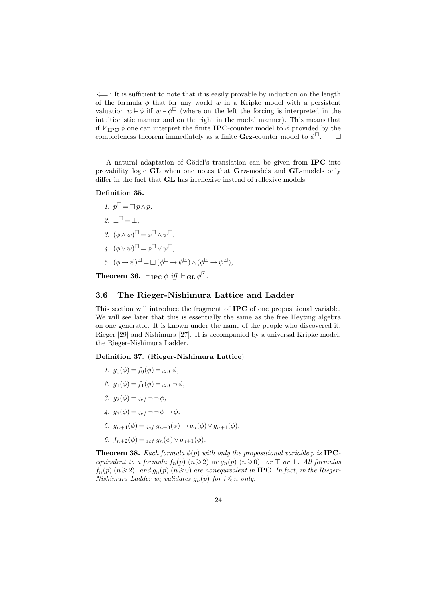$\leftarrow$ : It is sufficient to note that it is easily provable by induction on the length of the formula  $\phi$  that for any world w in a Kripke model with a persistent valuation  $w \models \phi$  iff  $w \models \phi^{\Box}$  (where on the left the forcing is interpreted in the intuitionistic manner and on the right in the modal manner). This means that if  $\mathbb{F}_{\text{IPC}} \phi$  one can interpret the finite **IPC**-counter model to  $\phi$  provided by the completeness theorem immediately as a finite **Grz**-counter model to  $\phi^{\Box}$ .

A natural adaptation of Gödel's translation can be given from **IPC** into provability logic GL when one notes that Grz-models and GL-models only differ in the fact that **GL** has irreflexive instead of reflexive models.

#### Definition 35.

1.  $p^{\Box} = \Box p \wedge p$ , 2.  $\mathbf{1}^{\square} = \mathbf{1}$ . 3.  $(\phi \wedge \psi)^\square = \phi^\square \wedge \psi^\square$ , 4.  $(\phi \vee \psi)^\square = \phi^\square \vee \psi^\square$ , 5.  $(\phi \to \psi)^{\square} = \square (\phi^{\square} \to \psi^{\square}) \wedge (\phi^{\square} \to \psi^{\square}),$ 

Theorem 36.  $\vdash_{\textbf{IPC}} \phi \text{ iff } \vdash_{\textbf{GL}} \phi^{\Box}$ .

#### 3.6 The Rieger-Nishimura Lattice and Ladder

This section will introduce the fragment of IPC of one propositional variable. We will see later that this is essentially the same as the free Heyting algebra on one generator. It is known under the name of the people who discovered it: Rieger [29] and Nishimura [27]. It is accompanied by a universal Kripke model: the Rieger-Nishimura Ladder.

Definition 37. (Rieger-Nishimura Lattice)

- 1.  $g_0(\phi) = f_0(\phi) =_{def} \phi$ ,
- 2.  $g_1(\phi) = f_1(\phi) =_{def} \neg \phi$ ,
- 3.  $g_2(\phi) =_{def} \neg \neg \phi$ ,
- $\psi_1$ ,  $g_3(\phi) =_{def} \neg \neg \phi \rightarrow \phi$ .
- 5.  $q_{n+4}(\phi) =_{def} q_{n+3}(\phi) \rightarrow q_n(\phi) \vee q_{n+1}(\phi)$ ,
- 6.  $f_{n+2}(\phi) =_{def} q_n(\phi) \vee q_{n+1}(\phi)$ .

**Theorem 38.** Each formula  $\phi(p)$  with only the propositional variable p is **IPC**equivalent to a formula  $f_n(p)$   $(n\geqslant 2)$  or  $g_n(p)$   $(n\geqslant 0)$  or  $\top$  or  $\bot$ . All formulas  $f_n(p)$   $(n\geqslant 2)$  and  $g_n(p)$   $(n\geqslant 0)$  are nonequivalent in **IPC**. In fact, in the Rieger-Nishimura Ladder  $w_i$  validates  $g_n(p)$  for  $i \leq n$  only.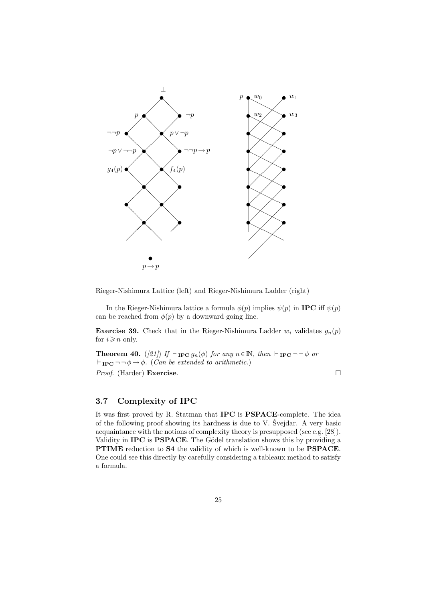

Rieger-Nishimura Lattice (left) and Rieger-Nishimura Ladder (right)

In the Rieger-Nishimura lattice a formula  $\phi(p)$  implies  $\psi(p)$  in **IPC** iff  $\psi(p)$ can be reached from  $\phi(p)$  by a downward going line.

**Exercise 39.** Check that in the Rieger-Nishimura Ladder  $w_i$  validates  $g_n(p)$ for  $i \geq n$  only.

**Theorem 40.** ([21]) If  $\vdash_{\textbf{IPC}} g_n(\phi)$  for any  $n \in \mathbb{N}$ , then  $\vdash_{\textbf{IPC}} \neg \neg \phi$  or  $\vdash_{\text{IPC}} \neg \neg \phi \rightarrow \phi$ . (Can be extended to arithmetic.) Proof. (Harder) Exercise. □

#### 3.7 Complexity of IPC

It was first proved by R. Statman that IPC is PSPACE-complete. The idea of the following proof showing its hardness is due to  $V$ . Svejdar. A very basic acquaintance with the notions of complexity theory is presupposed (see e.g. [28]). Validity in IPC is PSPACE. The Gödel translation shows this by providing a PTIME reduction to S4 the validity of which is well-known to be PSPACE. One could see this directly by carefully considering a tableaux method to satisfy a formula.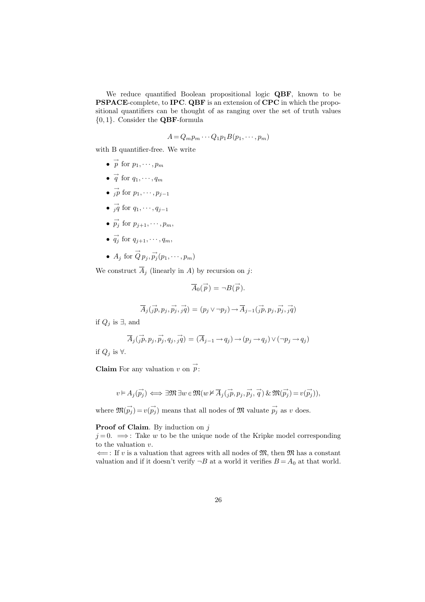We reduce quantified Boolean propositional logic QBF, known to be PSPACE-complete, to IPC. QBF is an extension of CPC in which the propositional quantifiers can be thought of as ranging over the set of truth values {0, 1}. Consider the QBF-formula

$$
A = Q_m p_m \cdots Q_1 p_1 B(p_1, \cdots, p_m)
$$

with B quantifier-free. We write

- $\vec{p}$  for  $p_1, \dots, p_m$
- $\vec{q}$  for  $q_1, \dots, q_m$
- $\overrightarrow{jp}$  for  $p_1, \dots, p_{j-1}$
- $\overrightarrow{q}$  for  $q_1, \dots, q_{j-1}$
- $\vec{p}_j$  for  $p_{j+1}, \dots, p_m$ ,
- $\overrightarrow{q_j}$  for  $q_{j+1}, \dots, q_m$ ,
- $A_j$  for  $\overrightarrow{Q} p_j, \overrightarrow{p_j}(p_1, \dots, p_m)$

We construct  $\overline{A}_i$  (linearly in A) by recursion on j:

$$
\overrightarrow{A}_0(\overrightarrow{p}) = \neg B(\overrightarrow{p}).
$$

$$
\overrightarrow{A}_{j}(\overrightarrow{jp},p_{j},\overrightarrow{p_{j}},\overrightarrow{jq})=(p_{j}\vee\neg p_{j})\rightarrow\overrightarrow{A}_{j-1}(\overrightarrow{jp},p_{j},\overrightarrow{p_{j}},\overrightarrow{jq})
$$

if  $Q_j$  is ∃, and

$$
\overrightarrow{A}_{j}(\overrightarrow{jp}, p_{j}, \overrightarrow{p_{j}}, q_{j}, \overrightarrow{jq}) = (\overrightarrow{A}_{j-1} \rightarrow q_{j}) \rightarrow (p_{j} \rightarrow q_{j}) \vee (\neg p_{j} \rightarrow q_{j})
$$

if  $Q_i$  is  $\forall$ .

**Claim** For any valuation v on  $\vec{p}$ :

$$
v \vDash A_j(\overrightarrow{p_j}) \iff \exists \mathfrak{M} \exists w \in \mathfrak{M}(w \nvDash \overline{A}_j(\overrightarrow{jp}, p_j, \overrightarrow{p_j}, \overrightarrow{q}) \& \mathfrak{M}(\overrightarrow{p_j}) = v(\overrightarrow{p_j})),
$$

where  $\mathfrak{M}(\vec{p}_j) = v(\vec{p}_j)$  means that all nodes of  $\mathfrak{M}$  valuate  $\vec{p}_j$  as v does.

Proof of Claim. By induction on j

 $j = 0. \implies$ : Take w to be the unique node of the Kripke model corresponding to the valuation v.

 $\Leftarrow$ : If v is a valuation that agrees with all nodes of M, then M has a constant valuation and if it doesn't verify  $\neg B$  at a world it verifies  $B = A_0$  at that world.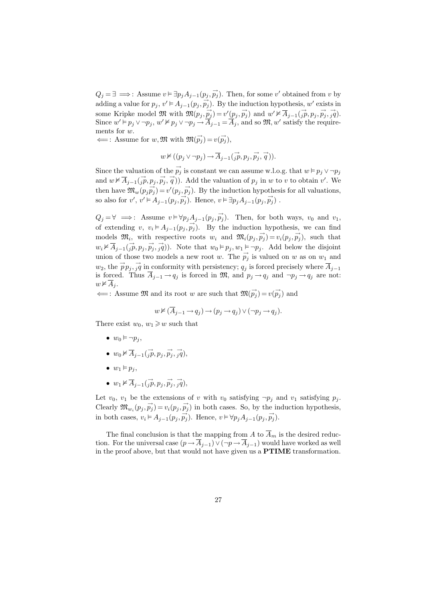$Q_j = \exists \implies$ : Assume  $v \models \exists p_j A_{j-1}(p_j, \vec{p_j})$ . Then, for some v' obtained from v by adding a value for  $p_j$ ,  $v' \models A_{j-1}(p_j, p_j)$ . By the induction hypothesis, w' exists in some Kripke model  $\mathfrak{M}$  with  $\mathfrak{M}(p_j, \vec{p}_j) = v'(p_j, \vec{p}_j)$  and  $w' \nvDash \overline{A}_{j-1}(\vec{jp}, p_j, \vec{p}_j, \vec{q})$ . Since  $w' \models p_j \vee \neg p_j$ ,  $w' \nvDash p_j \vee \neg p_j \rightarrow \overline{A}_{j-1} = \overline{A}_j$ , and so  $\mathfrak{M}, w'$  satisfy the requirements for w.

 $\Longleftarrow$ : Assume for w, M with  $\mathfrak{M}(\vec{p_j}) = v(\vec{p_j}),$ 

$$
w \nvDash ((p_j \vee \neg p_j) \rightarrow \overline{A}_{j-1}(\overrightarrow{jp}, p_j, \overrightarrow{p_j}, \overrightarrow{q})).
$$

Since the valuation of the  $\vec{p}_j$  is constant we can assume w.l.o.g. that  $w \models p_j \vee \neg p_j$ and  $w \nvDash \overline{A}_{j-1}(\overrightarrow{jp}, p_j, \overrightarrow{p_j}, \overrightarrow{q}))$ . Add the valuation of  $p_j$  in w to v to obtain v'. We then have  $\mathfrak{M}_w(p_j \vec{p}_j) = v'(p_j, \vec{p}_j)$ . By the induction hypothesis for all valuations, so also for  $v'$ ,  $v' \models A_{j-1}(p_j, p_j)$ . Hence,  $v \models \exists p_j A_{j-1}(p_j, p_j)$ .

 $Q_j = \forall \implies$ : Assume  $v \models \forall p_j A_{j-1}(p_j, \vec{p_j})$ . Then, for both ways,  $v_0$  and  $v_1$ , of extending v,  $v_i \models A_{j-1}(p_j, \vec{p}_j)$ . By the induction hypothesis, we can find models  $\mathfrak{M}_i$ , with respective roots  $w_i$  and  $\mathfrak{M}_i(p_j, \vec{p}_j) = v_i(p_j, \vec{p}_j)$ , such that  $w_i \nvDash \overline{A}_{j-1}(\overrightarrow{jp}, p_j, \overrightarrow{p_j}, \overrightarrow{q}))$ . Note that  $w_0 \vDash p_j, w_1 \vDash \neg p_j$ . Add below the disjoint union of those two models a new root w. The  $\vec{p}_j$  is valued on w as on  $w_1$  and  $w_2$ , the  $\overrightarrow{p}_{p_j}, \overrightarrow{j}_q$  in conformity with persistency;  $q_j$  is forced precisely where  $\overline{A}_{j-1}$ is forced. Thus  $\overline{A}_{j-1} \to q_j$  is forced in  $\mathfrak{M}$ , and  $p_j \to q_j$  and  $\neg p_j \to q_j$  are not:  $w \nvdash A_i$ .

 $\Leftarrow$ : Assume M and its root w are such that  $\mathfrak{M}(\vec{p}_j) = v(\vec{p}_j)$  and

$$
w \nvDash (\overline{A}_{j-1} \rightarrow q_j) \rightarrow (p_j \rightarrow q_j) \vee (\neg p_j \rightarrow q_j).
$$

There exist  $w_0, w_1 \geq w$  such that

- $w_0 \vDash \neg p_i$ ,
- $w_0 \nvDash \overrightarrow{A}_{j-1}(\overrightarrow{jp}, p_j, \overrightarrow{p_j}, \overrightarrow{jq}),$
- $w_1 \vDash p_i$ ,
- $w_1 \nvDash \overrightarrow{A}_{j-1}(\overrightarrow{jp}, p_j, \overrightarrow{p_j}, \overrightarrow{jq}),$

Let  $v_0$ ,  $v_1$  be the extensions of v with  $v_0$  satisfying  $\neg p_i$  and  $v_1$  satisfying  $p_i$ . Clearly  $\mathfrak{M}_{w_i}(p_j, \vec{p_j}) = v_i(p_j, \vec{p_j})$  in both cases. So, by the induction hypothesis, in both cases,  $v_i \models A_{j-1}(p_j, \vec{p}_j)$ . Hence,  $v \models \forall p_j A_{j-1}(p_j, \vec{p}_j)$ .

The final conclusion is that the mapping from A to  $\overline{A}_m$  is the desired reduction. For the universal case  $(p \rightarrow \overline{A}_{j-1}) \vee (\neg p \rightarrow \overline{A}_{j-1})$  would have worked as well in the proof above, but that would not have given us a PTIME transformation.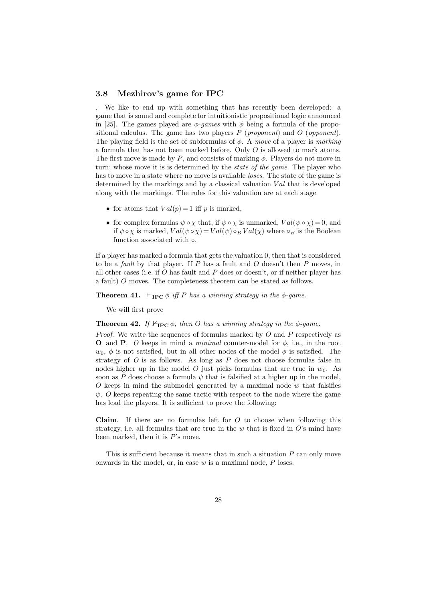#### 3.8 Mezhirov's game for IPC

. We like to end up with something that has recently been developed: a game that is sound and complete for intuitionistic propositional logic announced in [25]. The games played are  $\phi$ -games with  $\phi$  being a formula of the propositional calculus. The game has two players  $P$  (proponent) and  $O$  (opponent). The playing field is the set of subformulas of  $\phi$ . A move of a player is marking a formula that has not been marked before. Only  $O$  is allowed to mark atoms. The first move is made by  $P$ , and consists of marking  $\phi$ . Players do not move in turn; whose move it is is determined by the *state of the game*. The player who has to move in a state where no move is available *loses*. The state of the game is determined by the markings and by a classical valuation  $Val$  that is developed along with the markings. The rules for this valuation are at each stage

- for atoms that  $Val(p) = 1$  iff p is marked,
- for complex formulas  $\psi \circ \chi$  that, if  $\psi \circ \chi$  is unmarked,  $Val(\psi \circ \chi) = 0$ , and if  $\psi \circ \chi$  is marked,  $Val(\psi \circ \chi) = Val(\psi) \circ_B Val(\chi)$  where  $\circ_B$  is the Boolean function associated with  $\circ$ .

If a player has marked a formula that gets the valuation 0, then that is considered to be a *fault* by that player. If P has a fault and O doesn't then P moves, in all other cases (i.e. if  $O$  has fault and  $P$  does or doesn't, or if neither player has a fault) O moves. The completeness theorem can be stated as follows.

**Theorem 41.**  $\vdash_{\text{IPC}} \phi$  iff P has a winning strategy in the  $\phi$ -game.

We will first prove

**Theorem 42.** If  $\nvDash_{\text{IPC}} \phi$ , then O has a winning strategy in the  $\phi$ -game.

*Proof.* We write the sequences of formulas marked by  $O$  and  $P$  respectively as **O** and **P**. O keeps in mind a *minimal* counter-model for  $\phi$ , i.e., in the root  $w_0$ ,  $\phi$  is not satisfied, but in all other nodes of the model  $\phi$  is satisfied. The strategy of  $O$  is as follows. As long as  $P$  does not choose formulas false in nodes higher up in the model O just picks formulas that are true in  $w_0$ . As soon as P does choose a formula  $\psi$  that is falsified at a higher up in the model,  $O$  keeps in mind the submodel generated by a maximal node  $w$  that falsifies  $\psi$ . O keeps repeating the same tactic with respect to the node where the game has lead the players. It is sufficient to prove the following:

**Claim.** If there are no formulas left for  $O$  to choose when following this strategy, i.e. all formulas that are true in the  $w$  that is fixed in  $O$ 's mind have been marked, then it is  $P$ 's move.

This is sufficient because it means that in such a situation  $P$  can only move onwards in the model, or, in case  $w$  is a maximal node,  $P$  loses.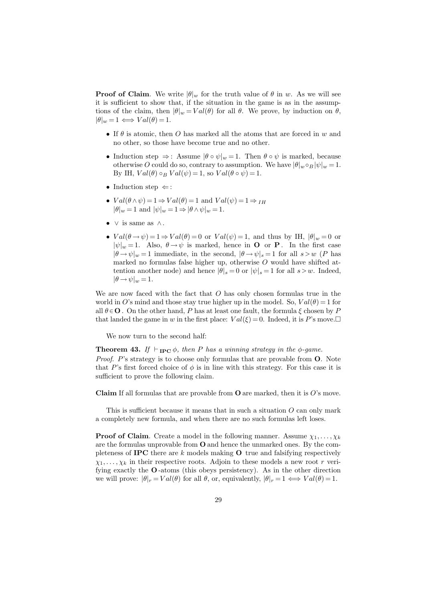**Proof of Claim.** We write  $|\theta|_w$  for the truth value of  $\theta$  in w. As we will see it is sufficient to show that, if the situation in the game is as in the assumptions of the claim, then  $|\theta|_w = Val(\theta)$  for all  $\theta$ . We prove, by induction on  $\theta$ ,  $|\theta|_w = 1 \iff Val(\theta) = 1.$ 

- If  $\theta$  is atomic, then O has marked all the atoms that are forced in w and no other, so those have become true and no other.
- Induction step  $\Rightarrow$ : Assume  $|\theta \circ \psi|_w = 1$ . Then  $\theta \circ \psi$  is marked, because otherwise O could do so, contrary to assumption. We have  $|\theta|_w \circ_B |\psi|_w = 1$ . By IH,  $Val(\theta) \circ_B Val(\psi) = 1$ , so  $Val(\theta \circ \psi) = 1$ .
- Induction step  $\Leftarrow$ :
- $Val(\theta \wedge \psi) = 1 \Rightarrow Val(\theta) = 1$  and  $Val(\psi) = 1 \Rightarrow IH$  $|\theta|_w = 1$  and  $|\psi|_w = 1 \Rightarrow |\theta \wedge \psi|_w = 1$ .
- $\vee$  is same as  $\wedge$ .
- $Val(\theta \rightarrow \psi) = 1 \Rightarrow Val(\theta) = 0$  or  $Val(\psi) = 1$ , and thus by IH,  $|\theta|_w = 0$  or  $|\psi|_w = 1$ . Also,  $\theta \to \psi$  is marked, hence in **O** or **P**. In the first case  $|\theta \rightarrow \psi|_{w} = 1$  immediate, in the second,  $|\theta \rightarrow \psi|_{s} = 1$  for all  $s > w$  (P has marked no formulas false higher up, otherwise  $O$  would have shifted attention another node) and hence  $|\theta|_s = 0$  or  $|\psi|_s = 1$  for all  $s > w$ . Indeed,  $|\theta \rightarrow \psi|_w = 1.$

We are now faced with the fact that  $O$  has only chosen formulas true in the world in O's mind and those stay true higher up in the model. So,  $Val(\theta) = 1$  for all  $\theta \in \mathbf{O}$ . On the other hand, P has at least one fault, the formula  $\xi$  chosen by P that landed the game in w in the first place:  $Val(\xi) = 0$ . Indeed, it is P's move.

We now turn to the second half:

sufficient to prove the following claim.

**Theorem 43.** If  $\vdash_{\text{IPC}} \phi$ , then P has a winning strategy in the  $\phi$ -game. Proof. P's strategy is to choose only formulas that are provable from **O**. Note that P's first forced choice of  $\phi$  is in line with this strategy. For this case it is

**Claim** If all formulas that are provable from  $O$  are marked, then it is  $O$ 's move.

This is sufficient because it means that in such a situation  $O$  can only mark a completely new formula, and when there are no such formulas left loses.

**Proof of Claim.** Create a model in the following manner. Assume  $\chi_1, \ldots, \chi_k$ are the formulas unprovable from O and hence the unmarked ones. By the completeness of **IPC** there are k models making  $\bf{O}$  true and falsifying respectively  $\chi_1, \ldots, \chi_k$  in their respective roots. Adjoin to these models a new root r verifying exactly the O -atoms (this obeys persistency). As in the other direction we will prove:  $|\theta|_r = Val(\theta)$  for all  $\theta$ , or, equivalently,  $|\theta|_r = 1 \iff Val(\theta) = 1$ .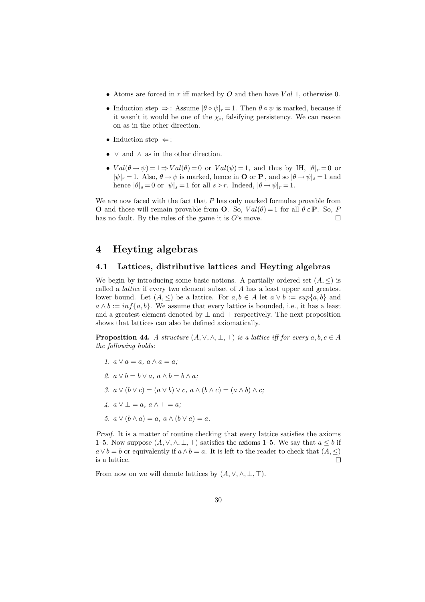- Atoms are forced in r iff marked by O and then have  $Val$  1, otherwise 0.
- Induction step  $\Rightarrow$ : Assume  $|\theta \circ \psi|_r = 1$ . Then  $\theta \circ \psi$  is marked, because if it wasn't it would be one of the  $\chi_i$ , falsifying persistency. We can reason on as in the other direction.
- Induction step  $\Leftarrow$ :
- $\vee$  and  $\wedge$  as in the other direction.
- $Val(\theta \rightarrow \psi) = 1 \Rightarrow Val(\theta) = 0$  or  $Val(\psi) = 1$ , and thus by IH,  $|\theta|_r = 0$  or  $|\psi|_r = 1$ . Also,  $\theta \to \psi$  is marked, hence in **O** or **P**, and so  $|\theta \to \psi|_s = 1$  and hence  $|\theta|_s = 0$  or  $|\psi|_s = 1$  for all  $s > r$ . Indeed,  $|\theta \rightarrow \psi|_r = 1$ .

We are now faced with the fact that  $P$  has only marked formulas provable from **O** and those will remain provable from **O**. So,  $Val(\theta) = 1$  for all  $\theta \in \mathbf{P}$ . So, P has no fault. By the rules of the game it is  $O$ 's move.  $\Box$ 

## 4 Heyting algebras

#### 4.1 Lattices, distributive lattices and Heyting algebras

We begin by introducing some basic notions. A partially ordered set  $(A, \leq)$  is called a lattice if every two element subset of A has a least upper and greatest lower bound. Let  $(A, \leq)$  be a lattice. For  $a, b \in A$  let  $a \vee b := sup\{a, b\}$  and  $a \wedge b := \inf\{a, b\}.$  We assume that every lattice is bounded, i.e., it has a least and a greatest element denoted by  $\perp$  and  $\top$  respectively. The next proposition shows that lattices can also be defined axiomatically.

**Proposition 44.** A structure  $(A, \vee, \wedge, \bot, \top)$  is a lattice iff for every  $a, b, c \in A$ the following holds:

1.  $a \vee a = a$ ,  $a \wedge a = a$ ; 2.  $a \vee b = b \vee a$ ,  $a \wedge b = b \wedge a$ ; 3.  $a \vee (b \vee c) = (a \vee b) \vee c, a \wedge (b \wedge c) = (a \wedge b) \wedge c$ ; 4.  $a \vee \bot = a, a \wedge \top = a;$ 5.  $a \vee (b \wedge a) = a, a \wedge (b \vee a) = a$ .

Proof. It is a matter of routine checking that every lattice satisfies the axioms 1–5. Now suppose  $(A, \vee, \wedge, \bot, \top)$  satisfies the axioms 1–5. We say that  $a \leq b$  if  $a \vee b = b$  or equivalently if  $a \wedge b = a$ . It is left to the reader to check that  $(A, \leq)$ is a lattice.  $\Box$ 

From now on we will denote lattices by  $(A, \vee, \wedge, \perp, \top)$ .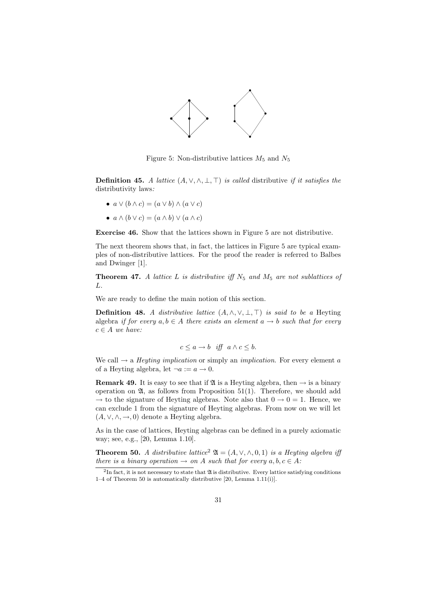

Figure 5: Non-distributive lattices  $M_5$  and  $N_5$ 

**Definition 45.** A lattice  $(A, \vee, \wedge, \bot, \top)$  is called distributive if it satisfies the distributivity laws:

• 
$$
a \lor (b \land c) = (a \lor b) \land (a \lor c)
$$

•  $a \wedge (b \vee c) = (a \wedge b) \vee (a \wedge c)$ 

Exercise 46. Show that the lattices shown in Figure 5 are not distributive.

The next theorem shows that, in fact, the lattices in Figure 5 are typical examples of non-distributive lattices. For the proof the reader is referred to Balbes and Dwinger [1].

**Theorem 47.** A lattice L is distributive iff  $N_5$  and  $M_5$  are not sublattices of L.

We are ready to define the main notion of this section.

**Definition 48.** A distributive lattice  $(A, \wedge, \vee, \perp, \top)$  is said to be a Heyting algebra if for every  $a, b \in A$  there exists an element  $a \to b$  such that for every  $c \in A$  we have:

$$
c \le a \to b \quad \text{iff} \quad a \wedge c \le b.
$$

We call  $\rightarrow$  a *Heyting implication* or simply an *implication*. For every element a of a Heyting algebra, let  $\neg a := a \rightarrow 0$ .

**Remark 49.** It is easy to see that if  $\mathfrak{A}$  is a Heyting algebra, then  $\rightarrow$  is a binary operation on  $\mathfrak{A}$ , as follows from Proposition 51(1). Therefore, we should add  $\rightarrow$  to the signature of Heyting algebras. Note also that  $0 \rightarrow 0 = 1$ . Hence, we can exclude 1 from the signature of Heyting algebras. From now on we will let  $(A, \vee, \wedge, \rightarrow, 0)$  denote a Heyting algebra.

As in the case of lattices, Heyting algebras can be defined in a purely axiomatic way; see, e.g., [20, Lemma 1.10].

**Theorem 50.** A distributive lattice<sup>2</sup>  $\mathfrak{A} = (A, \vee, \wedge, 0, 1)$  is a Heyting algebra iff there is a binary operation  $\rightarrow$  on A such that for every  $a, b, c \in A$ :

<sup>&</sup>lt;sup>2</sup>In fact, it is not necessary to state that  $\mathfrak A$  is distributive. Every lattice satisfying conditions 1–4 of Theorem 50 is automatically distributive [20, Lemma 1.11(i)].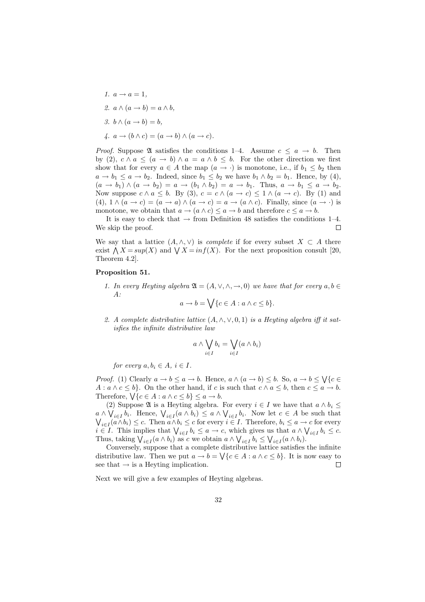1.  $a \rightarrow a = 1$ , 2.  $a \wedge (a \rightarrow b) = a \wedge b$ , 3.  $b \wedge (a \rightarrow b) = b$ , 4.  $a \rightarrow (b \land c) = (a \rightarrow b) \land (a \rightarrow c)$ .

*Proof.* Suppose  $\mathfrak A$  satisfies the conditions 1–4. Assume  $c \leq a \to b$ . Then by (2),  $c \wedge a \leq (a \rightarrow b) \wedge a = a \wedge b \leq b$ . For the other direction we first show that for every  $a \in A$  the map  $(a \to \cdot)$  is monotone, i.e., if  $b_1 \leq b_2$  then  $a \to b_1 \leq a \to b_2$ . Indeed, since  $b_1 \leq b_2$  we have  $b_1 \wedge b_2 = b_1$ . Hence, by (4),  $(a \rightarrow b_1) \land (a \rightarrow b_2) = a \rightarrow (b_1 \land b_2) = a \rightarrow b_1$ . Thus,  $a \rightarrow b_1 \leq a \rightarrow b_2$ . Now suppose  $c \wedge a \leq b$ . By (3),  $c = c \wedge (a \rightarrow c) \leq 1 \wedge (a \rightarrow c)$ . By (1) and (4),  $1 \wedge (a \rightarrow c) = (a \rightarrow a) \wedge (a \rightarrow c) = a \rightarrow (a \wedge c)$ . Finally, since  $(a \rightarrow c)$  is monotone, we obtain that  $a \to (a \land c) \leq a \to b$  and therefore  $c \leq a \to b$ .

It is easy to check that  $\rightarrow$  from Definition 48 satisfies the conditions 1–4. We skip the proof.  $\Box$ 

We say that a lattice  $(A, \wedge, \vee)$  is *complete* if for every subset  $X \subset A$  there exist  $\bigwedge X = \sup(X)$  and  $\bigvee X = \inf(X)$ . For the next proposition consult [20, Theorem 4.2].

#### Proposition 51.

1. In every Heyting algebra  $\mathfrak{A} = (A, \vee, \wedge, \rightarrow, 0)$  we have that for every  $a, b \in$  $A$ :

$$
a \to b = \bigvee \{c \in A : a \wedge c \leq b\}.
$$

2. A complete distributive lattice  $(A, \wedge, \vee, 0, 1)$  is a Heyting algebra iff it satisfies the infinite distributive law

$$
a \wedge \bigvee_{i \in I} b_i = \bigvee_{i \in I} (a \wedge b_i)
$$

for every  $a, b \in A$ ,  $i \in I$ .

*Proof.* (1) Clearly  $a \to b \le a \to b$ . Hence,  $a \wedge (a \to b) \le b$ . So,  $a \to b \le \sqrt{c \in b}$  $A: a \wedge c \leq b$ . On the other hand, if c is such that  $c \wedge a \leq b$ , then  $c \leq a \rightarrow b$ . Therefore,  $\bigvee \{c \in A : a \wedge c \leq b\} \leq a \rightarrow b$ .

(2) Suppose  $\mathfrak A$  is a Heyting algebra. For every  $i \in I$  we have that  $a \wedge b_i \leq$  $a \wedge \bigvee_{i \in I} b_i$ . Hence,  $\bigvee_{i \in I} (a \wedge b_i) \leq a \wedge \bigvee_{i \in I} b_i$ . Now let  $c \in A$  be such that  $\bigvee_{i\in I} (a\wedge b_i) \leq c$ . Then  $a\wedge b_i \leq c$  for every  $i \in I$ . Therefore,  $b_i \leq a \rightarrow c$  for every  $i \in I$ . This implies that  $\bigvee_{i \in I} b_i \le a \to c$ , which gives us that  $a \wedge \bigvee_{i \in I} b_i \le c$ . Thus, taking  $\bigvee_{i \in I} (a \wedge b_i)$  as c we obtain  $a \wedge \bigvee_{i \in I} b_i \leq \bigvee_{i \in I} (a \wedge b_i)$ .

Conversely, suppose that a complete distributive lattice satisfies the infinite distributive law. Then we put  $a \to b = \bigvee \{c \in A : a \wedge c \leq b\}$ . It is now easy to see that  $\rightarrow$  is a Heyting implication.  $\Box$ 

Next we will give a few examples of Heyting algebras.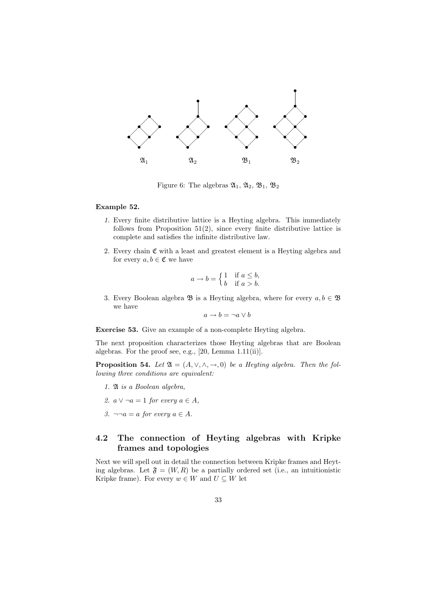

Figure 6: The algebras  $\mathfrak{A}_1, \mathfrak{A}_2, \mathfrak{B}_1, \mathfrak{B}_2$ 

#### Example 52.

- 1. Every finite distributive lattice is a Heyting algebra. This immediately follows from Proposition  $51(2)$ , since every finite distributive lattice is complete and satisfies the infinite distributive law.
- 2. Every chain  $\mathfrak C$  with a least and greatest element is a Heyting algebra and for every  $a, b \in \mathfrak{C}$  we have

$$
a \to b = \begin{cases} 1 & \text{if } a \le b, \\ b & \text{if } a > b. \end{cases}
$$

3. Every Boolean algebra  $\mathfrak{B}$  is a Heyting algebra, where for every  $a, b \in \mathfrak{B}$ we have

$$
a \to b = \neg a \lor b
$$

Exercise 53. Give an example of a non-complete Heyting algebra.

The next proposition characterizes those Heyting algebras that are Boolean algebras. For the proof see, e.g., [20, Lemma 1.11(ii)].

**Proposition 54.** Let  $\mathfrak{A} = (A, \vee, \wedge, \rightarrow, 0)$  be a Heyting algebra. Then the following three conditions are equivalent:

- 1. A is a Boolean algebra,
- 2.  $a \vee \neg a = 1$  for every  $a \in A$ ,
- 3.  $\neg \neg a = a$  for every  $a \in A$ .

## 4.2 The connection of Heyting algebras with Kripke frames and topologies

Next we will spell out in detail the connection between Kripke frames and Heyting algebras. Let  $\mathfrak{F} = (W, R)$  be a partially ordered set (i.e., an intuitionistic Kripke frame). For every  $w \in W$  and  $U \subseteq W$  let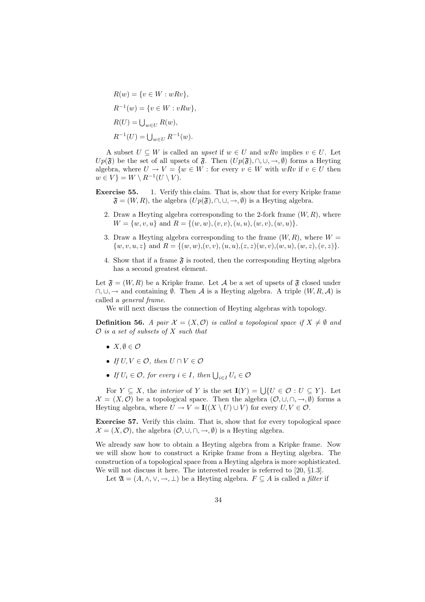$$
R(w) = \{v \in W : wRv\},
$$
  
\n
$$
R^{-1}(w) = \{v \in W : vRw\},
$$
  
\n
$$
R(U) = \bigcup_{w \in U} R(w),
$$
  
\n
$$
R^{-1}(U) = \bigcup_{w \in U} R^{-1}(w).
$$

A subset  $U \subseteq W$  is called an upset if  $w \in U$  and  $wRv$  implies  $v \in U$ . Let  $Up(\mathfrak{F})$  be the set of all upsets of  $\mathfrak{F}$ . Then  $(Up(\mathfrak{F}), \cap, \cup, \rightarrow, \emptyset)$  forms a Heyting algebra, where  $U \to V = \{w \in W : \text{for every } v \in W \text{ with } wRv \text{ if } v \in U \text{ then }$  $w \in V$ } =  $W \setminus R^{-1}(U \setminus V)$ .

- Exercise 55. 1. Verify this claim. That is, show that for every Kripke frame  $\mathfrak{F} = (W, R)$ , the algebra  $(Up(\mathfrak{F}), \cap, \cup, \rightarrow, \emptyset)$  is a Heyting algebra.
	- 2. Draw a Heyting algebra corresponding to the 2-fork frame  $(W, R)$ , where  $W = \{w, v, u\}$  and  $R = \{(w, w), (v, v), (u, u), (w, v), (w, u)\}.$
	- 3. Draw a Heyting algebra corresponding to the frame  $(W, R)$ , where  $W =$  $\{w, v, u, z\}$  and  $R = \{(w, w), (v, v), (u, u), (z, z)(w, v), (w, u), (w, z), (v, z)\}.$
	- 4. Show that if a frame  $\mathfrak F$  is rooted, then the corresponding Heyting algebra has a second greatest element.

Let  $\mathfrak{F} = (W, R)$  be a Kripke frame. Let A be a set of upsets of  $\mathfrak{F}$  closed under  $\cap$ ,  $\cup$ ,  $\rightarrow$  and containing  $\emptyset$ . Then A is a Heyting algebra. A triple  $(W, R, \mathcal{A})$  is called a general frame.

We will next discuss the connection of Heyting algebras with topology.

**Definition 56.** A pair  $\mathcal{X} = (X, \mathcal{O})$  is called a topological space if  $X \neq \emptyset$  and  $\mathcal O$  is a set of subsets of X such that

- $X, \emptyset \in \mathcal{O}$
- If  $U, V \in \mathcal{O}$ , then  $U \cap V \in \mathcal{O}$
- If  $U_i \in \mathcal{O}$ , for every  $i \in I$ , then  $\bigcup_{i \in I} U_i \in \mathcal{O}$

For  $Y \subseteq X$ , the *interior* of Y is the set  $I(Y) = \bigcup \{U \in \mathcal{O} : U \subseteq Y\}$ . Let  $\mathcal{X} = (X, \mathcal{O})$  be a topological space. Then the algebra  $(\mathcal{O}, \cup, \cap, \rightarrow, \emptyset)$  forms a Heyting algebra, where  $U \to V = I((X \setminus U) \cup V)$  for every  $U, V \in \mathcal{O}$ .

Exercise 57. Verify this claim. That is, show that for every topological space  $\mathcal{X} = (X, \mathcal{O})$ , the algebra  $(\mathcal{O}, \cup, \cap, \rightarrow, \emptyset)$  is a Heyting algebra.

We already saw how to obtain a Heyting algebra from a Kripke frame. Now we will show how to construct a Kripke frame from a Heyting algebra. The construction of a topological space from a Heyting algebra is more sophisticated. We will not discuss it here. The interested reader is referred to [20, §1.3].

Let  $\mathfrak{A} = (A, \wedge, \vee, \rightarrow, \perp)$  be a Heyting algebra.  $F \subseteq A$  is called a *filter* if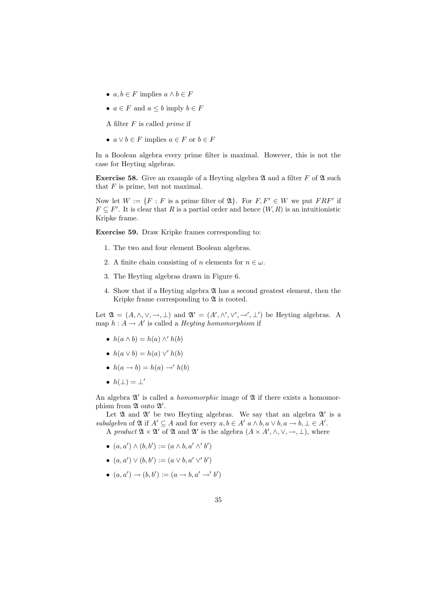- $a, b \in F$  implies  $a \wedge b \in F$
- $a \in F$  and  $a \leq b$  imply  $b \in F$
- A filter  $F$  is called *prime* if
- $a \vee b \in F$  implies  $a \in F$  or  $b \in F$

In a Boolean algebra every prime filter is maximal. However, this is not the case for Heyting algebras.

**Exercise 58.** Give an example of a Heyting algebra  $\mathfrak A$  and a filter F of  $\mathfrak A$  such that  $F$  is prime, but not maximal.

Now let  $W := \{F : F$  is a prime filter of  $\mathfrak{A}\}$ . For  $F, F' \in W$  we put  $FRF'$  if  $F \subseteq F'$ . It is clear that R is a partial order and hence  $(W, R)$  is an intuitionistic Kripke frame.

Exercise 59. Draw Kripke frames corresponding to:

- 1. The two and four element Boolean algebras.
- 2. A finite chain consisting of n elements for  $n \in \omega$ .
- 3. The Heyting algebras drawn in Figure 6.
- 4. Show that if a Heyting algebra A has a second greatest element, then the Kripke frame corresponding to  $\mathfrak A$  is rooted.

Let  $\mathfrak{A} = (A, \wedge, \vee, \rightarrow, \perp)$  and  $\mathfrak{A}' = (A', \wedge', \vee', \rightarrow', \perp')$  be Heyting algebras. A map  $h: A \to A'$  is called a *Heyting homomorphism* if

- $h(a \wedge b) = h(a) \wedge' h(b)$
- $h(a \vee b) = h(a) \vee' h(b)$
- $h(a \rightarrow b) = h(a) \rightarrow h(b)$
- $h(\perp) = \perp'$

An algebra  $\mathfrak{A}'$  is called a *homomorphic* image of  $\mathfrak A$  if there exists a homomorphism from  $\mathfrak A$  onto  $\mathfrak A'.$ 

Let  $\mathfrak A$  and  $\mathfrak A'$  be two Heyting algebras. We say that an algebra  $\mathfrak A'$  is a subalgebra of  $\mathfrak A$  if  $A' \subseteq A$  and for every  $a, b \in A'$   $a \wedge b, a \vee b, a \rightarrow b, \perp \in A'$ . A product  $\mathfrak{A} \times \mathfrak{A}'$  of  $\mathfrak{A}$  and  $\mathfrak{A}'$  is the algebra  $(A \times A', \wedge, \vee, \rightarrow, \bot)$ , where

- $(a, a') \wedge (b, b') := (a \wedge b, a' \wedge' b')$
- $(a, a') \vee (b, b') := (a \vee b, a' \vee b')$
- $(a, a') \to (b, b') := (a \to b, a' \to b')$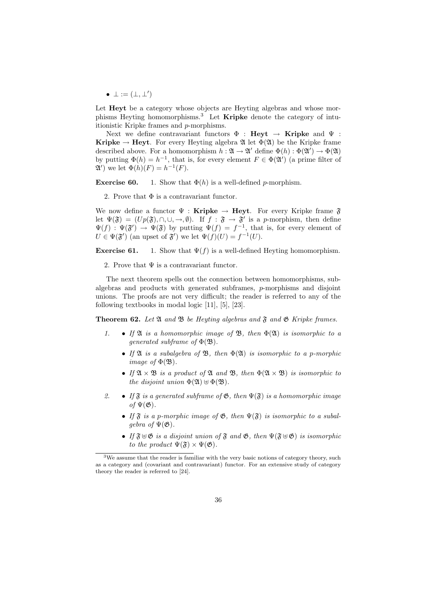•  $\bot := (\bot, \bot')$ 

Let **Heyt** be a category whose objects are Heyting algebras and whose morphisms Heyting homomorphisms.<sup>3</sup> Let **Kripke** denote the category of intuitionistic Kripke frames and p-morphisms.

Next we define contravariant functors  $\Phi$  : Heyt  $\rightarrow$  Kripke and  $\Psi$  : **Kripke**  $\rightarrow$  **Heyt**. For every Heyting algebra  $\mathfrak{A}$  let  $\Phi(\mathfrak{A})$  be the Kripke frame described above. For a homomorphism  $h: \mathfrak{A} \to \mathfrak{A}'$  define  $\Phi(h): \Phi(\mathfrak{A}') \to \Phi(\mathfrak{A})$ by putting  $\Phi(h) = h^{-1}$ , that is, for every element  $F \in \Phi(\mathfrak{A}^{\prime})$  (a prime filter of  $\mathfrak{A}'$ ) we let  $\Phi(h)(F) = h^{-1}(F)$ .

**Exercise 60.** 1. Show that  $\Phi(h)$  is a well-defined *p*-morphism.

2. Prove that  $\Phi$  is a contravariant functor.

We now define a functor  $\Psi :$  Kripke  $\rightarrow$  Heyt. For every Kripke frame  $\mathfrak{F}$ let  $\Psi(\mathfrak{F}) = (Up(\mathfrak{F}), \cap, \cup, \rightarrow, \emptyset)$ . If  $f : \mathfrak{F} \to \mathfrak{F}'$  is a p-morphism, then define  $\Psi(f) : \Psi(\mathfrak{F}') \to \Psi(\mathfrak{F})$  by putting  $\Psi(f) = f^{-1}$ , that is, for every element of  $U \in \Psi(\mathfrak{F}')$  (an upset of  $\mathfrak{F}')$  we let  $\Psi(f)(U) = f^{-1}(U)$ .

**Exercise 61.** 1. Show that  $\Psi(f)$  is a well-defined Heyting homomorphism.

2. Prove that  $\Psi$  is a contravariant functor.

The next theorem spells out the connection between homomorphisms, subalgebras and products with generated subframes, p-morphisms and disjoint unions. The proofs are not very difficult; the reader is referred to any of the following textbooks in modal logic [11], [5], [23].

**Theorem 62.** Let  $\mathfrak A$  and  $\mathfrak B$  be Heyting algebras and  $\mathfrak F$  and  $\mathfrak G$  Kripke frames.

- 1. If  $\mathfrak A$  is a homomorphic image of  $\mathfrak B$ , then  $\Phi(\mathfrak A)$  is isomorphic to a qenerated subframe of  $\Phi(\mathfrak{B})$ .
	- If  $\mathfrak A$  is a subalgebra of  $\mathfrak B$ , then  $\Phi(\mathfrak A)$  is isomorphic to a p-morphic *image of*  $\Phi(\mathfrak{B})$ .
	- If  $\mathfrak{A} \times \mathfrak{B}$  is a product of  $\mathfrak{A}$  and  $\mathfrak{B}$ , then  $\Phi(\mathfrak{A} \times \mathfrak{B})$  is isomorphic to the disjoint union  $\Phi(\mathfrak{A}) \oplus \Phi(\mathfrak{B})$ .
- 2. If  $\mathfrak{F}$  is a generated subframe of  $\mathfrak{G}$ , then  $\Psi(\mathfrak{F})$  is a homomorphic image of  $\Psi(\mathfrak{G})$ .
	- If  $\mathfrak F$  is a p-morphic image of  $\mathfrak G$ , then  $\Psi(\mathfrak F)$  is isomorphic to a subalqebra of  $\Psi(\mathfrak{G})$ .
	- If  $\mathfrak{F} \oplus \mathfrak{G}$  is a disjoint union of  $\mathfrak{F}$  and  $\mathfrak{G}$ , then  $\Psi(\mathfrak{F} \oplus \mathfrak{G})$  is isomorphic to the product  $\Psi(\mathfrak{F}) \times \Psi(\mathfrak{G})$ .

<sup>3</sup>We assume that the reader is familiar with the very basic notions of category theory, such as a category and (covariant and contravariant) functor. For an extensive study of category theory the reader is referred to [24].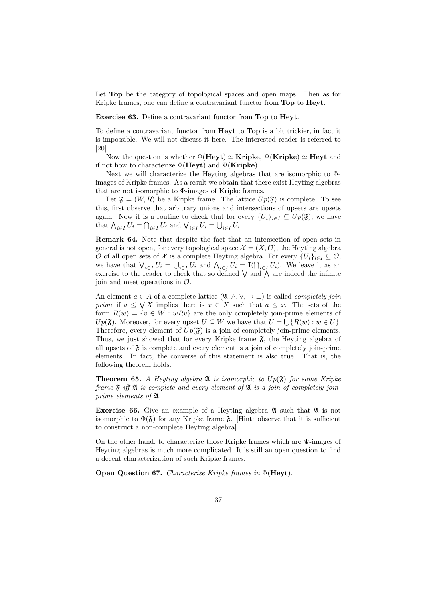Let **Top** be the category of topological spaces and open maps. Then as for Kripke frames, one can define a contravariant functor from Top to Heyt.

Exercise 63. Define a contravariant functor from Top to Heyt.

To define a contravariant functor from Heyt to Top is a bit trickier, in fact it is impossible. We will not discuss it here. The interested reader is referred to [20].

Now the question is whether  $\Phi(H_{ey}t) \simeq$  Kripke,  $\Psi(Kripke) \simeq$  Heyt and if not how to characterize  $\Phi(\text{Heyt})$  and  $\Psi(\text{Kripke})$ .

Next we will characterize the Heyting algebras that are isomorphic to Φimages of Kripke frames. As a result we obtain that there exist Heyting algebras that are not isomorphic to Φ-images of Kripke frames.

Let  $\mathfrak{F} = (W, R)$  be a Kripke frame. The lattice  $Up(\mathfrak{F})$  is complete. To see this, first observe that arbitrary unions and intersections of upsets are upsets again. Now it is a routine to check that for every  $\{U_i\}_{i\in I} \subseteq Up(\mathfrak{F})$ , we have that  $\bigwedge_{i\in I} U_i = \bigcap_{i\in I} U_i$  and  $\bigvee_{i\in I} U_i = \bigcup_{i\in I} U_i$ .

Remark 64. Note that despite the fact that an intersection of open sets in general is not open, for every topological space  $\mathcal{X} = (X, \mathcal{O})$ , the Heyting algebra O of all open sets of X is a complete Heyting algebra. For every  $\{U_i\}_{i\in I}\subseteq \mathcal{O}$ , we have that  $\bigvee_{i\in I} U_i = \bigcup_{i\in I} U_i$  and  $\bigwedge_{i\in I} U_i = \mathbf{I}(\bigcap_{i\in I} U_i)$ . We leave it as an exercise to the reader to check that so defined  $\bigvee$  and  $\bigwedge$  are indeed the infinite join and meet operations in  $\mathcal{O}$ .

An element  $a \in A$  of a complete lattice  $(\mathfrak{A}, \wedge, \vee, \rightarrow \bot)$  is called *completely join prime* if  $a \leq \bigvee X$  implies there is  $x \in X$  such that  $a \leq x$ . The sets of the form  $R(w) = \{v \in W : wRv\}$  are the only completely join-prime elements of  $Up(\mathfrak{F})$ . Moreover, for every upset  $U \subseteq W$  we have that  $U = \bigcup \{R(w) : w \in U\}$ . Therefore, every element of  $Up(\mathfrak{F})$  is a join of completely join-prime elements. Thus, we just showed that for every Kripke frame  $\mathfrak{F}$ , the Heyting algebra of all upsets of  $\mathfrak F$  is complete and every element is a join of completely join-prime elements. In fact, the converse of this statement is also true. That is, the following theorem holds.

**Theorem 65.** A Heyting algebra  $\mathfrak{A}$  is isomorphic to  $Up(\mathfrak{F})$  for some Kripke frame  $\mathfrak F$  iff  $\mathfrak A$  is complete and every element of  $\mathfrak A$  is a join of completely joinprime elements of A.

**Exercise 66.** Give an example of a Heyting algebra  $\mathfrak{A}$  such that  $\mathfrak{A}$  is not isomorphic to  $\Phi(\mathfrak{F})$  for any Kripke frame  $\mathfrak{F}$ . [Hint: observe that it is sufficient to construct a non-complete Heyting algebra].

On the other hand, to characterize those Kripke frames which are Ψ-images of Heyting algebras is much more complicated. It is still an open question to find a decent characterization of such Kripke frames.

Open Question 67. Characterize Kripke frames in Φ(Heyt).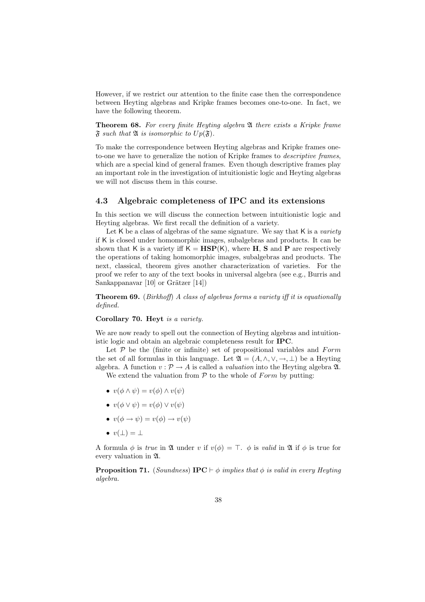However, if we restrict our attention to the finite case then the correspondence between Heyting algebras and Kripke frames becomes one-to-one. In fact, we have the following theorem.

Theorem 68. For every finite Heyting algebra  $\mathfrak A$  there exists a Kripke frame  $\mathfrak F$  such that  $\mathfrak A$  is isomorphic to  $Up(\mathfrak F)$ .

To make the correspondence between Heyting algebras and Kripke frames oneto-one we have to generalize the notion of Kripke frames to descriptive frames, which are a special kind of general frames. Even though descriptive frames play an important role in the investigation of intuitionistic logic and Heyting algebras we will not discuss them in this course.

#### 4.3 Algebraic completeness of IPC and its extensions

In this section we will discuss the connection between intuitionistic logic and Heyting algebras. We first recall the definition of a variety.

Let  $K$  be a class of algebras of the same signature. We say that  $K$  is a variety if K is closed under homomorphic images, subalgebras and products. It can be shown that K is a variety iff  $K = HSP(K)$ , where H, S and P are respectively the operations of taking homomorphic images, subalgebras and products. The next, classical, theorem gives another characterization of varieties. For the proof we refer to any of the text books in universal algebra (see e.g., Burris and Sankappanavar  $[10]$  or Grätzer  $[14]$ )

**Theorem 69.** (Birkhoff) A class of algebras forms a variety iff it is equationally defined.

Corollary 70. Heyt is a variety.

We are now ready to spell out the connection of Heyting algebras and intuitionistic logic and obtain an algebraic completeness result for IPC.

Let  $P$  be the (finite or infinite) set of propositional variables and  $Form$ the set of all formulas in this language. Let  $\mathfrak{A} = (A, \wedge, \vee, \rightarrow, \bot)$  be a Heyting algebra. A function  $v : \mathcal{P} \to A$  is called a *valuation* into the Heyting algebra  $\mathfrak{A}$ .

We extend the valuation from  $P$  to the whole of Form by putting:

- $v(\phi \land \psi) = v(\phi) \land v(\psi)$
- $v(\phi \vee \psi) = v(\phi) \vee v(\psi)$
- $v(\phi \rightarrow \psi) = v(\phi) \rightarrow v(\psi)$
- $v(\perp) = \perp$

A formula  $\phi$  is true in  $\mathfrak A$  under v if  $v(\phi) = \top$ .  $\phi$  is valid in  $\mathfrak A$  if  $\phi$  is true for every valuation in A.

**Proposition 71.** (Soundness) **IPC**  $\vdash \phi$  implies that  $\phi$  is valid in every Heyting algebra.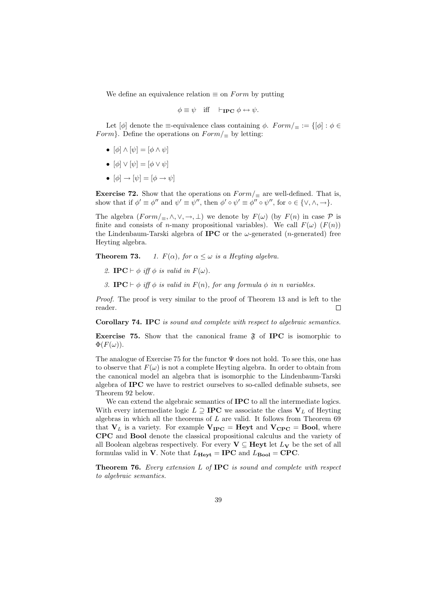We define an equivalence relation  $\equiv$  on Form by putting

$$
\phi \equiv \psi \quad \text{iff} \quad \vdash_{\mathbf{IPC}} \phi \leftrightarrow \psi.
$$

Let  $[\phi]$  denote the  $\equiv$ -equivalence class containing  $\phi$ .  $Form/_{\equiv} := \{ [\phi] : \phi \in$ Form}. Define the operations on  $Form/\equiv$  by letting:

- $[\phi] \wedge [\psi] = [\phi \wedge \psi]$
- $[\phi] \vee [\psi] = [\phi \vee \psi]$
- $[\phi] \rightarrow [\psi] = [\phi \rightarrow \psi]$

Exercise 72. Show that the operations on  $Form/\equiv$  are well-defined. That is, show that if  $\phi' \equiv \phi''$  and  $\psi' \equiv \psi''$ , then  $\phi' \circ \psi' \equiv \phi'' \circ \psi''$ , for  $\circ \in \{\vee, \wedge, \rightarrow\}.$ 

The algebra  $(Form/\equiv, \wedge, \vee, \rightarrow, \perp)$  we denote by  $F(\omega)$  (by  $F(n)$  in case  $\mathcal P$  is finite and consists of *n*-many propositional variables). We call  $F(\omega)$  ( $F(n)$ ) the Lindenbaum-Tarski algebra of **IPC** or the  $\omega$ -generated (*n*-generated) free Heyting algebra.

**Theorem 73.** 1.  $F(\alpha)$ , for  $\alpha \leq \omega$  is a Heyting algebra.

- 2. IPC  $\vdash \phi$  iff  $\phi$  is valid in  $F(\omega)$ .
- 3. IPC  $\vdash \phi$  iff  $\phi$  is valid in  $F(n)$ , for any formula  $\phi$  in n variables.

Proof. The proof is very similar to the proof of Theorem 13 and is left to the reader.  $\Box$ 

Corollary 74. IPC is sound and complete with respect to algebraic semantics.

**Exercise 75.** Show that the canonical frame  $\mathfrak{F}$  of **IPC** is isomorphic to  $\Phi(F(\omega)).$ 

The analogue of Exercise 75 for the functor  $\Psi$  does not hold. To see this, one has to observe that  $F(\omega)$  is not a complete Heyting algebra. In order to obtain from the canonical model an algebra that is isomorphic to the Lindenbaum-Tarski algebra of IPC we have to restrict ourselves to so-called definable subsets, see Theorem 92 below.

We can extend the algebraic semantics of **IPC** to all the intermediate logics. With every intermediate logic  $L \supseteq \textbf{IPC}$  we associate the class  $V_L$  of Heyting algebras in which all the theorems of  $L$  are valid. It follows from Theorem 69 that  $V_L$  is a variety. For example  $V_{\text{IPC}} = \text{Heyt}$  and  $V_{\text{CPC}} = \text{Bool}$ , where CPC and Bool denote the classical propositional calculus and the variety of all Boolean algebras respectively. For every  $V \subseteq$  Heyt let  $L_V$  be the set of all formulas valid in V. Note that  $L_{\text{Heyt}} = \text{IPC}$  and  $L_{\text{Bool}} = \text{CPC}$ .

Theorem 76. Every extension L of IPC is sound and complete with respect to algebraic semantics.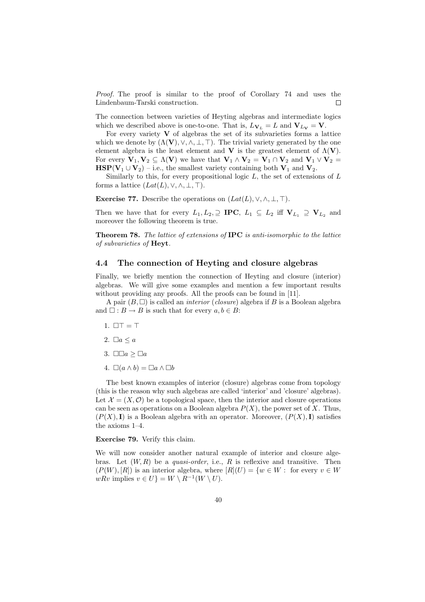Proof. The proof is similar to the proof of Corollary 74 and uses the Lindenbaum-Tarski construction.  $\Box$ 

The connection between varieties of Heyting algebras and intermediate logics which we described above is one-to-one. That is,  $L_{V_L} = L$  and  $V_{L_V} = V$ .

For every variety  $\bf{V}$  of algebras the set of its subvarieties forms a lattice which we denote by  $(\Lambda(V), \vee, \wedge, \bot, \top)$ . The trivial variety generated by the one element algebra is the least element and V is the greatest element of  $\Lambda(V)$ . For every  $V_1, V_2 \subseteq \Lambda(V)$  we have that  $V_1 \wedge V_2 = V_1 \cap V_2$  and  $V_1 \vee V_2 =$  $\text{HSP}(\mathbf{V}_1 \cup \mathbf{V}_2)$  – i.e., the smallest variety containing both  $\mathbf{V}_1$  and  $\mathbf{V}_2$ .

Similarly to this, for every propositional logic  $L$ , the set of extensions of  $L$ forms a lattice  $(Lat(L), \vee, \wedge, \bot, \top)$ .

Exercise 77. Describe the operations on  $(Lat(L), \vee, \wedge, \perp, \top)$ .

Then we have that for every  $L_1, L_2, \supseteq \textbf{IPC}$ ,  $L_1 \subseteq L_2$  iff  $V_{L_1} \supseteq V_{L_2}$  and moreover the following theorem is true.

Theorem 78. The lattice of extensions of IPC is anti-isomorphic to the lattice of subvarieties of Heyt.

## 4.4 The connection of Heyting and closure algebras

Finally, we briefly mention the connection of Heyting and closure (interior) algebras. We will give some examples and mention a few important results without providing any proofs. All the proofs can be found in [11].

A pair  $(B, \Box)$  is called an *interior* (*closure*) algebra if B is a Boolean algebra and  $\Box : B \to B$  is such that for every  $a, b \in B$ :

- 1.  $\Box T = T$
- 2.  $\Box a \leq a$
- 3.  $\square \square a \geq \square a$
- 4.  $\square(a \wedge b) = \square a \wedge \square b$

The best known examples of interior (closure) algebras come from topology (this is the reason why such algebras are called 'interior' and 'closure' algebras). Let  $\mathcal{X} = (X, \mathcal{O})$  be a topological space, then the interior and closure operations can be seen as operations on a Boolean algebra  $P(X)$ , the power set of X. Thus,  $(P(X), I)$  is a Boolean algebra with an operator. Moreover,  $(P(X), I)$  satisfies the axioms 1–4.

Exercise 79. Verify this claim.

We will now consider another natural example of interior and closure algebras. Let  $(W, R)$  be a *quasi-order*, i.e., R is reflexive and transitive. Then  $(P(W), [R])$  is an interior algebra, where  $[R](U) = \{w \in W : \text{ for every } v \in W\}$  $wRv$  implies  $v \in U$ } =  $W \setminus R^{-1}(W \setminus U)$ .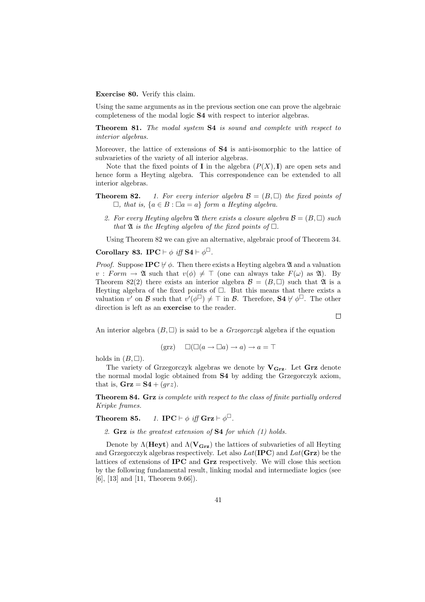Exercise 80. Verify this claim.

Using the same arguments as in the previous section one can prove the algebraic completeness of the modal logic S4 with respect to interior algebras.

Theorem 81. The modal system S4 is sound and complete with respect to interior algebras.

Moreover, the lattice of extensions of S4 is anti-isomorphic to the lattice of subvarieties of the variety of all interior algebras.

Note that the fixed points of **I** in the algebra  $(P(X), I)$  are open sets and hence form a Heyting algebra. This correspondence can be extended to all interior algebras.

- **Theorem 82.** 1. For every interior algebra  $\mathcal{B} = (B, \Box)$  the fixed points of  $\Box$ , that is,  $\{a \in B : \Box a = a\}$  form a Heyting algebra.
	- 2. For every Heyting algebra  $\mathfrak A$  there exists a closure algebra  $\mathcal B = (B, \Box)$  such that  $\mathfrak A$  is the Heyting algebra of the fixed points of  $\Box$ .

Using Theorem 82 we can give an alternative, algebraic proof of Theorem 34.

Corollary 83. IPC  $\vdash \phi$  iff  $S4 \vdash \phi^{\Box}$ .

*Proof.* Suppose IPC  $\nvdash \phi$ . Then there exists a Heyting algebra  $\mathfrak A$  and a valuation  $v : Form \rightarrow \mathfrak{A}$  such that  $v(\phi) \neq \top$  (one can always take  $F(\omega)$  as  $\mathfrak{A}$ ). By Theorem 82(2) there exists an interior algebra  $\mathcal{B} = (B, \Box)$  such that  $\mathfrak{A}$  is a Heyting algebra of the fixed points of  $\Box$ . But this means that there exists a valuation  $v'$  on  $\mathcal B$  such that  $v'(\phi^{\square}) \neq \top$  in  $\mathcal B$ . Therefore, **S4**  $\nvdash \phi^{\square}$ . The other direction is left as an exercise to the reader.

 $\Box$ 

An interior algebra  $(B, \Box)$  is said to be a *Grzegorczyk* algebra if the equation

$$
(\text{grz}) \quad \Box(\Box(a \to \Box a) \to a) \to a = \top
$$

holds in  $(B, \Box)$ .

The variety of Grzegorczyk algebras we denote by  $V_{\text{Grz}}$ . Let  $\text{Grz}$  denote the normal modal logic obtained from S4 by adding the Grzegorczyk axiom, that is, **.** 

Theorem 84. Grz is complete with respect to the class of finite partially ordered Kripke frames.

**Theorem 85.** 1. **IPC**  $\vdash \phi$  iff **Grz**  $\vdash \phi^{\Box}$ .

2. Grz is the greatest extension of S4 for which (1) holds.

Denote by  $\Lambda(\text{Heyt})$  and  $\Lambda(\text{V}_{\text{Grz}})$  the lattices of subvarieties of all Heyting and Grzegorczyk algebras respectively. Let also  $Lat(IPC)$  and  $Lat(Grz)$  be the lattices of extensions of IPC and Grz respectively. We will close this section by the following fundamental result, linking modal and intermediate logics (see [6], [13] and [11, Theorem 9.66]).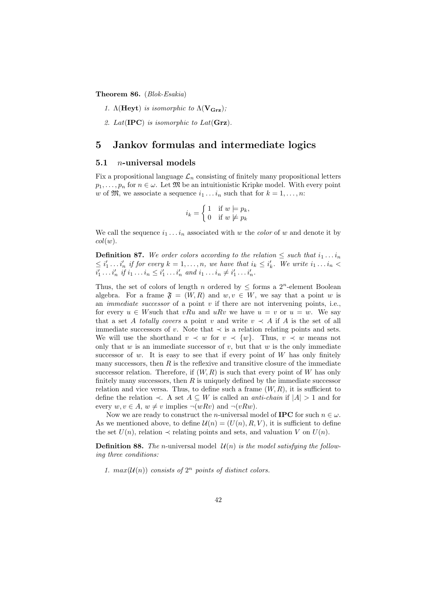Theorem 86. (Blok-Esakia)

1.  $\Lambda$ (Heyt) is isomorphic to  $\Lambda$ (V<sub>Grz</sub>);

2. Lat( $\text{IPC}$ ) is isomorphic to Lat( $\text{Grz}$ ).

## 5 Jankov formulas and intermediate logics

#### 5.1 n-universal models

Fix a propositional language  $\mathcal{L}_n$  consisting of finitely many propositional letters  $p_1, \ldots, p_n$  for  $n \in \omega$ . Let  $\mathfrak{M}$  be an intuitionistic Kripke model. With every point w of  $\mathfrak{M}$ , we associate a sequence  $i_1 \ldots i_n$  such that for  $k = 1, \ldots, n$ :

$$
i_k = \begin{cases} 1 & \text{if } w \models p_k, \\ 0 & \text{if } w \not\models p_k \end{cases}
$$

We call the sequence  $i_1 \ldots i_n$  associated with w the *color* of w and denote it by  $col(w).$ 

**Definition 87.** We order colors according to the relation  $\leq$  such that  $i_1 \ldots i_n$  $\leq i'_1 \ldots i'_n$  if for every  $k = 1, \ldots, n$ , we have that  $i_k \leq i'_k$ . We write  $i_1 \ldots i_n <$  $i'_1 \ldots i'_n \text{ if } i_1 \ldots i_n \leq i'_1 \ldots i'_n \text{ and } i_1 \ldots i_n \neq i'_1 \ldots i'_n.$ 

Thus, the set of colors of length n ordered by  $\leq$  forms a  $2^n$ -element Boolean algebra. For a frame  $\mathfrak{F} = (W, R)$  and  $w, v \in W$ , we say that a point w is an *immediate successor* of a point  $v$  if there are not intervening points, i.e., for every  $u \in W$  such that vRu and uRv we have  $u = v$  or  $u = w$ . We say that a set A totally covers a point v and write  $v \prec A$  if A is the set of all immediate successors of v. Note that  $\prec$  is a relation relating points and sets. We will use the shorthand  $v \prec w$  for  $v \prec \{w\}$ . Thus,  $v \prec w$  means not only that  $w$  is an immediate successor of  $v$ , but that  $w$  is the only immediate successor of  $w$ . It is easy to see that if every point of  $W$  has only finitely many successors, then  $R$  is the reflexive and transitive closure of the immediate successor relation. Therefore, if  $(W, R)$  is such that every point of W has only finitely many successors, then  $R$  is uniquely defined by the immediate successor relation and vice versa. Thus, to define such a frame  $(W, R)$ , it is sufficient to define the relation  $\prec$ . A set  $A \subseteq W$  is called an *anti-chain* if  $|A| > 1$  and for every  $w, v \in A$ ,  $w \neq v$  implies  $\neg(wRv)$  and  $\neg(vRw)$ .

Now we are ready to construct the *n*-universal model of **IPC** for such  $n \in \omega$ . As we mentioned above, to define  $\mathcal{U}(n) = (U(n), R, V)$ , it is sufficient to define the set  $U(n)$ , relation  $\prec$  relating points and sets, and valuation V on  $U(n)$ .

**Definition 88.** The n-universal model  $\mathcal{U}(n)$  is the model satisfying the following three conditions:

1.  $max(U(n))$  consists of  $2^n$  points of distinct colors.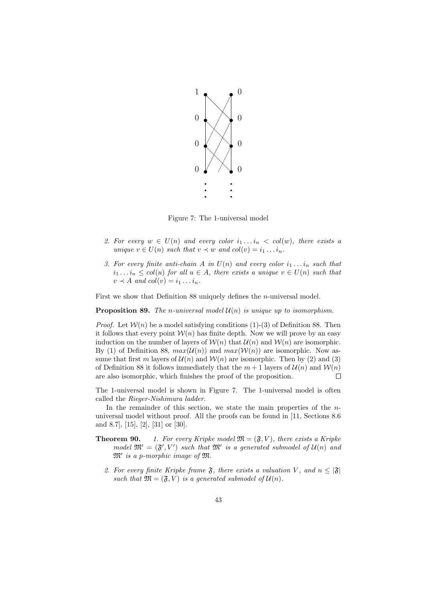

Figure 7: The 1-universal model

- 2. For every  $w \in U(n)$  and every color  $i_1 \ldots i_n < col(w)$ , there exists a unique  $v \in U(n)$  such that  $v \prec w$  and  $col(v) = i_1 \ldots i_n$ .
- 3. For every finite anti-chain A in  $U(n)$  and every color  $i_1 \ldots i_n$  such that  $i_1 \ldots i_n \leq col(u)$  for all  $u \in A$ , there exists a unique  $v \in U(n)$  such that  $v \prec A$  and  $col(v) = i_1 \ldots i_n$ .

First we show that Definition 88 uniquely defines the n-universal model.

**Proposition 89.** The n-universal model  $\mathcal{U}(n)$  is unique up to isomorphism.

*Proof.* Let  $W(n)$  be a model satisfying conditions (1)-(3) of Definition 88. Then it follows that every point  $W(n)$  has finite depth. Now we will prove by an easy induction on the number of layers of  $W(n)$  that  $U(n)$  and  $W(n)$  are isomorphic. By (1) of Definition 88,  $max(\mathcal{U}(n))$  and  $max(\mathcal{W}(n))$  are isomorphic. Now assume that first m layers of  $\mathcal{U}(n)$  and  $\mathcal{W}(n)$  are isomorphic. Then by (2) and (3) of Definition 88 it follows immediately that the  $m + 1$  layers of  $\mathcal{U}(n)$  and  $\mathcal{W}(n)$ are also isomorphic, which finishes the proof of the proposition.  $\Box$ 

The 1-universal model is shown in Figure 7. The 1-universal model is often called the Rieger-Nishimura ladder.

In the remainder of this section, we state the main properties of the  $n$ universal model without proof. All the proofs can be found in [11, Sections 8.6 and 8.7], [15], [2], [31] or [30].

- **Theorem 90.** 1. For every Kripke model  $\mathfrak{M} = (\mathfrak{F}, V)$ , there exists a Kripke model  $\mathfrak{M}' = (\mathfrak{F}', V')$  such that  $\mathfrak{M}'$  is a generated submodel of  $\mathcal{U}(n)$  and  $\mathfrak{M}'$  is a p-morphic image of  $\mathfrak{M}$ .
	- 2. For every finite Kripke frame  $\mathfrak{F}$ , there exists a valuation V, and  $n \leq |\mathfrak{F}|$ such that  $\mathfrak{M} = (\mathfrak{F}, V)$  is a generated submodel of  $\mathcal{U}(n)$ .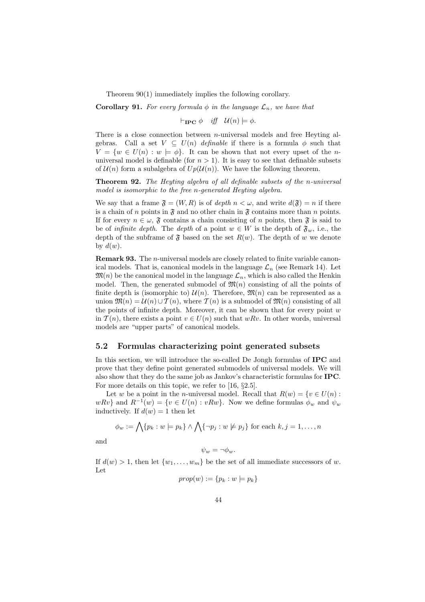Theorem 90(1) immediately implies the following corollary.

**Corollary 91.** For every formula  $\phi$  in the language  $\mathcal{L}_n$ , we have that

 $\vdash_{\textbf{IPC}} \phi \quad \text{iff} \quad \mathcal{U}(n) \models \phi.$ 

There is a close connection between  $n$ -universal models and free Heyting algebras. Call a set  $V \subseteq U(n)$  definable if there is a formula  $\phi$  such that  $V = \{w \in U(n) : w \models \phi\}.$  It can be shown that not every upset of the nuniversal model is definable (for  $n > 1$ ). It is easy to see that definable subsets of  $\mathcal{U}(n)$  form a subalgebra of  $Up(\mathcal{U}(n))$ . We have the following theorem.

Theorem 92. The Heyting algebra of all definable subsets of the n-universal model is isomorphic to the free n-generated Heyting algebra.

We say that a frame  $\mathfrak{F} = (W, R)$  is of depth  $n < \omega$ , and write  $d(\mathfrak{F}) = n$  if there is a chain of n points in  $\mathfrak F$  and no other chain in  $\mathfrak F$  contains more than n points. If for every  $n \in \omega$ ,  $\mathfrak F$  contains a chain consisting of n points, then  $\mathfrak F$  is said to be of *infinite depth*. The *depth* of a point  $w \in W$  is the depth of  $\mathfrak{F}_w$ , i.e., the depth of the subframe of  $\mathfrak F$  based on the set  $R(w)$ . The depth of w we denote by  $d(w)$ .

Remark 93. The *n*-universal models are closely related to finite variable canonical models. That is, canonical models in the language  $\mathcal{L}_n$  (see Remark 14). Let  $\mathfrak{M}(n)$  be the canonical model in the language  $\mathcal{L}_n$ , which is also called the Henkin model. Then, the generated submodel of  $\mathfrak{M}(n)$  consisting of all the points of finite depth is (isomorphic to)  $\mathcal{U}(n)$ . Therefore,  $\mathfrak{M}(n)$  can be represented as a union  $\mathfrak{M}(n) = \mathcal{U}(n) \cup \mathcal{T}(n)$ , where  $\mathcal{T}(n)$  is a submodel of  $\mathfrak{M}(n)$  consisting of all the points of infinite depth. Moreover, it can be shown that for every point  $w$ in  $\mathcal{T}(n)$ , there exists a point  $v \in U(n)$  such that  $wRv$ . In other words, universal models are "upper parts" of canonical models.

#### 5.2 Formulas characterizing point generated subsets

In this section, we will introduce the so-called De Jongh formulas of IPC and prove that they define point generated submodels of universal models. We will also show that they do the same job as Jankov's characteristic formulas for IPC. For more details on this topic, we refer to [16, §2.5].

Let w be a point in the *n*-universal model. Recall that  $R(w) = \{v \in U(n) :$  $wRv\}$  and  $R^{-1}(w) = \{v \in U(n) : vRw\}$ . Now we define formulas  $\phi_w$  and  $\psi_w$ inductively. If  $d(w) = 1$  then let

$$
\phi_w := \bigwedge \{p_k : w \models p_k\} \land \bigwedge \{\neg p_j : w \not\models p_j\} \text{ for each } k, j = 1, \dots, n
$$

and

$$
\psi_w = \neg \phi_w.
$$

If  $d(w) > 1$ , then let  $\{w_1, \ldots, w_m\}$  be the set of all immediate successors of w. Let

$$
prop(w) := \{p_k : w \models p_k\}
$$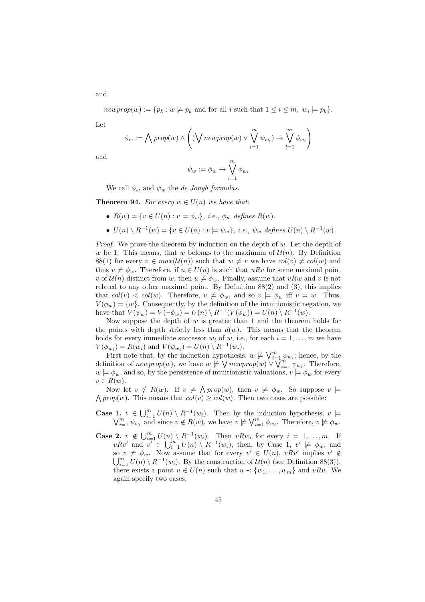$newprop(w) := \{p_k : w \not\models p_k \text{ and for all } i \text{ such that } 1 \leq i \leq m, w_i \models p_k\}.$ 

Let

and

$$
\phi_w := \bigwedge prop(w) \land \left( (\bigvee newprop(w) \lor \bigvee_{i=1}^{m} \psi_{w_i}) \rightarrow \bigvee_{i=1}^{m} \phi_{w_i} \right)
$$

and

$$
\psi_w:=\phi_w\to \bigvee_{i=1}^m\phi_{w_i}
$$

We call  $\phi_w$  and  $\psi_w$  the *de Jongh formulas*.

**Theorem 94.** For every  $w \in U(n)$  we have that:

•  $R(w) = \{v \in U(n) : v \models \phi_w\}, \text{ i.e., } \phi_w \text{ defines } R(w).$ 

• 
$$
U(n) \setminus R^{-1}(w) = \{v \in U(n) : v \models \psi_w\}, \text{ i.e., } \psi_w \text{ defines } U(n) \setminus R^{-1}(w).
$$

*Proof.* We prove the theorem by induction on the depth of  $w$ . Let the depth of w be 1. This means, that w belongs to the maximum of  $\mathcal{U}(n)$ . By Definition 88(1) for every  $v \in max(\mathcal{U}(n))$  such that  $w \neq v$  we have  $col(v) \neq col(w)$  and thus  $v \not\models \phi_w$ . Therefore, if  $u \in U(n)$  is such that uRv for some maximal point v of  $\mathcal{U}(n)$  distinct from w, then  $u \not\models \phi_w$ . Finally, assume that vRw and v is not related to any other maximal point. By Definition 88(2) and (3), this implies that  $col(v) < col(w)$ . Therefore,  $v \not\models \phi_w$ , and so  $v \models \phi_w$  iff  $v = w$ . Thus,  $V(\phi_w) = \{w\}.$  Consequently, by the definition of the intuitionistic negation, we have that  $V(\psi_w) = V(\neg \phi_w) = U(n) \setminus R^{-1}(V(\phi_w)) = U(n) \setminus R^{-1}(w)$ .

Now suppose the depth of  $w$  is greater than 1 and the theorem holds for the points with depth strictly less than  $d(w)$ . This means that the theorem holds for every immediate successor  $w_i$  of  $w$ , i.e., for each  $i = 1, \ldots, m$  we have  $V(\phi_{w_i}) = R(w_i)$  and  $V(\psi_{w_i}) = U(n) \setminus R^{-1}(w_i)$ .

First note that, by the induction hypothesis,  $w \not\models \bigvee_{i=1}^m \psi_{w_i}$ ; hence, by the definition of  $newprop(w)$ , we have  $w \not\models \bigvee newprop(w) \vee \bigvee_{i=1}^{m} \psi_{w_i}$ . Therefore,  $w \models \phi_w$ , and so, by the persistence of intuitionistic valuations,  $v \models \phi_w$  for every  $v \in R(w)$ .

Now let  $v \notin R(w)$ . If  $v \not\models \bigwedge prop(w)$ , then  $v \not\models \phi_w$ . So suppose  $v \models$  $\bigwedge prop(w)$ . This means that  $col(v) \geq col(w)$ . Then two cases are possible:

- **Case 1.**  $v \in \bigcup_{i=1}^{m} U(n) \setminus R^{-1}(w_i)$ . Then by the induction hypothesis,  $v \models$  $\bigvee_{i=1}^{m} \psi_{w_i}$  and since  $v \notin R(w)$ , we have  $v \not\models \bigvee_{i=1}^{m} \phi_{w_i}$ . Therefore,  $v \not\models \phi_w$ .
- **Case 2.**  $v \notin \bigcup_{i=1}^{m} U(n) \setminus R^{-1}(w_i)$ . Then  $vRw_i$  for every  $i = 1, ..., m$ . If  $v R v'$  and  $v' \in \bigcup_{i=1}^{m} U(n) \setminus R^{-1}(w_i)$ , then, by Case 1,  $v' \not\models \phi_w$ , and so  $v \not\models \phi_w$ . Now assume that for every  $v' \in U(n)$ ,  $vRv'$  implies  $v' \notin$  $\bigcup_{i=1}^m U(n) \setminus R^{-1}(w_i)$ . By the construction of  $\mathcal{U}(n)$  (see Definition 88(3)), there exists a point  $u \in U(n)$  such that  $u \prec \{w_1, \ldots, w_m\}$  and  $vRu$ . We again specify two cases.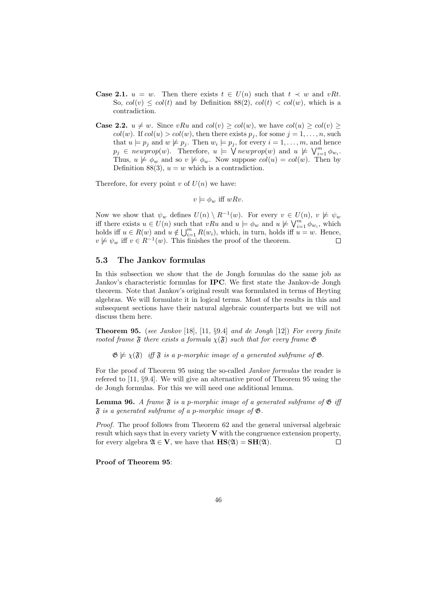- **Case 2.1.**  $u = w$ . Then there exists  $t \in U(n)$  such that  $t \prec w$  and vRt. So,  $col(v) \leq col(t)$  and by Definition 88(2),  $col(t) < col(w)$ , which is a contradiction.
- **Case 2.2.**  $u \neq w$ . Since vRu and  $col(v) \geq col(w)$ , we have  $col(u) \geq col(v) \geq$  $col(w)$ . If  $col(u) > col(w)$ , then there exists  $p_i$ , for some  $j = 1, \ldots, n$ , such that  $u \models p_j$  and  $w \not\models p_j$ . Then  $w_i \models p_j$ , for every  $i = 1, \ldots, m$ , and hence  $p_j \in \text{newprop}(w)$ . Therefore,  $u \models \bigvee \text{newprop}(w)$  and  $u \not\models \bigvee_{i=1}^m \phi_{w_i}$ . Thus,  $u \not\models \phi_w$  and so  $v \not\models \phi_w$ . Now suppose  $col(u) = col(w)$ . Then by Definition 88(3),  $u = w$  which is a contradiction.

Therefore, for every point v of  $U(n)$  we have:

 $v \models \phi_w$  iff  $wRv$ .

Now we show that  $\psi_w$  defines  $U(n) \setminus R^{-1}(w)$ . For every  $v \in U(n)$ ,  $v \not\models \psi_w$ iff there exists  $u \in U(n)$  such that  $vRu$  and  $u \models \phi_w$  and  $u \not\models \bigvee_{i=1}^{m} \phi_{w_i}$ , which holds iff  $u \in R(w)$  and  $u \notin \bigcup_{i=1}^{m} R(w_i)$ , which, in turn, holds iff  $u = w$ . Hence,  $v \not\models \psi_w$  iff  $v \in R^{-1}(w)$ . This finishes the proof of the theorem.

#### 5.3 The Jankov formulas

In this subsection we show that the de Jongh formulas do the same job as Jankov's characteristic formulas for IPC. We first state the Jankov-de Jongh theorem. Note that Jankov's original result was formulated in terms of Heyting algebras. We will formulate it in logical terms. Most of the results in this and subsequent sections have their natural algebraic counterparts but we will not discuss them here.

**Theorem 95.** (see Jankov [18], [11,  $\S 9.4$ ] and de Jongh [12]) For every finite rooted frame  $\mathfrak F$  there exists a formula  $\chi(\mathfrak F)$  such that for every frame  $\mathfrak G$ 

 $\mathfrak{G} \not\models \chi(\mathfrak{F})$  iff  $\mathfrak{F}$  is a p-morphic image of a generated subframe of  $\mathfrak{G}$ .

For the proof of Theorem 95 using the so-called Jankov formulas the reader is refered to [11, §9.4]. We will give an alternative proof of Theorem 95 using the de Jongh formulas. For this we will need one additional lemma.

**Lemma 96.** A frame  $\mathfrak{F}$  is a p-morphic image of a generated subframe of  $\mathfrak{G}$  iff  $\mathfrak F$  is a generated subframe of a p-morphic image of  $\mathfrak G$ .

Proof. The proof follows from Theorem 62 and the general universal algebraic result which says that in every variety  $V$  with the congruence extension property, for every algebra  $\mathfrak{A} \in \mathbf{V}$ , we have that  $\mathbf{HS}(\mathfrak{A}) = \mathbf{SH}(\mathfrak{A})$ . П

Proof of Theorem 95: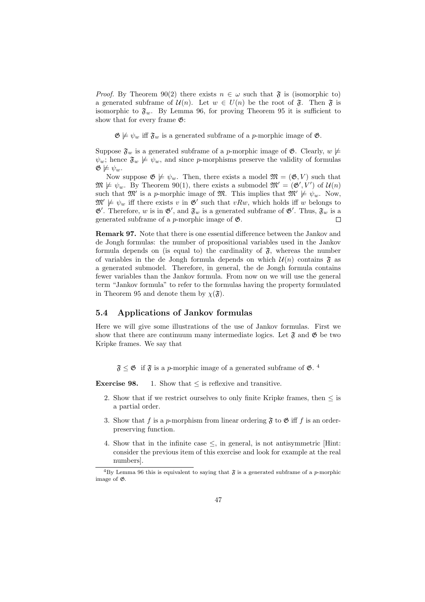*Proof.* By Theorem 90(2) there exists  $n \in \omega$  such that  $\mathfrak{F}$  is (isomorphic to) a generated subframe of  $\mathcal{U}(n)$ . Let  $w \in U(n)$  be the root of  $\mathfrak{F}$ . Then  $\mathfrak{F}$  is isomorphic to  $\mathfrak{F}_w$ . By Lemma 96, for proving Theorem 95 it is sufficient to show that for every frame  $\mathfrak{G}$ :

 $\mathfrak{G} \not\models \psi_w$  iff  $\mathfrak{F}_w$  is a generated subframe of a *p*-morphic image of  $\mathfrak{G}$ .

Suppose  $\mathfrak{F}_w$  is a generated subframe of a p-morphic image of  $\mathfrak{G}$ . Clearly,  $w \not\models$  $\psi_w$ ; hence  $\mathfrak{F}_w \not\models \psi_w$ , and since p-morphisms preserve the validity of formulas  $\mathfrak{G} \not\models \psi_w.$ 

Now suppose  $\mathfrak{G} \not\models \psi_w$ . Then, there exists a model  $\mathfrak{M} = (\mathfrak{G}, V)$  such that  $\mathfrak{M} \not\models \psi_w$ . By Theorem 90(1), there exists a submodel  $\mathfrak{M}' = (\mathfrak{G}', V')$  of  $\mathcal{U}(n)$ such that  $\mathfrak{M}'$  is a p-morphic image of  $\mathfrak{M}$ . This implies that  $\mathfrak{M}' \not\models \psi_w$ . Now,  $\mathfrak{M}' \not\models \psi_w$  iff there exists v in  $\mathfrak{G}'$  such that vRw, which holds iff w belongs to  $\mathfrak{G}'$ . Therefore, w is in  $\mathfrak{G}'$ , and  $\mathfrak{F}_w$  is a generated subframe of  $\mathfrak{G}'$ . Thus,  $\mathfrak{F}_w$  is a generated subframe of a *p*-morphic image of  $\mathfrak{G}$ .  $\Box$ 

Remark 97. Note that there is one essential difference between the Jankov and de Jongh formulas: the number of propositional variables used in the Jankov formula depends on (is equal to) the cardinality of  $\mathfrak{F}$ , whereas the number of variables in the de Jongh formula depends on which  $\mathcal{U}(n)$  contains  $\mathfrak F$  as a generated submodel. Therefore, in general, the de Jongh formula contains fewer variables than the Jankov formula. From now on we will use the general term "Jankov formula" to refer to the formulas having the property formulated in Theorem 95 and denote them by  $\chi(\mathfrak{F})$ .

#### 5.4 Applications of Jankov formulas

Here we will give some illustrations of the use of Jankov formulas. First we show that there are continuum many intermediate logics. Let  $\mathfrak{F}$  and  $\mathfrak{G}$  be two Kripke frames. We say that

 $\mathfrak{F} \leq \mathfrak{G}$  if  $\mathfrak{F}$  is a *p*-morphic image of a generated subframe of  $\mathfrak{G}$ . <sup>4</sup>

**Exercise 98.** 1. Show that  $\leq$  is reflexive and transitive.

- 2. Show that if we restrict ourselves to only finite Kripke frames, then  $\leq$  is a partial order.
- 3. Show that f is a p-morphism from linear ordering  $\mathfrak F$  to  $\mathfrak G$  iff f is an orderpreserving function.
- 4. Show that in the infinite case  $\leq$ , in general, is not antisymmetric [Hint: consider the previous item of this exercise and look for example at the real numbers].

<sup>&</sup>lt;sup>4</sup>By Lemma 96 this is equivalent to saying that  $\mathfrak{F}$  is a generated subframe of a p-morphic image of G.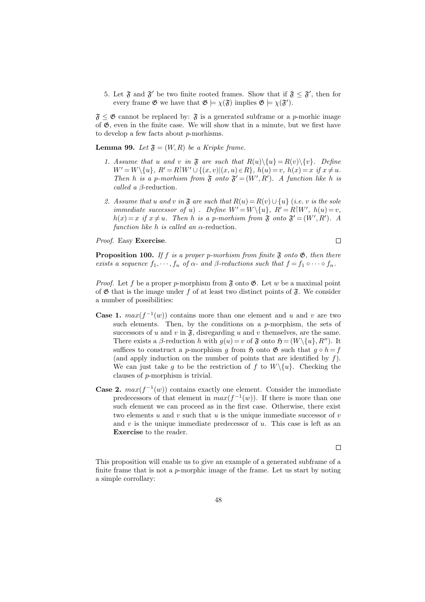5. Let  $\mathfrak{F}$  and  $\mathfrak{F}'$  be two finite rooted frames. Show that if  $\mathfrak{F} \leq \mathfrak{F}'$ , then for every frame  $\mathfrak{G}$  we have that  $\mathfrak{G} \models \chi(\mathfrak{F})$  implies  $\mathfrak{G} \models \chi(\mathfrak{F}')$ .

 $\mathfrak{F} \leq \mathfrak{G}$  cannot be replaced by:  $\mathfrak{F}$  is a generated subframe or a *p*-morhic image of  $\mathfrak{G}$ , even in the finite case. We will show that in a minute, but we first have to develop a few facts about p-morhisms.

**Lemma 99.** Let  $\mathfrak{F} = (W, R)$  be a Kripke frame.

- 1. Assume that u and v in  $\mathfrak F$  are such that  $R(u)\setminus\{u\} = R(v)\setminus\{v\}$ . Define  $W' = W \setminus \{u\}, R' = R[W' \cup \{(x, v) | (x, u) \in R\}, h(u) = v, h(x) = x \text{ if } x \neq u.$ Then h is a p-morhism from  $\mathfrak{F}$  onto  $\mathfrak{F}' = (W', R')$ . A function like h is *called a β*-reduction.
- 2. Assume that u and v in  $\mathfrak F$  are such that  $R(u) = R(v) \cup \{u\}$  (i.e. v is the sole immediate successor of u). Define  $W' = W \setminus \{u\}$ ,  $R' = R \setminus W'$ ,  $h(u) = v$ ,  $h(x) = x$  if  $x \neq u$ . Then h is a p-morhism from  $\mathfrak{F}$  onto  $\mathfrak{F}' = (W', R')$ . A function like h is called an  $\alpha$ -reduction.

Proof. Easy Exercise.

 $\Box$ 

**Proposition 100.** If f is a proper p-morhism from finite  $\mathfrak{F}$  onto  $\mathfrak{G}$ , then there exists a sequence  $f_1, \dots, f_n$  of  $\alpha$ - and  $\beta$ -reductions such that  $f = f_1 \circ \cdots \circ f_n$ .

*Proof.* Let f be a proper p-morphism from  $\mathfrak F$  onto  $\mathfrak G$ . Let w be a maximal point of  $\mathfrak G$  that is the image under f of at least two distinct points of  $\mathfrak F$ . We consider a number of possibilities:

- **Case 1.**  $max(f^{-1}(w))$  contains more than one element and u and v are two such elements. Then, by the conditions on a  $p$ -morphism, the sets of successors of u and v in  $\mathfrak{F}$ , disregarding u and v themselves, are the same. There exists a  $\beta$ -reduction h with  $g(u) = v$  of  $\mathfrak{F}$  onto  $\mathfrak{H} = (W \setminus \{u\}, R'')$ . It suffices to construct a p-morphism g from  $\mathfrak H$  onto  $\mathfrak G$  such that  $g \circ h = f$ (and apply induction on the number of points that are identified by  $f$ ). We can just take g to be the restriction of f to  $W \setminus \{u\}$ . Checking the clauses of p-morphism is trivial.
- **Case 2.**  $max(f^{-1}(w))$  contains exactly one element. Consider the immediate predecessors of that element in  $max(f^{-1}(w))$ . If there is more than one such element we can proceed as in the first case. Otherwise, there exist two elements  $u$  and  $v$  such that  $u$  is the unique immediate successor of  $v$ and  $v$  is the unique immediate predecessor of  $u$ . This case is left as an Exercise to the reader.

 $\Box$ 

This proposition will enable us to give an example of a generated subframe of a finite frame that is not a p-morphic image of the frame. Let us start by noting a simple corrollary: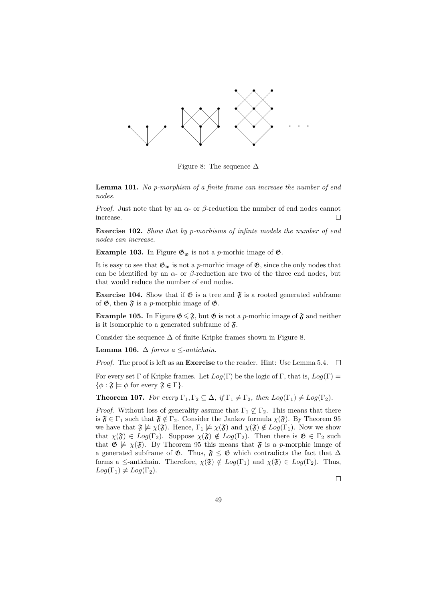

Figure 8: The sequence  $\Delta$ 

Lemma 101. No p-morphism of a finite frame can increase the number of end nodes.

*Proof.* Just note that by an  $\alpha$ - or  $\beta$ -reduction the number of end nodes cannot increase.  $\Box$ 

Exercise 102. Show that by p-morhisms of infinte models the number of end nodes can increase.

**Example 103.** In Figure  $\mathfrak{G}_{\mathfrak{w}}$  is not a *p*-morhic image of  $\mathfrak{G}$ .

It is easy to see that  $\mathfrak{G}_{\mathfrak{w}}$  is not a p-morhic image of  $\mathfrak{G}$ , since the only nodes that can be identified by an  $\alpha$ - or  $\beta$ -reduction are two of the three end nodes, but that would reduce the number of end nodes.

**Exercise 104.** Show that if  $\mathfrak{G}$  is a tree and  $\mathfrak{F}$  is a rooted generated subframe of  $\mathfrak{G}$ , then  $\mathfrak{F}$  is a p-morphic image of  $\mathfrak{G}$ .

**Example 105.** In Figure  $\mathfrak{G} \leq \mathfrak{F}$ , but  $\mathfrak{G}$  is not a p-morhic image of  $\mathfrak{F}$  and neither is it isomorphic to a generated subframe of  $\mathfrak{F}$ .

Consider the sequence  $\Delta$  of finite Kripke frames shown in Figure 8.

Lemma 106.  $\Delta$  forms a  $\leq$ -antichain.

Proof. The proof is left as an Exercise to the reader. Hint: Use Lemma 5.4.  $\Box$ 

For every set  $\Gamma$  of Kripke frames. Let  $Log(\Gamma)$  be the logic of  $\Gamma$ , that is,  $Log(\Gamma)$  =  $\{\phi : \mathfrak{F} \models \phi \text{ for every } \mathfrak{F} \in \Gamma\}.$ 

**Theorem 107.** For every  $\Gamma_1, \Gamma_2 \subseteq \Delta$ , if  $\Gamma_1 \neq \Gamma_2$ , then  $Log(\Gamma_1) \neq Log(\Gamma_2)$ .

*Proof.* Without loss of generality assume that  $\Gamma_1 \nsubseteq \Gamma_2$ . This means that there is  $\mathfrak{F} \in \Gamma_1$  such that  $\mathfrak{F} \notin \Gamma_2$ . Consider the Jankov formula  $\chi(\mathfrak{F})$ . By Theorem 95 we have that  $\mathfrak{F} \not\models \chi(\mathfrak{F})$ . Hence,  $\Gamma_1 \not\models \chi(\mathfrak{F})$  and  $\chi(\mathfrak{F}) \notin Log(\Gamma_1)$ . Now we show that  $\chi(\mathfrak{F}) \in Log(\Gamma_2)$ . Suppose  $\chi(\mathfrak{F}) \notin Log(\Gamma_2)$ . Then there is  $\mathfrak{G} \in \Gamma_2$  such that  $\mathfrak{G} \not\models \chi(\mathfrak{F})$ . By Theorem 95 this means that  $\mathfrak{F}$  is a p-morphic image of a generated subframe of  $\mathfrak{G}$ . Thus,  $\mathfrak{F} \leq \mathfrak{G}$  which contradicts the fact that  $\Delta$ forms a  $\leq$ -antichain. Therefore,  $\chi(\mathfrak{F}) \notin Log(\Gamma_1)$  and  $\chi(\mathfrak{F}) \in Log(\Gamma_2)$ . Thus,  $Log(\Gamma_1) \neq Log(\Gamma_2).$ 

 $\Box$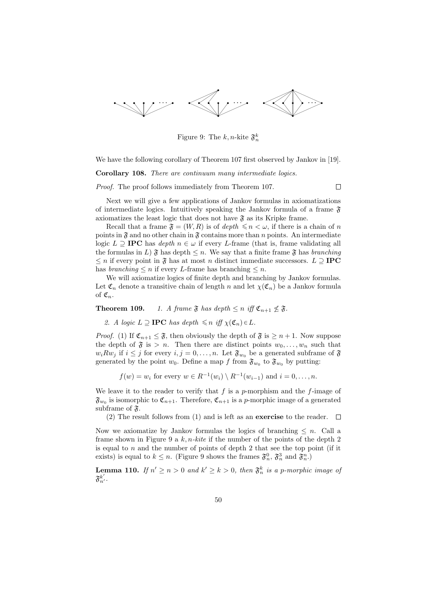

Figure 9: The  $k, n$ -kite  $\mathfrak{F}_n^k$ 

We have the following corollary of Theorem 107 first observed by Jankov in [19].

Corollary 108. There are continuum many intermediate logics.

Proof. The proof follows immediately from Theorem 107.

 $\Box$ 

Next we will give a few applications of Jankov formulas in axiomatizations of intermediate logics. Intuitively speaking the Jankov formula of a frame  $\mathfrak{F}$ axiomatizes the least logic that does not have  $\mathfrak{F}$  as its Kripke frame.

Recall that a frame  $\mathfrak{F} = (W, R)$  is of depth  $\leq n \leq \omega$ , if there is a chain of n points in  $\mathfrak F$  and no other chain in  $\mathfrak F$  contains more than n points. An intermediate logic  $L \supseteq \textbf{IPC}$  has depth  $n \in \omega$  if every L-frame (that is, frame validating all the formulas in L)  $\mathfrak{F}$  has depth  $\leq n$ . We say that a finite frame  $\mathfrak{F}$  has branching  $\leq n$  if every point in  $\mathfrak{F}$  has at most n distinct immediate successors.  $L \supseteq \text{IPC}$ has *branching*  $\leq n$  if every *L*-frame has branching  $\leq n$ .

We will axiomatize logics of finite depth and branching by Jankov formulas. Let  $\mathfrak{C}_n$  denote a transitive chain of length n and let  $\chi(\mathfrak{C}_n)$  be a Jankov formula of  $\mathfrak{C}_n$ .

**Theorem 109.** 1. A frame  $\mathfrak{F}$  has depth  $\leq n$  iff  $\mathfrak{C}_{n+1} \nleq \mathfrak{F}$ .

2. A logic  $L \supseteq \textbf{IPC}$  has depth  $\leq n$  iff  $\chi(\mathfrak{C}_n) \in L$ .

*Proof.* (1) If  $\mathfrak{C}_{n+1} \leq \mathfrak{F}$ , then obviously the depth of  $\mathfrak{F}$  is  $\geq n+1$ . Now suppose the depth of  $\mathfrak{F}$  is  $> n$ . Then there are distinct points  $w_0, \ldots, w_n$  such that  $w_i R w_j$  if  $i \leq j$  for every  $i, j = 0, \ldots, n$ . Let  $\mathfrak{F}_{w_0}$  be a generated subframe of  $\mathfrak{F}$ generated by the point  $w_0$ . Define a map f from  $\mathfrak{F}_{w_0}$  to  $\mathfrak{F}_{w_0}$  by putting:

$$
f(w) = w_i
$$
 for every  $w \in R^{-1}(w_i) \setminus R^{-1}(w_{i-1})$  and  $i = 0, ..., n$ .

We leave it to the reader to verify that f is a p-morphism and the f-image of  $\mathfrak{F}_{w_0}$  is isomorphic to  $\mathfrak{C}_{n+1}$ . Therefore,  $\mathfrak{C}_{n+1}$  is a p-morphic image of a generated subframe of  $\mathfrak{F}$ .

(2) The result follows from (1) and is left as an exercise to the reader.  $\Box$ 

Now we axiomatize by Jankov formulas the logics of branching  $\leq n$ . Call a frame shown in Figure 9 a  $k, n$ -kite if the number of the points of the depth 2 is equal to  $n$  and the number of points of depth 2 that see the top point (if it exists) is equal to  $k \leq n$ . (Figure 9 shows the frames  $\mathfrak{F}_n^0$ ,  $\mathfrak{F}_n^3$  and  $\mathfrak{F}_n^n$ .)

**Lemma 110.** If  $n' \ge n > 0$  and  $k' \ge k > 0$ , then  $\mathfrak{F}_n^k$  is a p-morphic image of  $\mathfrak{F}_{n'}^{k'}$  .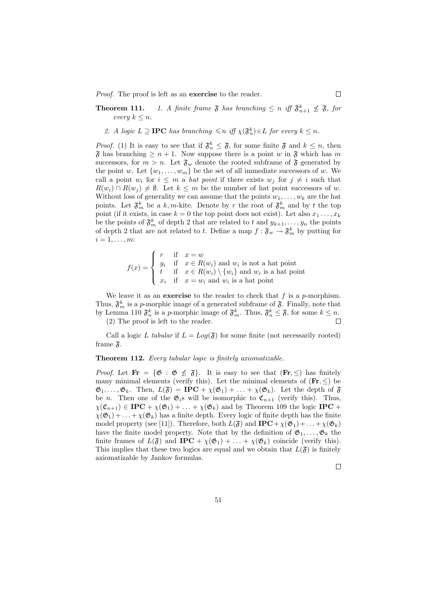Proof. The proof is left as an **exercise** to the reader.

**Theorem 111.** 1. A finite frame  $\mathfrak{F}$  has branching  $\leq n$  iff  $\mathfrak{F}_{n+1}^k \nleq \mathfrak{F}$ , for every  $k \leq n$ .

2. A logic  $L \supseteq \textbf{IPC}$  has branching  $\leqslant n$  iff  $\chi(\mathfrak{F}_n^k) \in L$  for every  $k \leq n$ .

*Proof.* (1) It is easy to see that if  $\mathfrak{F}_n^k \leq \mathfrak{F}$ , for some finite  $\mathfrak{F}$  and  $k \leq n$ , then  $\mathfrak{F}$  has branching  $\geq n+1$ . Now suppose there is a point w in  $\mathfrak{F}$  which has m successors, for  $m > n$ . Let  $\mathfrak{F}_w$  denote the rooted subframe of  $\mathfrak{F}$  generated by the point w. Let  $\{w_1, \ldots, w_m\}$  be the set of all immediate successors of w. We call a point  $w_i$  for  $i \leq m$  a *hat point* if there exists  $w_j$  for  $j \neq i$  such that  $R(w_i) \cap R(w_j) \neq \emptyset$ . Let  $k \leq m$  be the number of hat point successors of w. Without loss of generality we can assume that the points  $w_1, \ldots, w_k$  are the hat points. Let  $\mathfrak{F}_m^k$  be a k, m-kite. Denote by r the root of  $\mathfrak{F}_m^k$  and by t the top point (if it exists, in case  $k = 0$  the top point does not exist). Let also  $x_1, \ldots, x_k$ be the points of  $\mathfrak{F}_m^k$  of depth 2 that are related to t and  $y_{k+1}, \ldots, y_n$  the points of depth 2 that are not related to t. Define a map  $f: \mathfrak{F}_w \to \mathfrak{F}_m^k$  by putting for  $i=1,\ldots,m$ :

$$
f(x) = \begin{cases} r & \text{if } x = w \\ y_i & \text{if } x \in R(w_i) \text{ and } w_i \text{ is not a hat point} \\ t & \text{if } x \in R(w_i) \setminus \{w_i\} \text{ and } w_i \text{ is a hat point} \\ x_i & \text{if } x = w_i \text{ and } w_i \text{ is a hat point} \end{cases}
$$

We leave it as an **exercise** to the reader to check that  $f$  is a  $p$ -morphism. Thus,  $\mathfrak{F}_m^k$  is a p-morphic image of a generated subframe of  $\mathfrak{F}$ . Finally, note that by Lemma 110  $\mathfrak{F}_n^k$  is a p-morphic image of  $\mathfrak{F}_m^k$ . Thus,  $\mathfrak{F}_n^k \leq \mathfrak{F}$ , for some  $k \leq n$ .

(2) The proof is left to the reader.

Call a logic L tabular if  $L = Log(\mathfrak{F})$  for some finite (not necessarily rooted) frame  $\mathfrak{F}$ .

#### Theorem 112. Every tabular logic is finitely axiomatizable.

*Proof.* Let  $\mathbf{Fr} = {\emptyset : \mathfrak{G} \leq \mathfrak{F}}$ . It is easy to see that  $(\mathbf{Fr}, \leq)$  has finitely many minimal elements (verify this). Let the minimal elements of  $(Fr, \leq)$  be  $\mathfrak{G}_1,\ldots,\mathfrak{G}_k$ . Then,  $L(\mathfrak{F}) = \textbf{IPC} + \chi(\mathfrak{G}_1) + \ldots + \chi(\mathfrak{G}_k)$ . Let the depth of  $\mathfrak{F}$ be *n*. Then one of the  $\mathfrak{G}_i$ s will be isomorphic to  $\mathfrak{C}_{n+1}$  (verify this). Thus,  $\chi(\mathfrak{C}_{n+1}) \in \text{IPC} + \chi(\mathfrak{G}_1) + \ldots + \chi(\mathfrak{G}_k)$  and by Theorem 109 the logic IPC +  $\chi(\mathfrak{G}_1) + \ldots + \chi(\mathfrak{G}_k)$  has a finite depth. Every logic of finite depth has the finite model property (see [11]). Therefore, both  $L(\mathfrak{F})$  and  $\text{IPC}+\chi(\mathfrak{G}_1)+\ldots+\chi(\mathfrak{G}_k)$ have the finite model property. Note that by the definition of  $\mathfrak{G}_1, \ldots, \mathfrak{G}_k$  the finite frames of  $L(\mathfrak{F})$  and  $\text{IPC} + \chi(\mathfrak{G}_1) + \ldots + \chi(\mathfrak{G}_k)$  coincide (verify this). This implies that these two logics are equal and we obtain that  $L(\mathfrak{F})$  is finitely axiomatizable by Jankov formulas.

 $\Box$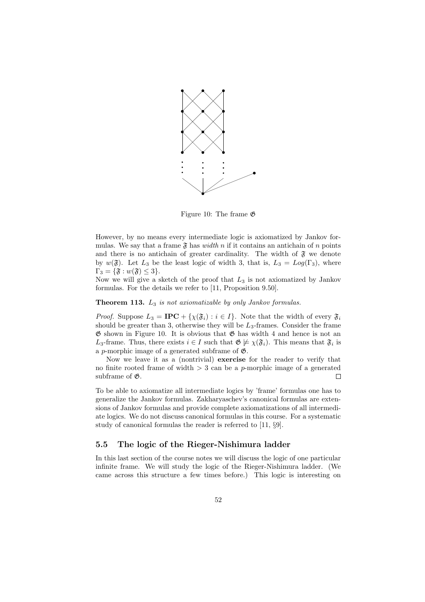

Figure 10: The frame G

However, by no means every intermediate logic is axiomatized by Jankov formulas. We say that a frame  $\mathfrak F$  has *width* n if it contains an antichain of n points and there is no antichain of greater cardinality. The width of  $\mathfrak F$  we denote by  $w(\mathfrak{F})$ . Let  $L_3$  be the least logic of width 3, that is,  $L_3 = Log(\Gamma_3)$ , where  $\Gamma_3 = \{\mathfrak{F} : w(\mathfrak{F}) \leq 3\}.$ 

Now we will give a sketch of the proof that  $L_3$  is not axiomatized by Jankov formulas. For the details we refer to [11, Proposition 9.50].

#### **Theorem 113.**  $L_3$  is not axiomatizable by only Jankov formulas.

*Proof.* Suppose  $L_3 = \text{IPC} + {\chi(\mathfrak{F}_i) : i \in I}$ . Note that the width of every  $\mathfrak{F}_i$ should be greater than 3, otherwise they will be  $L_3$ -frames. Consider the frame  $\mathfrak G$  shown in Figure 10. It is obvious that  $\mathfrak G$  has width 4 and hence is not an L<sub>3</sub>-frame. Thus, there exists  $i \in I$  such that  $\mathfrak{G} \not\models \chi(\mathfrak{F}_i)$ . This means that  $\mathfrak{F}_i$  is a p-morphic image of a generated subframe of  $\mathfrak{G}$ .

Now we leave it as a (nontrivial) exercise for the reader to verify that no finite rooted frame of width  $> 3$  can be a p-morphic image of a generated subframe of  $\mathfrak{G}$ .  $\Box$ 

To be able to axiomatize all intermediate logics by 'frame' formulas one has to generalize the Jankov formulas. Zakharyaschev's canonical formulas are extensions of Jankov formulas and provide complete axiomatizations of all intermediate logics. We do not discuss canonical formulas in this course. For a systematic study of canonical formulas the reader is referred to [11, §9].

#### 5.5 The logic of the Rieger-Nishimura ladder

In this last section of the course notes we will discuss the logic of one particular infinite frame. We will study the logic of the Rieger-Nishimura ladder. (We came across this structure a few times before.) This logic is interesting on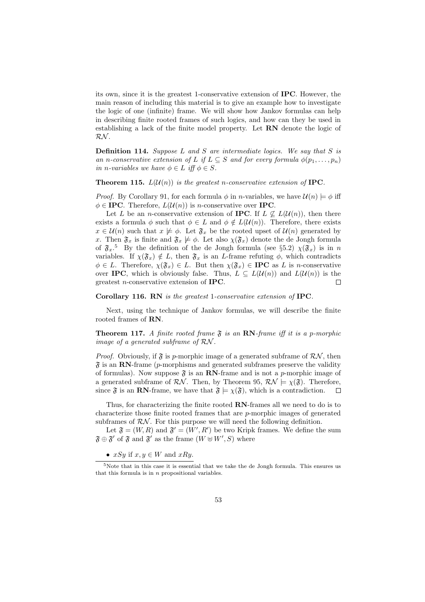its own, since it is the greatest 1-conservative extension of IPC. However, the main reason of including this material is to give an example how to investigate the logic of one (infinite) frame. We will show how Jankov formulas can help in describing finite rooted frames of such logics, and how can they be used in establishing a lack of the finite model property. Let RN denote the logic of RN .

**Definition 114.** Suppose  $L$  and  $S$  are intermediate logics. We say that  $S$  is an n-conservative extension of L if  $L \subseteq S$  and for every formula  $\phi(p_1, \ldots, p_n)$ in n-variables we have  $\phi \in L$  iff  $\phi \in S$ .

**Theorem 115.**  $L(\mathcal{U}(n))$  is the greatest n-conservative extension of **IPC**.

*Proof.* By Corollary 91, for each formula  $\phi$  in *n*-variables, we have  $\mathcal{U}(n) \models \phi$  iff  $\phi \in \text{IPC}$ . Therefore,  $L(\mathcal{U}(n))$  is *n*-conservative over **IPC**.

Let L be an n-conservative extension of **IPC**. If  $L \nsubseteq L(\mathcal{U}(n))$ , then there exists a formula  $\phi$  such that  $\phi \in L$  and  $\phi \notin L(\mathcal{U}(n))$ . Therefore, there exists  $x \in \mathcal{U}(n)$  such that  $x \not\models \phi$ . Let  $\mathfrak{F}_x$  be the rooted upset of  $\mathcal{U}(n)$  generated by x. Then  $\mathfrak{F}_x$  is finite and  $\mathfrak{F}_x \not\models \phi$ . Let also  $\chi(\mathfrak{F}_x)$  denote the de Jongh formula of  $\mathfrak{F}_x$ <sup>5</sup> By the definition of the de Jongh formula (see §5.2)  $\chi(\mathfrak{F}_x)$  is in n variables. If  $\chi(\mathfrak{F}_x) \notin L$ , then  $\mathfrak{F}_x$  is an *L*-frame refuting  $\phi$ , which contradicts  $\phi \in L$ . Therefore,  $\chi(\mathfrak{F}_x) \in L$ . But then  $\chi(\mathfrak{F}_x) \in \text{IPC}$  as L is n-conservative over IPC, which is obviously false. Thus,  $L \subseteq L(\mathcal{U}(n))$  and  $L(\mathcal{U}(n))$  is the greatest n-conservative extension of IPC. П

#### Corollary 116. RN is the greatest 1-conservative extension of IPC.

Next, using the technique of Jankov formulas, we will describe the finite rooted frames of RN.

**Theorem 117.** A finite rooted frame  $\tilde{s}$  is an RN-frame iff it is a p-morphic image of a generated subframe of RN .

*Proof.* Obviously, if  $\mathfrak{F}$  is p-morphic image of a generated subframe of  $\mathcal{RN}$ , then  $\mathfrak{F}$  is an RN-frame (p-morphisms and generated subframes preserve the validity of formulas). Now suppose  $\mathfrak{F}$  is an **RN**-frame and is not a *p*-morphic image of a generated subframe of  $\mathcal{RN}$ . Then, by Theorem 95,  $\mathcal{RN} \models \chi(\mathfrak{F})$ . Therefore, since  $\mathfrak{F}$  is an **RN**-frame, we have that  $\mathfrak{F} \models \chi(\mathfrak{F})$ , which is a contradiction.  $\Box$ 

Thus, for characterizing the finite rooted RN-frames all we need to do is to characterize those finite rooted frames that are p-morphic images of generated subframes of  $R\mathcal{N}$ . For this purpose we will need the following definition.

Let  $\mathfrak{F} = (W, R)$  and  $\mathfrak{F}' = (W', R')$  be two Kripk frames. We define the sum  $\mathfrak{F} \oplus \mathfrak{F}'$  of  $\mathfrak{F}$  and  $\mathfrak{F}'$  as the frame  $(W \oplus W', S)$  where

•  $xSy$  if  $x, y \in W$  and  $xRy$ .

 $5$ Note that in this case it is essential that we take the de Jongh formula. This ensures us that this formula is in  $n$  propositional variables.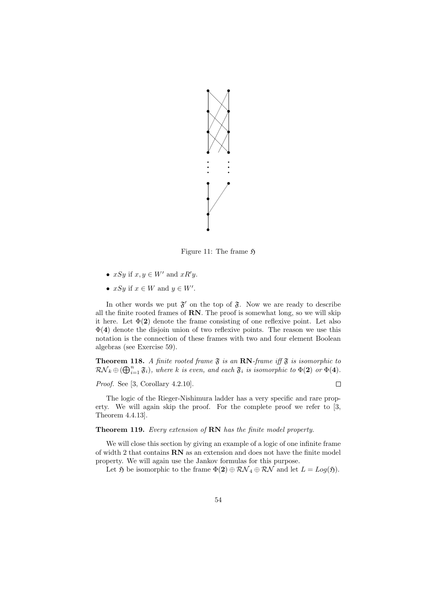

Figure 11: The frame  $\mathfrak{H}$ 

- $xSy$  if  $x, y \in W'$  and  $xR'y$ .
- $xSy$  if  $x \in W$  and  $y \in W'$ .

In other words we put  $\mathfrak{F}'$  on the top of  $\mathfrak{F}$ . Now we are ready to describe all the finite rooted frames of  $RN$ . The proof is somewhat long, so we will skip it here. Let  $\Phi(2)$  denote the frame consisting of one reflexive point. Let also  $\Phi(4)$  denote the disjoin union of two reflexive points. The reason we use this notation is the connection of these frames with two and four element Boolean algebras (see Exercise 59).

**Theorem 118.** A finite rooted frame  $\mathfrak{F}$  is an RN-frame iff  $\mathfrak{F}$  is isomorphic to  $\mathcal{RN}_k \oplus (\bigoplus_{i=1}^n \mathfrak{F}_i)$ , where k is even, and each  $\mathfrak{F}_i$  is isomorphic to  $\Phi(\mathbf{2})$  or  $\Phi(\mathbf{4})$ .

Proof. See [3, Corollary 4.2.10].

 $\Box$ 

The logic of the Rieger-Nishimura ladder has a very specific and rare property. We will again skip the proof. For the complete proof we refer to [3, Theorem 4.4.13].

Theorem 119. Every extension of RN has the finite model property.

We will close this section by giving an example of a logic of one infinite frame of width 2 that contains RN as an extension and does not have the finite model property. We will again use the Jankov formulas for this purpose.

Let  $\mathfrak{H}$  be isomorphic to the frame  $\Phi(2) \oplus \mathcal{RN}_4 \oplus \mathcal{RN}$  and let  $L = Log(\mathfrak{H})$ .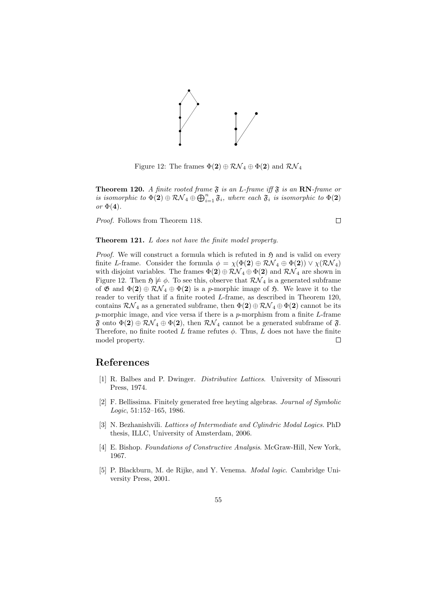

Figure 12: The frames  $\Phi(2) \oplus \mathcal{RN}_4 \oplus \Phi(2)$  and  $\mathcal{RN}_4$ 

**Theorem 120.** A finite rooted frame  $\mathfrak{F}$  is an L-frame iff  $\mathfrak{F}$  is an RN-frame or is isomorphic to  $\Phi(2) \oplus R\mathcal{N}_4 \oplus \bigoplus_{i=1}^n \mathfrak{F}_i$ , where each  $\mathfrak{F}_i$  is isomorphic to  $\Phi(2)$ or  $\Phi(4)$ .

Proof. Follows from Theorem 118.

$$
\Box
$$

#### Theorem 121. L does not have the finite model property.

*Proof.* We will construct a formula which is refuted in  $\mathfrak{H}$  and is valid on every finite L-frame. Consider the formula  $\phi = \chi(\Phi(2) \oplus \mathcal{RN}_4 \oplus \Phi(2)) \vee \chi(\mathcal{RN}_4)$ with disjoint variables. The frames  $\Phi(2) \oplus R\mathcal{N}_4 \oplus \Phi(2)$  and  $R\mathcal{N}_4$  are shown in Figure 12. Then  $\mathfrak{H} \not\models \phi$ . To see this, observe that  $\mathcal{RN}_4$  is a generated subframe of  $\mathfrak{G}$  and  $\Phi(2) \oplus \mathcal{RN}_4 \oplus \Phi(2)$  is a p-morphic image of  $\mathfrak{H}$ . We leave it to the reader to verify that if a finite rooted L-frame, as described in Theorem 120, contains  $\mathcal{RN}_4$  as a generated subframe, then  $\Phi(2) \oplus \mathcal{RN}_4 \oplus \Phi(2)$  cannot be its p-morphic image, and vice versa if there is a p-morphism from a finite L-frame  $\mathfrak F$  onto  $\Phi(2) \oplus \mathcal{RN}_4 \oplus \Phi(2)$ , then  $\mathcal{RN}_4$  cannot be a generated subframe of  $\mathfrak F$ . Therefore, no finite rooted  $L$  frame refutes  $\phi$ . Thus,  $L$  does not have the finite model property.  $\Box$ 

## References

- [1] R. Balbes and P. Dwinger. Distributive Lattices. University of Missouri Press, 1974.
- [2] F. Bellissima. Finitely generated free heyting algebras. Journal of Symbolic Logic, 51:152–165, 1986.
- [3] N. Bezhanishvili. Lattices of Intermediate and Cylindric Modal Logics. PhD thesis, ILLC, University of Amsterdam, 2006.
- [4] E. Bishop. Foundations of Constructive Analysis. McGraw-Hill, New York, 1967.
- [5] P. Blackburn, M. de Rijke, and Y. Venema. Modal logic. Cambridge University Press, 2001.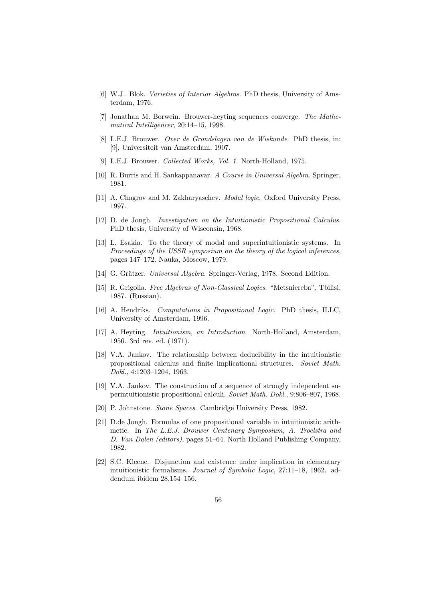- [6] W.J.. Blok. Varieties of Interior Algebras. PhD thesis, University of Amsterdam, 1976.
- [7] Jonathan M. Borwein. Brouwer-heyting sequences converge. The Mathematical Intelligencer, 20:14–15, 1998.
- [8] L.E.J. Brouwer. Over de Grondslagen van de Wiskunde. PhD thesis, in: [9], Universiteit van Amsterdam, 1907.
- [9] L.E.J. Brouwer. Collected Works, Vol. 1. North-Holland, 1975.
- [10] R. Burris and H. Sankappanavar. A Course in Universal Algebra. Springer, 1981.
- [11] A. Chagrov and M. Zakharyaschev. Modal logic. Oxford University Press, 1997.
- [12] D. de Jongh. Investigation on the Intuitionistic Propositional Calculus. PhD thesis, University of Wisconsin, 1968.
- [13] L. Esakia. To the theory of modal and superintuitionistic systems. In Proceedings of the USSR symposium on the theory of the logical inferences, pages 147–172. Nauka, Moscow, 1979.
- [14] G. Grätzer. Universal Algebra. Springer-Verlag, 1978. Second Edition.
- [15] R. Grigolia. Free Algebras of Non-Classical Logics. "Metsniereba", Tbilisi, 1987. (Russian).
- [16] A. Hendriks. Computations in Propositional Logic. PhD thesis, ILLC, University of Amsterdam, 1996.
- [17] A. Heyting. Intuitionism, an Introduction. North-Holland, Amsterdam, 1956. 3rd rev. ed. (1971).
- [18] V.A. Jankov. The relationship between deducibility in the intuitionistic propositional calculus and finite implicational structures. Soviet Math. Dokl., 4:1203–1204, 1963.
- [19] V.A. Jankov. The construction of a sequence of strongly independent superintuitionistic propositional calculi. Soviet Math. Dokl., 9:806–807, 1968.
- [20] P. Johnstone. Stone Spaces. Cambridge University Press, 1982.
- [21] D.de Jongh. Formulas of one propositional variable in intuitionistic arithmetic. In The L.E.J. Brouwer Centenary Symposium, A. Troelstra and D. Van Dalen (editors), pages 51–64. North Holland Publishing Company, 1982.
- [22] S.C. Kleene. Disjunction and existence under implication in elementary intuitionistic formalisms. Journal of Symbolic Logic, 27:11–18, 1962. addendum ibidem 28,154–156.